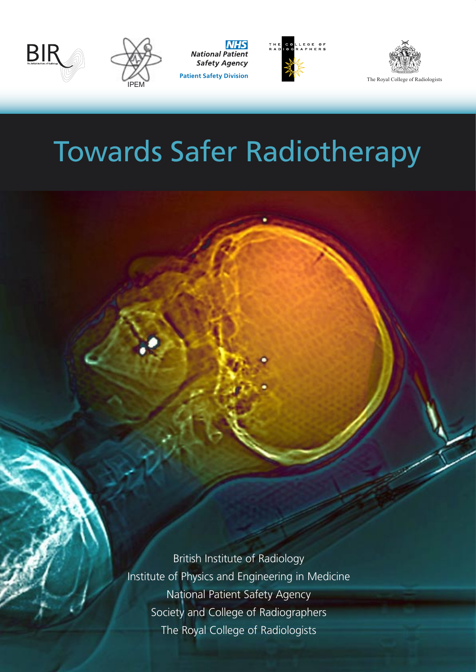



**National Patient Safety Agency** 





# Towards Safer Radiotherapy

British Institute of Radiology Institute of Physics and Engineering in Medicine National Patient Safety Agency Society and College of Radiographers

The Royal College of Radiologists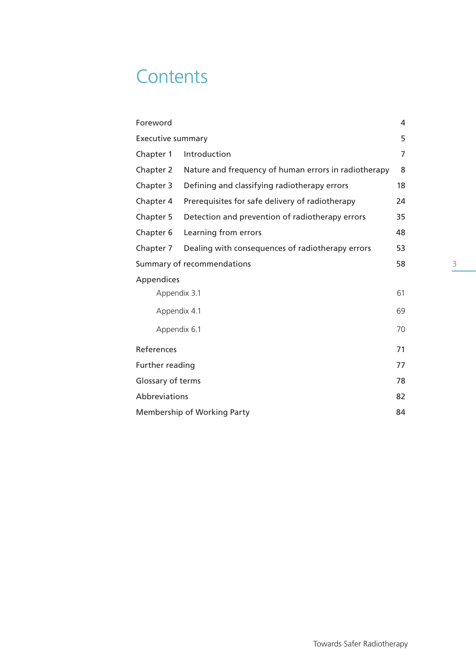# **Contents**

| Foreword<br>4                                                     |                                                 |    |  |
|-------------------------------------------------------------------|-------------------------------------------------|----|--|
| 5<br><b>Executive summary</b>                                     |                                                 |    |  |
| Introduction<br>Chapter 1                                         |                                                 | 7  |  |
| Nature and frequency of human errors in radiotherapy<br>Chapter 2 |                                                 | 8  |  |
| Chapter 3                                                         | Defining and classifying radiotherapy errors    | 18 |  |
| Chapter 4                                                         | Prerequisites for safe delivery of radiotherapy | 24 |  |
| Chapter 5<br>Detection and prevention of radiotherapy errors      |                                                 | 35 |  |
| Chapter 6                                                         | Learning from errors                            | 48 |  |
| Dealing with consequences of radiotherapy errors<br>Chapter 7     |                                                 | 53 |  |
| 58<br>Summary of recommendations                                  |                                                 |    |  |
| Appendices                                                        |                                                 |    |  |
| 61<br>Appendix 3.1                                                |                                                 |    |  |
| Appendix 4.1<br>69                                                |                                                 |    |  |
| Appendix 6.1                                                      |                                                 | 70 |  |
| References                                                        |                                                 |    |  |
| Further reading                                                   |                                                 | 77 |  |
| Glossary of terms                                                 |                                                 | 78 |  |
| Abbreviations<br>82                                               |                                                 |    |  |
| Membership of Working Party<br>84                                 |                                                 |    |  |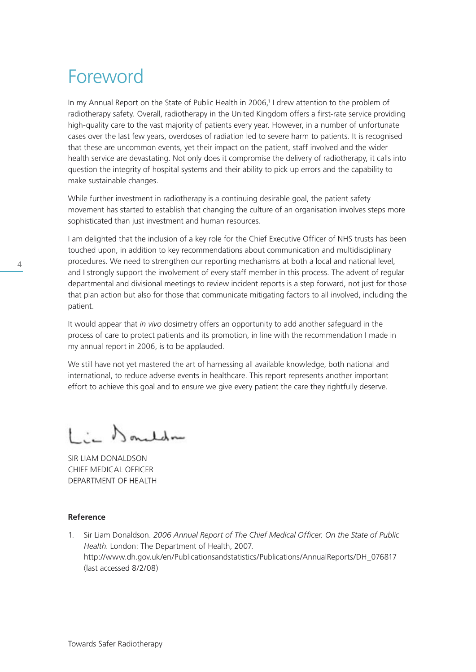# Foreword

In my Annual Report on the State of Public Health in 2006,<sup>1</sup> I drew attention to the problem of radiotherapy safety. Overall, radiotherapy in the United Kingdom offers a first-rate service providing high-quality care to the vast majority of patients every year. However, in a number of unfortunate cases over the last few years, overdoses of radiation led to severe harm to patients. It is recognised that these are uncommon events, yet their impact on the patient, staff involved and the wider health service are devastating. Not only does it compromise the delivery of radiotherapy, it calls into question the integrity of hospital systems and their ability to pick up errors and the capability to make sustainable changes.

While further investment in radiotherapy is a continuing desirable goal, the patient safety movement has started to establish that changing the culture of an organisation involves steps more sophisticated than just investment and human resources.

I am delighted that the inclusion of a key role for the Chief Executive Officer of NHS trusts has been touched upon, in addition to key recommendations about communication and multidisciplinary procedures. We need to strengthen our reporting mechanisms at both a local and national level, and I strongly support the involvement of every staff member in this process. The advent of regular departmental and divisional meetings to review incident reports is a step forward, not just for those that plan action but also for those that communicate mitigating factors to all involved, including the patient.

It would appear that *in vivo* dosimetry offers an opportunity to add another safeguard in the process of care to protect patients and its promotion, in line with the recommendation I made in my annual report in 2006, is to be applauded.

We still have not yet mastered the art of harnessing all available knowledge, both national and international, to reduce adverse events in healthcare. This report represents another important effort to achieve this goal and to ensure we give every patient the care they rightfully deserve.

in Donaldon

SIR LIAM DONALDSON CHIEF MEDICAL OFFICER DEPARTMENT OF HEALTH

# **Reference**

1. Sir Liam Donaldson. *2006 Annual Report of The Chief Medical Officer. On the State of Public Health*. London: The Department of Health, 2007. http://www.dh.gov.uk/en/Publicationsandstatistics/Publications/AnnualReports/DH\_076817 (last accessed 8/2/08)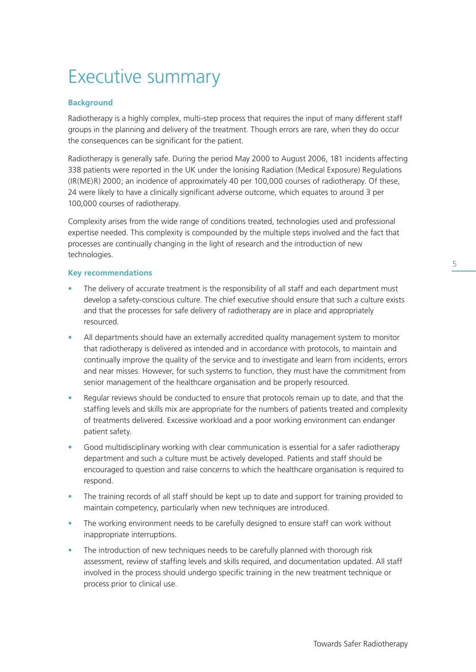# Towards Safer Radiotherapy

# Executive summary

# **Background**

Radiotherapy is a highly complex, multi-step process that requires the input of many different staff groups in the planning and delivery of the treatment. Though errors are rare, when they do occur the consequences can be significant for the patient.

Radiotherapy is generally safe. During the period May 2000 to August 2006, 181 incidents affecting 338 patients were reported in the UK under the Ionising Radiation (Medical Exposure) Regulations (IR(ME)R) 2000; an incidence of approximately 40 per 100,000 courses of radiotherapy. Of these, 24 were likely to have a clinically significant adverse outcome, which equates to around 3 per 100,000 courses of radiotherapy.

Complexity arises from the wide range of conditions treated, technologies used and professional expertise needed. This complexity is compounded by the multiple steps involved and the fact that processes are continually changing in the light of research and the introduction of new technologies.

#### **Key recommendations**

- The delivery of accurate treatment is the responsibility of all staff and each department must develop a safety-conscious culture. The chief executive should ensure that such a culture exists and that the processes for safe delivery of radiotherapy are in place and appropriately resourced.
- All departments should have an externally accredited quality management system to monitor that radiotherapy is delivered as intended and in accordance with protocols, to maintain and continually improve the quality of the service and to investigate and learn from incidents, errors and near misses. However, for such systems to function, they must have the commitment from senior management of the healthcare organisation and be properly resourced.
- Regular reviews should be conducted to ensure that protocols remain up to date, and that the staffing levels and skills mix are appropriate for the numbers of patients treated and complexity of treatments delivered. Excessive workload and a poor working environment can endanger patient safety.
- Good multidisciplinary working with clear communication is essential for a safer radiotherapy department and such a culture must be actively developed. Patients and staff should be encouraged to question and raise concerns to which the healthcare organisation is required to respond.
- The training records of all staff should be kept up to date and support for training provided to maintain competency, particularly when new techniques are introduced.
- The working environment needs to be carefully designed to ensure staff can work without inappropriate interruptions.
- The introduction of new techniques needs to be carefully planned with thorough risk assessment, review of staffing levels and skills required, and documentation updated. All staff involved in the process should undergo specific training in the new treatment technique or process prior to clinical use.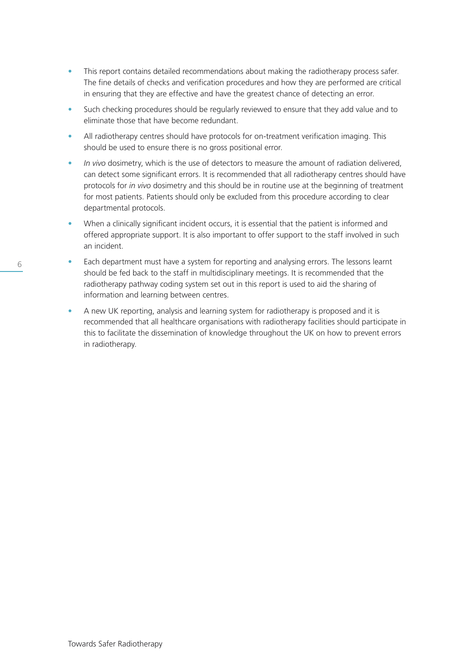- This report contains detailed recommendations about making the radiotherapy process safer. The fine details of checks and verification procedures and how they are performed are critical in ensuring that they are effective and have the greatest chance of detecting an error.
- Such checking procedures should be regularly reviewed to ensure that they add value and to eliminate those that have become redundant.
- All radiotherapy centres should have protocols for on-treatment verification imaging. This should be used to ensure there is no gross positional error.
- *In vivo* dosimetry, which is the use of detectors to measure the amount of radiation delivered, can detect some significant errors. It is recommended that all radiotherapy centres should have protocols for *in vivo* dosimetry and this should be in routine use at the beginning of treatment for most patients. Patients should only be excluded from this procedure according to clear departmental protocols.
- When a clinically significant incident occurs, it is essential that the patient is informed and offered appropriate support. It is also important to offer support to the staff involved in such an incident.
- Each department must have a system for reporting and analysing errors. The lessons learnt should be fed back to the staff in multidisciplinary meetings. It is recommended that the radiotherapy pathway coding system set out in this report is used to aid the sharing of information and learning between centres.
- A new UK reporting, analysis and learning system for radiotherapy is proposed and it is recommended that all healthcare organisations with radiotherapy facilities should participate in this to facilitate the dissemination of knowledge throughout the UK on how to prevent errors in radiotherapy.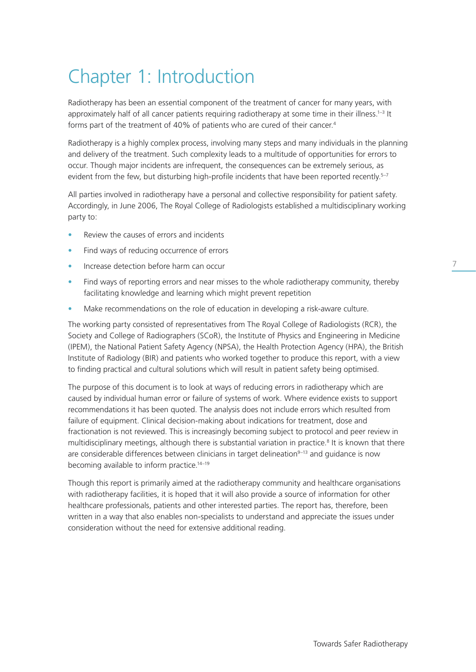# Chapter 1: Introduction

Radiotherapy has been an essential component of the treatment of cancer for many years, with approximately half of all cancer patients requiring radiotherapy at some time in their illness.<sup>1-3</sup> It forms part of the treatment of 40% of patients who are cured of their cancer.<sup>4</sup>

Radiotherapy is a highly complex process, involving many steps and many individuals in the planning and delivery of the treatment. Such complexity leads to a multitude of opportunities for errors to occur. Though major incidents are infrequent, the consequences can be extremely serious, as evident from the few, but disturbing high-profile incidents that have been reported recently.<sup>5–7</sup>

All parties involved in radiotherapy have a personal and collective responsibility for patient safety. Accordingly, in June 2006, The Royal College of Radiologists established a multidisciplinary working party to:

- Review the causes of errors and incidents
- Find ways of reducing occurrence of errors
- Increase detection before harm can occur
- Find ways of reporting errors and near misses to the whole radiotherapy community, thereby facilitating knowledge and learning which might prevent repetition
- Make recommendations on the role of education in developing a risk-aware culture.

The working party consisted of representatives from The Royal College of Radiologists (RCR), the Society and College of Radiographers (SCoR), the Institute of Physics and Engineering in Medicine (IPEM), the National Patient Safety Agency (NPSA), the Health Protection Agency (HPA), the British Institute of Radiology (BIR) and patients who worked together to produce this report, with a view to finding practical and cultural solutions which will result in patient safety being optimised.

The purpose of this document is to look at ways of reducing errors in radiotherapy which are caused by individual human error or failure of systems of work. Where evidence exists to support recommendations it has been quoted. The analysis does not include errors which resulted from failure of equipment. Clinical decision-making about indications for treatment, dose and fractionation is not reviewed. This is increasingly becoming subject to protocol and peer review in multidisciplinary meetings, although there is substantial variation in practice.<sup>8</sup> It is known that there are considerable differences between clinicians in target delineation<sup>9-13</sup> and quidance is now becoming available to inform practice.<sup>14-19</sup>

Though this report is primarily aimed at the radiotherapy community and healthcare organisations with radiotherapy facilities, it is hoped that it will also provide a source of information for other healthcare professionals, patients and other interested parties. The report has, therefore, been written in a way that also enables non-specialists to understand and appreciate the issues under consideration without the need for extensive additional reading.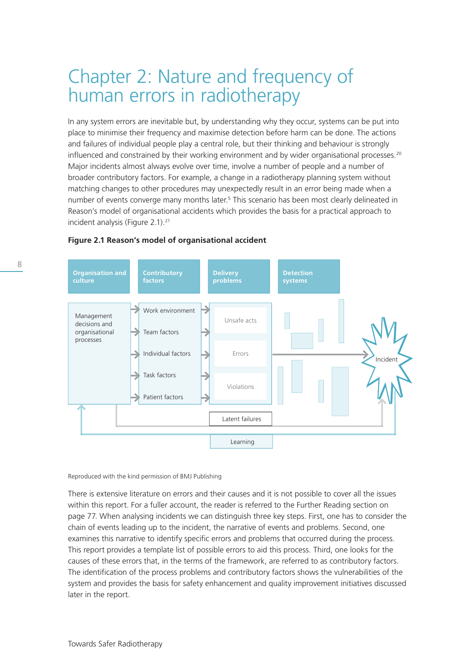# Chapter 2: Nature and frequency of human errors in radiotherapy

In any system errors are inevitable but, by understanding why they occur, systems can be put into place to minimise their frequency and maximise detection before harm can be done. The actions and failures of individual people play a central role, but their thinking and behaviour is strongly influenced and constrained by their working environment and by wider organisational processes.<sup>20</sup> Major incidents almost always evolve over time, involve a number of people and a number of broader contributory factors. For example, a change in a radiotherapy planning system without matching changes to other procedures may unexpectedly result in an error being made when a number of events converge many months later.<sup>5</sup> This scenario has been most clearly delineated in Reason's model of organisational accidents which provides the basis for a practical approach to incident analysis (Figure 2.1).<sup>21</sup>



# **Figure 2.1 Reason's model of organisational accident**

Reproduced with the kind permission of BMJ Publishing

There is extensive literature on errors and their causes and it is not possible to cover all the issues within this report. For a fuller account, the reader is referred to the Further Reading section on page 77. When analysing incidents we can distinguish three key steps. First, one has to consider the chain of events leading up to the incident, the narrative of events and problems. Second, one examines this narrative to identify specific errors and problems that occurred during the process. This report provides a template list of possible errors to aid this process. Third, one looks for the causes of these errors that, in the terms of the framework, are referred to as contributory factors. The identification of the process problems and contributory factors shows the vulnerabilities of the system and provides the basis for safety enhancement and quality improvement initiatives discussed later in the report.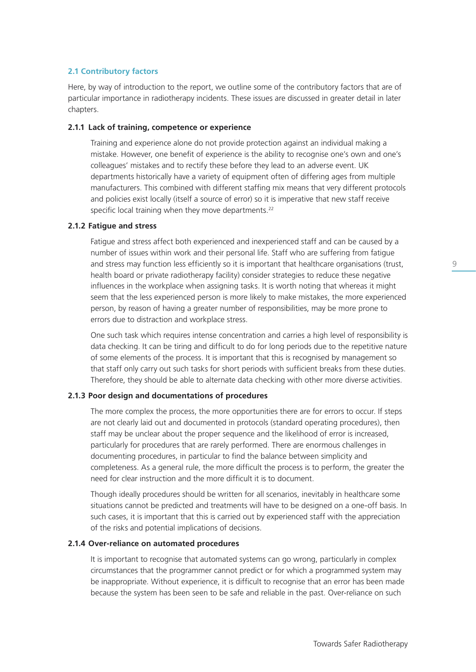# **2.1 Contributory factors**

Here, by way of introduction to the report, we outline some of the contributory factors that are of particular importance in radiotherapy incidents. These issues are discussed in greater detail in later chapters.

### **2.1.1 Lack of training, competence or experience**

 Training and experience alone do not provide protection against an individual making a mistake. However, one benefit of experience is the ability to recognise one's own and one's colleagues' mistakes and to rectify these before they lead to an adverse event. UK departments historically have a variety of equipment often of differing ages from multiple manufacturers. This combined with different staffing mix means that very different protocols and policies exist locally (itself a source of error) so it is imperative that new staff receive specific local training when they move departments.<sup>22</sup>

#### **2.1.2 Fatigue and stress**

 Fatigue and stress affect both experienced and inexperienced staff and can be caused by a number of issues within work and their personal life. Staff who are suffering from fatigue and stress may function less efficiently so it is important that healthcare organisations (trust, health board or private radiotherapy facility) consider strategies to reduce these negative influences in the workplace when assigning tasks. It is worth noting that whereas it might seem that the less experienced person is more likely to make mistakes, the more experienced person, by reason of having a greater number of responsibilities, may be more prone to errors due to distraction and workplace stress.

 One such task which requires intense concentration and carries a high level of responsibility is data checking. It can be tiring and difficult to do for long periods due to the repetitive nature of some elements of the process. It is important that this is recognised by management so that staff only carry out such tasks for short periods with sufficient breaks from these duties. Therefore, they should be able to alternate data checking with other more diverse activities.

### **2.1.3 Poor design and documentations of procedures**

 The more complex the process, the more opportunities there are for errors to occur. If steps are not clearly laid out and documented in protocols (standard operating procedures), then staff may be unclear about the proper sequence and the likelihood of error is increased, particularly for procedures that are rarely performed. There are enormous challenges in documenting procedures, in particular to find the balance between simplicity and completeness. As a general rule, the more difficult the process is to perform, the greater the need for clear instruction and the more difficult it is to document.

 Though ideally procedures should be written for all scenarios, inevitably in healthcare some situations cannot be predicted and treatments will have to be designed on a one-off basis. In such cases, it is important that this is carried out by experienced staff with the appreciation of the risks and potential implications of decisions.

#### **2.1.4 Over-reliance on automated procedures**

It is important to recognise that automated systems can go wrong, particularly in complex circumstances that the programmer cannot predict or for which a programmed system may be inappropriate. Without experience, it is difficult to recognise that an error has been made because the system has been seen to be safe and reliable in the past. Over-reliance on such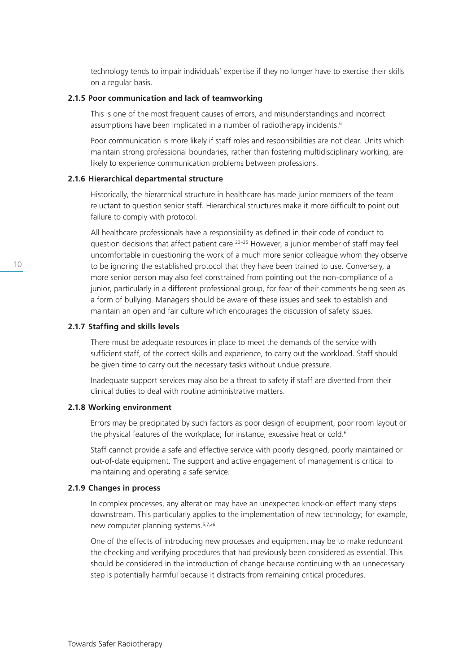technology tends to impair individuals' expertise if they no longer have to exercise their skills on a regular basis.

#### **2.1.5 Poor communication and lack of teamworking**

 This is one of the most frequent causes of errors, and misunderstandings and incorrect assumptions have been implicated in a number of radiotherapy incidents.<sup>6</sup>

 Poor communication is more likely if staff roles and responsibilities are not clear. Units which maintain strong professional boundaries, rather than fostering multidisciplinary working, are likely to experience communication problems between professions.

#### **2.1.6 Hierarchical departmental structure**

 Historically, the hierarchical structure in healthcare has made junior members of the team reluctant to question senior staff. Hierarchical structures make it more difficult to point out failure to comply with protocol.

 All healthcare professionals have a responsibility as defined in their code of conduct to question decisions that affect patient care.<sup>23–25</sup> However, a junior member of staff may feel uncomfortable in questioning the work of a much more senior colleague whom they observe to be ignoring the established protocol that they have been trained to use. Conversely, a more senior person may also feel constrained from pointing out the non-compliance of a junior, particularly in a different professional group, for fear of their comments being seen as a form of bullying. Managers should be aware of these issues and seek to establish and maintain an open and fair culture which encourages the discussion of safety issues.

#### **2.1.7 Staffing and skills levels**

 There must be adequate resources in place to meet the demands of the service with sufficient staff, of the correct skills and experience, to carry out the workload. Staff should be given time to carry out the necessary tasks without undue pressure.

 Inadequate support services may also be a threat to safety if staff are diverted from their clinical duties to deal with routine administrative matters.

# **2.1.8 Working environment**

Errors may be precipitated by such factors as poor design of equipment, poor room layout or the physical features of the workplace; for instance, excessive heat or cold.<sup>6</sup>

 Staff cannot provide a safe and effective service with poorly designed, poorly maintained or out-of-date equipment. The support and active engagement of management is critical to maintaining and operating a safe service.

# **2.1.9 Changes in process**

 In complex processes, any alteration may have an unexpected knock-on effect many steps downstream. This particularly applies to the implementation of new technology; for example, new computer planning systems.5,7,26

 One of the effects of introducing new processes and equipment may be to make redundant the checking and verifying procedures that had previously been considered as essential. This should be considered in the introduction of change because continuing with an unnecessary step is potentially harmful because it distracts from remaining critical procedures.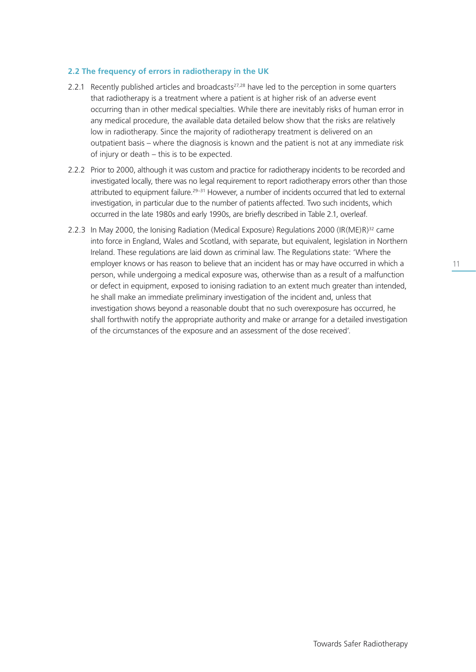# **2.2 The frequency of errors in radiotherapy in the UK**

- 2.2.1 Recently published articles and broadcasts $27,28$  have led to the perception in some quarters that radiotherapy is a treatment where a patient is at higher risk of an adverse event occurring than in other medical specialties. While there are inevitably risks of human error in any medical procedure, the available data detailed below show that the risks are relatively low in radiotherapy. Since the majority of radiotherapy treatment is delivered on an outpatient basis – where the diagnosis is known and the patient is not at any immediate risk of injury or death – this is to be expected.
- 2.2.2 Prior to 2000, although it was custom and practice for radiotherapy incidents to be recorded and investigated locally, there was no legal requirement to report radiotherapy errors other than those attributed to equipment failure.<sup>29-31</sup> However, a number of incidents occurred that led to external investigation, in particular due to the number of patients affected. Two such incidents, which occurred in the late 1980s and early 1990s, are briefly described in Table 2.1, overleaf.
- 2.2.3 In May 2000, the Ionising Radiation (Medical Exposure) Regulations 2000 (IR(ME)R) $^{32}$  came into force in England, Wales and Scotland, with separate, but equivalent, legislation in Northern Ireland. These regulations are laid down as criminal law. The Regulations state: 'Where the employer knows or has reason to believe that an incident has or may have occurred in which a person, while undergoing a medical exposure was, otherwise than as a result of a malfunction or defect in equipment, exposed to ionising radiation to an extent much greater than intended, he shall make an immediate preliminary investigation of the incident and, unless that investigation shows beyond a reasonable doubt that no such overexposure has occurred, he shall forthwith notify the appropriate authority and make or arrange for a detailed investigation of the circumstances of the exposure and an assessment of the dose received'.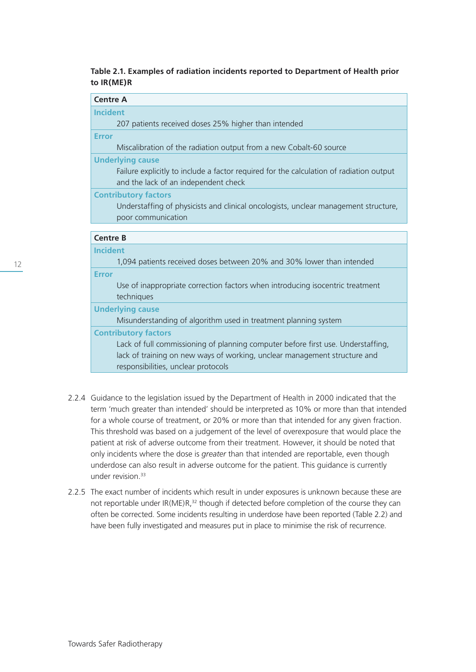# **Table 2.1. Examples of radiation incidents reported to Department of Health prior to IR(ME)R**

| <b>Centre A</b>                                                                                                                 |  |
|---------------------------------------------------------------------------------------------------------------------------------|--|
| <b>Incident</b>                                                                                                                 |  |
| 207 patients received doses 25% higher than intended                                                                            |  |
| <b>Error</b>                                                                                                                    |  |
| Miscalibration of the radiation output from a new Cobalt-60 source                                                              |  |
| <b>Underlying cause</b>                                                                                                         |  |
| Failure explicitly to include a factor required for the calculation of radiation output<br>and the lack of an independent check |  |
| <b>Contributory factors</b>                                                                                                     |  |
| Understaffing of physicists and clinical oncologists, unclear management structure,                                             |  |
| poor communication                                                                                                              |  |
|                                                                                                                                 |  |
| <b>Centre B</b>                                                                                                                 |  |
| <b>Incident</b>                                                                                                                 |  |
| 1,094 patients received doses between 20% and 30% lower than intended                                                           |  |
| <b>Error</b>                                                                                                                    |  |
| Use of inappropriate correction factors when introducing isocentric treatment<br>techniques                                     |  |
| <b>Underlying cause</b>                                                                                                         |  |
| Misunderstanding of algorithm used in treatment planning system                                                                 |  |
| <b>Contributory factors</b>                                                                                                     |  |
| Lack of full commissioning of planning computer before first use. Understaffing,                                                |  |
| lack of training on new ways of working, unclear management structure and                                                       |  |
| responsibilities, unclear protocols                                                                                             |  |
|                                                                                                                                 |  |
|                                                                                                                                 |  |

- 2.2.4 Guidance to the legislation issued by the Department of Health in 2000 indicated that the term 'much greater than intended' should be interpreted as 10% or more than that intended for a whole course of treatment, or 20% or more than that intended for any given fraction. This threshold was based on a judgement of the level of overexposure that would place the patient at risk of adverse outcome from their treatment. However, it should be noted that only incidents where the dose is *greater* than that intended are reportable, even though underdose can also result in adverse outcome for the patient. This guidance is currently under revision.<sup>33</sup>
- 2.2.5 The exact number of incidents which result in under exposures is unknown because these are not reportable under  $IR(ME)R<sup>32</sup>$  though if detected before completion of the course they can often be corrected. Some incidents resulting in underdose have been reported (Table 2.2) and have been fully investigated and measures put in place to minimise the risk of recurrence.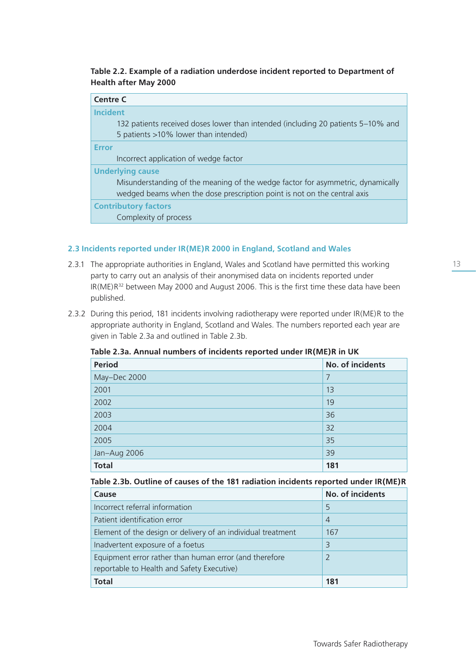# **Table 2.2. Example of a radiation underdose incident reported to Department of Health after May 2000**

| <b>Centre C</b>                                                                  |  |  |
|----------------------------------------------------------------------------------|--|--|
| <b>Incident</b>                                                                  |  |  |
| 132 patients received doses lower than intended (including 20 patients 5–10% and |  |  |
| 5 patients >10% lower than intended)                                             |  |  |
| <b>Error</b>                                                                     |  |  |
| Incorrect application of wedge factor                                            |  |  |
| <b>Underlying cause</b>                                                          |  |  |
| Misunderstanding of the meaning of the wedge factor for asymmetric, dynamically  |  |  |
| wedged beams when the dose prescription point is not on the central axis         |  |  |
| <b>Contributory factors</b>                                                      |  |  |
| Complexity of process                                                            |  |  |

# **2.3 Incidents reported under IR(ME)R 2000 in England, Scotland and Wales**

- 2.3.1 The appropriate authorities in England, Wales and Scotland have permitted this working party to carry out an analysis of their anonymised data on incidents reported under IR(ME)R<sup>32</sup> between May 2000 and August 2006. This is the first time these data have been published.
- 2.3.2 During this period, 181 incidents involving radiotherapy were reported under IR(ME)R to the appropriate authority in England, Scotland and Wales. The numbers reported each year are given in Table 2.3a and outlined in Table 2.3b.

| <b>Period</b> | No. of incidents |
|---------------|------------------|
| May-Dec 2000  | 7                |
| 2001          | 13               |
| 2002          | 19               |
| 2003          | 36               |
| 2004          | 32               |
| 2005          | 35               |
| Jan-Aug 2006  | 39               |
| <b>Total</b>  | 181              |

**Table 2.3a. Annual numbers of incidents reported under IR(ME)R in UK**

# **Table 2.3b. Outline of causes of the 181 radiation incidents reported under IR(ME)R**

| Cause                                                        | No. of incidents |
|--------------------------------------------------------------|------------------|
| Incorrect referral information                               | 5                |
| Patient identification error                                 | $\overline{4}$   |
| Element of the design or delivery of an individual treatment | 167              |
| Inadvertent exposure of a foetus                             | 3                |
| Equipment error rather than human error (and therefore       | $\mathcal{P}$    |
| reportable to Health and Safety Executive)                   |                  |
| <b>Total</b>                                                 | 181              |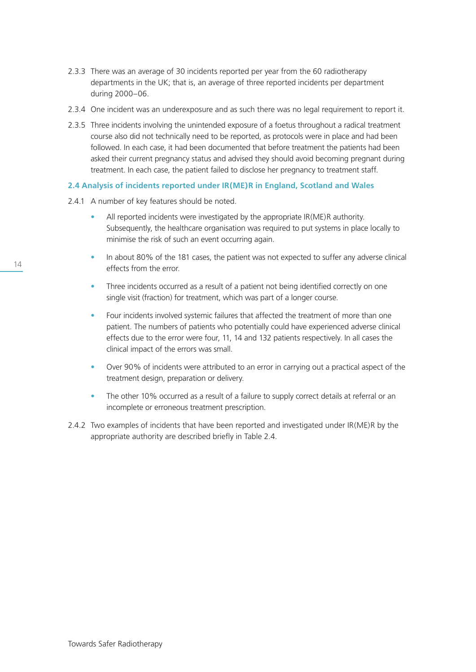- 2.3.3 There was an average of 30 incidents reported per year from the 60 radiotherapy departments in the UK; that is, an average of three reported incidents per department during 2000–06.
- 2.3.4 One incident was an underexposure and as such there was no legal requirement to report it.
- 2.3.5 Three incidents involving the unintended exposure of a foetus throughout a radical treatment course also did not technically need to be reported, as protocols were in place and had been followed. In each case, it had been documented that before treatment the patients had been asked their current pregnancy status and advised they should avoid becoming pregnant during treatment. In each case, the patient failed to disclose her pregnancy to treatment staff.

# **2.4 Analysis of incidents reported under IR(ME)R in England, Scotland and Wales**

- 2.4.1 A number of key features should be noted.
	- All reported incidents were investigated by the appropriate IR(ME)R authority. Subsequently, the healthcare organisation was required to put systems in place locally to minimise the risk of such an event occurring again.
	- In about 80% of the 181 cases, the patient was not expected to suffer any adverse clinical effects from the error.
	- Three incidents occurred as a result of a patient not being identified correctly on one single visit (fraction) for treatment, which was part of a longer course.
	- Four incidents involved systemic failures that affected the treatment of more than one patient. The numbers of patients who potentially could have experienced adverse clinical effects due to the error were four, 11, 14 and 132 patients respectively. In all cases the clinical impact of the errors was small.
	- Over 90% of incidents were attributed to an error in carrying out a practical aspect of the treatment design, preparation or delivery.
	- The other 10% occurred as a result of a failure to supply correct details at referral or an incomplete or erroneous treatment prescription.
- 2.4.2 Two examples of incidents that have been reported and investigated under IR(ME)R by the appropriate authority are described briefly in Table 2.4.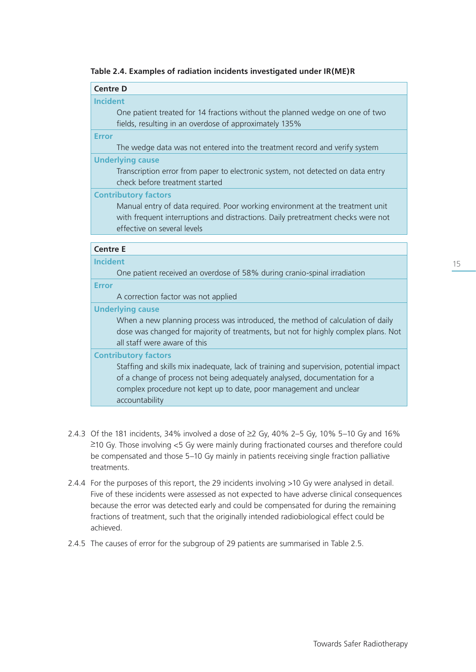|  | Table 2.4. Examples of radiation incidents investigated under IR(ME)R |  |  |  |  |
|--|-----------------------------------------------------------------------|--|--|--|--|
|--|-----------------------------------------------------------------------|--|--|--|--|

# **Incident**

 One patient treated for 14 fractions without the planned wedge on one of two fields, resulting in an overdose of approximately 135%

**Error**

The wedge data was not entered into the treatment record and verify system

# **Underlying cause**

 Transcription error from paper to electronic system, not detected on data entry check before treatment started

**Contributory factors**

 Manual entry of data required. Poor working environment at the treatment unit with frequent interruptions and distractions. Daily pretreatment checks were not effective on several levels

### **Centre E**

**Incident**

One patient received an overdose of 58% during cranio-spinal irradiation

**Error**

A correction factor was not applied

**Underlying cause**

 When a new planning process was introduced, the method of calculation of daily dose was changed for majority of treatments, but not for highly complex plans. Not all staff were aware of this

# **Contributory factors**

 Staffing and skills mix inadequate, lack of training and supervision, potential impact of a change of process not being adequately analysed, documentation for a complex procedure not kept up to date, poor management and unclear accountability

- 2.4.3 Of the 181 incidents, 34% involved a dose of  $\geq$  Gy, 40% 2–5 Gy, 10% 5–10 Gy and 16%  $\geq$ 10 Gy. Those involving <5 Gy were mainly during fractionated courses and therefore could be compensated and those 5–10 Gy mainly in patients receiving single fraction palliative treatments.
- 2.4.4 For the purposes of this report, the 29 incidents involving >10 Gy were analysed in detail. Five of these incidents were assessed as not expected to have adverse clinical consequences because the error was detected early and could be compensated for during the remaining fractions of treatment, such that the originally intended radiobiological effect could be achieved.
- 2.4.5 The causes of error for the subgroup of 29 patients are summarised in Table 2.5.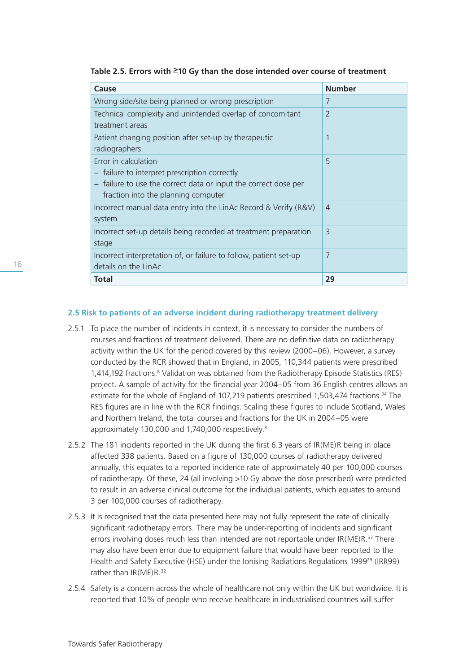| Cause                                                             | <b>Number</b>            |
|-------------------------------------------------------------------|--------------------------|
| Wrong side/site being planned or wrong prescription               | 7                        |
| Technical complexity and unintended overlap of concomitant        | $\overline{\phantom{0}}$ |
| treatment areas                                                   |                          |
| Patient changing position after set-up by therapeutic             | 1                        |
| radiographers                                                     |                          |
| Error in calculation                                              | 5                        |
| - failure to interpret prescription correctly                     |                          |
| - failure to use the correct data or input the correct dose per   |                          |
| fraction into the planning computer                               |                          |
| Incorrect manual data entry into the LinAc Record & Verify (R&V)  | $\overline{4}$           |
| system                                                            |                          |
| Incorrect set-up details being recorded at treatment preparation  | $\overline{3}$           |
| stage                                                             |                          |
| Incorrect interpretation of, or failure to follow, patient set-up | 7                        |
| details on the LinAc                                              |                          |
| <b>Total</b>                                                      | 29                       |

Table 2.5. Errors with <sup>2</sup>10 Gy than the dose intended over course of treatment

### **2.5 Risk to patients of an adverse incident during radiotherapy treatment delivery**

- 2.5.1 To place the number of incidents in context, it is necessary to consider the numbers of courses and fractions of treatment delivered. There are no definitive data on radiotherapy activity within the UK for the period covered by this review (2000–06). However, a survey conducted by the RCR showed that in England, in 2005, 110,344 patients were prescribed 1,414,192 fractions.<sup>8</sup> Validation was obtained from the Radiotherapy Episode Statistics (RES) project. A sample of activity for the financial year 2004–05 from 36 English centres allows an estimate for the whole of England of 107,219 patients prescribed 1,503,474 fractions.<sup>34</sup> The RES figures are in line with the RCR findings. Scaling these figures to include Scotland, Wales and Northern Ireland, the total courses and fractions for the UK in 2004–05 were approximately 130,000 and 1,740,000 respectively.<sup>8</sup>
- 2.5.2 The 181 incidents reported in the UK during the first 6.3 years of IR(ME)R being in place affected 338 patients. Based on a figure of 130,000 courses of radiotherapy delivered annually, this equates to a reported incidence rate of approximately 40 per 100,000 courses of radiotherapy. Of these, 24 (all involving >10 Gy above the dose prescribed) were predicted to result in an adverse clinical outcome for the individual patients, which equates to around 3 per 100,000 courses of radiotherapy.
- 2.5.3 It is recognised that the data presented here may not fully represent the rate of clinically significant radiotherapy errors. There may be under-reporting of incidents and significant errors involving doses much less than intended are not reportable under IR(ME)R.<sup>32</sup> There may also have been error due to equipment failure that would have been reported to the Health and Safety Executive (HSE) under the Ionising Radiations Regulations 1999<sup>29</sup> (IRR99) rather than IR(ME)R.<sup>32</sup>
- 2.5.4 Safety is a concern across the whole of healthcare not only within the UK but worldwide. It is reported that 10% of people who receive healthcare in industrialised countries will suffer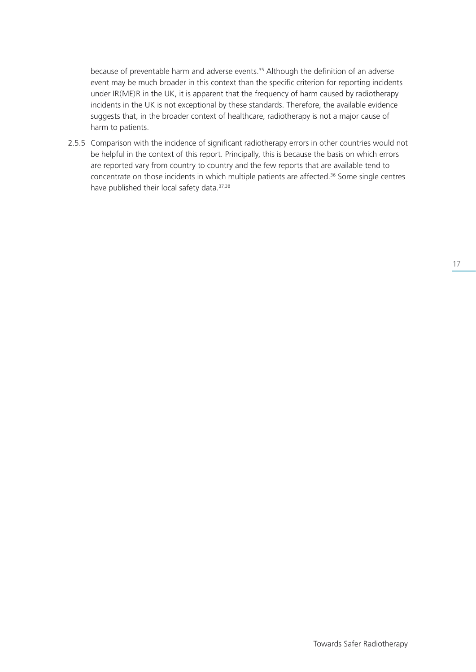because of preventable harm and adverse events.35 Although the definition of an adverse event may be much broader in this context than the specific criterion for reporting incidents under IR(ME)R in the UK, it is apparent that the frequency of harm caused by radiotherapy incidents in the UK is not exceptional by these standards. Therefore, the available evidence suggests that, in the broader context of healthcare, radiotherapy is not a major cause of harm to patients.

2.5.5 Comparison with the incidence of significant radiotherapy errors in other countries would not be helpful in the context of this report. Principally, this is because the basis on which errors are reported vary from country to country and the few reports that are available tend to concentrate on those incidents in which multiple patients are affected.<sup>36</sup> Some single centres have published their local safety data. 37,38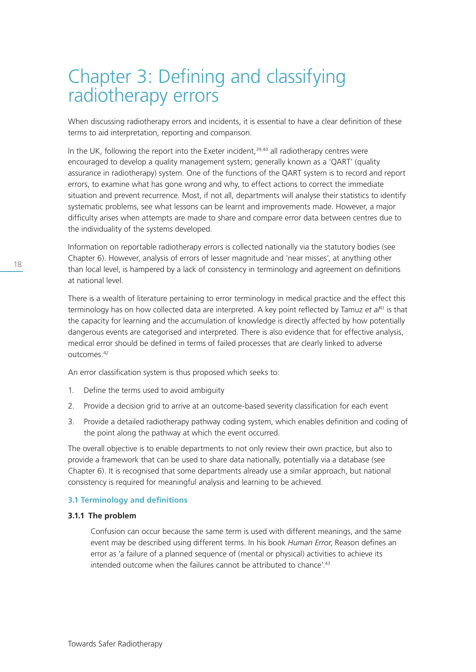# Chapter 3: Defining and classifying radiotherapy errors

When discussing radiotherapy errors and incidents, it is essential to have a clear definition of these terms to aid interpretation, reporting and comparison.

In the UK, following the report into the Exeter incident,<sup>39,40</sup> all radiotherapy centres were encouraged to develop a quality management system; generally known as a 'QART' (quality assurance in radiotherapy) system. One of the functions of the QART system is to record and report errors, to examine what has gone wrong and why, to effect actions to correct the immediate situation and prevent recurrence. Most, if not all, departments will analyse their statistics to identify systematic problems, see what lessons can be learnt and improvements made. However, a major difficulty arises when attempts are made to share and compare error data between centres due to the individuality of the systems developed.

Information on reportable radiotherapy errors is collected nationally via the statutory bodies (see Chapter 6). However, analysis of errors of lesser magnitude and 'near misses', at anything other than local level, is hampered by a lack of consistency in terminology and agreement on definitions at national level.

There is a wealth of literature pertaining to error terminology in medical practice and the effect this terminology has on how collected data are interpreted. A key point reflected by Tamuz *et al*41 is that the capacity for learning and the accumulation of knowledge is directly affected by how potentially dangerous events are categorised and interpreted. There is also evidence that for effective analysis, medical error should be defined in terms of failed processes that are clearly linked to adverse outcomes.42

An error classification system is thus proposed which seeks to:

- 1. Define the terms used to avoid ambiguity
- 2. Provide a decision grid to arrive at an outcome-based severity classification for each event
- 3. Provide a detailed radiotherapy pathway coding system, which enables definition and coding of the point along the pathway at which the event occurred.

The overall objective is to enable departments to not only review their own practice, but also to provide a framework that can be used to share data nationally, potentially via a database (see Chapter 6). It is recognised that some departments already use a similar approach, but national consistency is required for meaningful analysis and learning to be achieved.

# **3.1 Terminology and definitions**

### **3.1.1 The problem**

 Confusion can occur because the same term is used with different meanings, and the same event may be described using different terms. In his book *Human Error*, Reason defines an error as 'a failure of a planned sequence of (mental or physical) activities to achieve its intended outcome when the failures cannot be attributed to chance'.<sup>43</sup>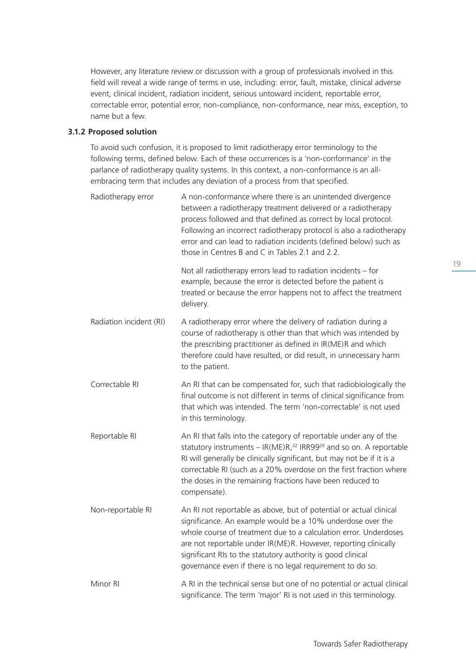However, any literature review or discussion with a group of professionals involved in this field will reveal a wide range of terms in use, including: error, fault, mistake, clinical adverse event, clinical incident, radiation incident, serious untoward incident, reportable error, correctable error, potential error, non-compliance, non-conformance, near miss, exception, to name but a few.

# **3.1.2 Proposed solution**

 To avoid such confusion, it is proposed to limit radiotherapy error terminology to the following terms, defined below. Each of these occurrences is a 'non-conformance' in the parlance of radiotherapy quality systems. In this context, a non-conformance is an allembracing term that includes any deviation of a process from that specified.

| Radiotherapy error      | A non-conformance where there is an unintended divergence<br>between a radiotherapy treatment delivered or a radiotherapy<br>process followed and that defined as correct by local protocol.<br>Following an incorrect radiotherapy protocol is also a radiotherapy<br>error and can lead to radiation incidents (defined below) such as<br>those in Centres B and C in Tables 2.1 and 2.2.          |
|-------------------------|------------------------------------------------------------------------------------------------------------------------------------------------------------------------------------------------------------------------------------------------------------------------------------------------------------------------------------------------------------------------------------------------------|
|                         | Not all radiotherapy errors lead to radiation incidents - for<br>example, because the error is detected before the patient is<br>treated or because the error happens not to affect the treatment<br>delivery.                                                                                                                                                                                       |
| Radiation incident (RI) | A radiotherapy error where the delivery of radiation during a<br>course of radiotherapy is other than that which was intended by<br>the prescribing practitioner as defined in IR(ME)R and which<br>therefore could have resulted, or did result, in unnecessary harm<br>to the patient.                                                                                                             |
| Correctable RI          | An RI that can be compensated for, such that radiobiologically the<br>final outcome is not different in terms of clinical significance from<br>that which was intended. The term 'non-correctable' is not used<br>in this terminology.                                                                                                                                                               |
| Reportable RI           | An RI that falls into the category of reportable under any of the<br>statutory instruments - IR(ME)R, <sup>32</sup> IRR99 <sup>29</sup> and so on. A reportable<br>RI will generally be clinically significant, but may not be if it is a<br>correctable RI (such as a 20% overdose on the first fraction where<br>the doses in the remaining fractions have been reduced to<br>compensate).         |
| Non-reportable RI       | An RI not reportable as above, but of potential or actual clinical<br>significance. An example would be a 10% underdose over the<br>whole course of treatment due to a calculation error. Underdoses<br>are not reportable under IR(ME)R. However, reporting clinically<br>significant RIs to the statutory authority is good clinical<br>governance even if there is no legal requirement to do so. |
| Minor RI                | A RI in the technical sense but one of no potential or actual clinical<br>significance. The term 'major' RI is not used in this terminology.                                                                                                                                                                                                                                                         |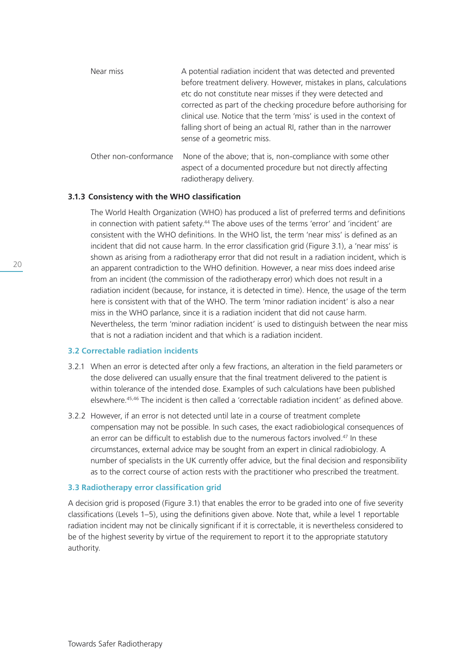| Near miss             | A potential radiation incident that was detected and prevented                                                            |  |
|-----------------------|---------------------------------------------------------------------------------------------------------------------------|--|
|                       | before treatment delivery. However, mistakes in plans, calculations                                                       |  |
|                       | etc do not constitute near misses if they were detected and                                                               |  |
|                       | corrected as part of the checking procedure before authorising for                                                        |  |
|                       | clinical use. Notice that the term 'miss' is used in the context of                                                       |  |
|                       | falling short of being an actual RI, rather than in the narrower                                                          |  |
|                       | sense of a geometric miss.                                                                                                |  |
| Other non-conformance | None of the above; that is, non-compliance with some other<br>aspect of a documented procedure but not directly affecting |  |

radiotherapy delivery.

### **3.1.3 Consistency with the WHO classification**

 The World Health Organization (WHO) has produced a list of preferred terms and definitions in connection with patient safety.44 The above uses of the terms 'error' and 'incident' are consistent with the WHO definitions. In the WHO list, the term 'near miss' is defined as an incident that did not cause harm. In the error classification grid (Figure 3.1), a 'near miss' is shown as arising from a radiotherapy error that did not result in a radiation incident, which is an apparent contradiction to the WHO definition. However, a near miss does indeed arise from an incident (the commission of the radiotherapy error) which does not result in a radiation incident (because, for instance, it is detected in time). Hence, the usage of the term here is consistent with that of the WHO. The term 'minor radiation incident' is also a near miss in the WHO parlance, since it is a radiation incident that did not cause harm. Nevertheless, the term 'minor radiation incident' is used to distinguish between the near miss that is not a radiation incident and that which is a radiation incident.

#### **3.2 Correctable radiation incidents**

- 3.2.1 When an error is detected after only a few fractions, an alteration in the field parameters or the dose delivered can usually ensure that the final treatment delivered to the patient is within tolerance of the intended dose. Examples of such calculations have been published elsewhere.45,46 The incident is then called a 'correctable radiation incident' as defined above.
- 3.2.2 However, if an error is not detected until late in a course of treatment complete compensation may not be possible. In such cases, the exact radiobiological consequences of an error can be difficult to establish due to the numerous factors involved.<sup>47</sup> In these circumstances, external advice may be sought from an expert in clinical radiobiology. A number of specialists in the UK currently offer advice, but the final decision and responsibility as to the correct course of action rests with the practitioner who prescribed the treatment.

#### **3.3 Radiotherapy error classification grid**

A decision grid is proposed (Figure 3.1) that enables the error to be graded into one of five severity classifications (Levels 1–5), using the definitions given above. Note that, while a level 1 reportable radiation incident may not be clinically significant if it is correctable, it is nevertheless considered to be of the highest severity by virtue of the requirement to report it to the appropriate statutory authority.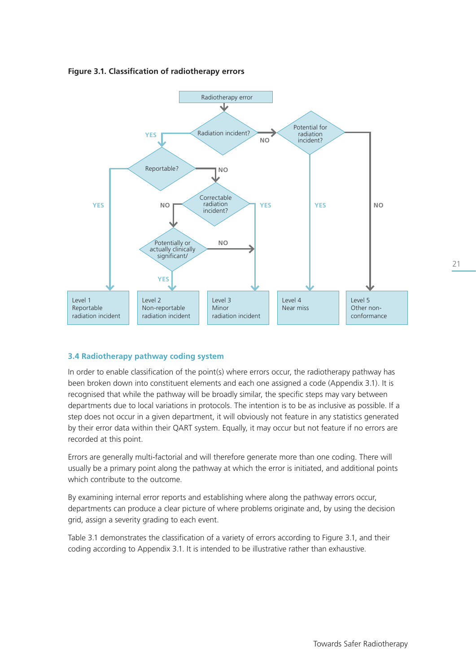**Figure 3.1. Classification of radiotherapy errors** 



# **3.4 Radiotherapy pathway coding system**

In order to enable classification of the point(s) where errors occur, the radiotherapy pathway has been broken down into constituent elements and each one assigned a code (Appendix 3.1). It is recognised that while the pathway will be broadly similar, the specific steps may vary between departments due to local variations in protocols. The intention is to be as inclusive as possible. If a step does not occur in a given department, it will obviously not feature in any statistics generated by their error data within their QART system. Equally, it may occur but not feature if no errors are recorded at this point.

Errors are generally multi-factorial and will therefore generate more than one coding. There will usually be a primary point along the pathway at which the error is initiated, and additional points which contribute to the outcome.

By examining internal error reports and establishing where along the pathway errors occur, departments can produce a clear picture of where problems originate and, by using the decision grid, assign a severity grading to each event.

Table 3.1 demonstrates the classification of a variety of errors according to Figure 3.1, and their coding according to Appendix 3.1. It is intended to be illustrative rather than exhaustive.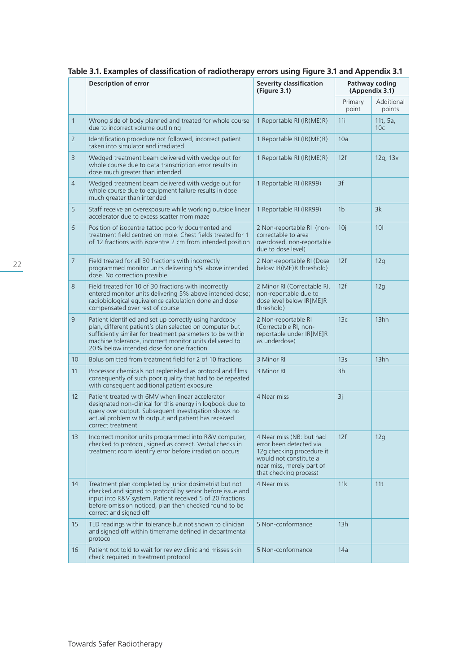|                | iable 5.1. Examples of classification of faulotificially errors using rigure 5.1 and Appendix 5.1                                                                                                                                                                                      |                                                                                                                                                                   |                                  |                             |
|----------------|----------------------------------------------------------------------------------------------------------------------------------------------------------------------------------------------------------------------------------------------------------------------------------------|-------------------------------------------------------------------------------------------------------------------------------------------------------------------|----------------------------------|-----------------------------|
|                | Description of error                                                                                                                                                                                                                                                                   | <b>Severity classification</b><br>(Figure 3.1)                                                                                                                    | Pathway coding<br>(Appendix 3.1) |                             |
|                |                                                                                                                                                                                                                                                                                        |                                                                                                                                                                   | Primary<br>point                 | Additional<br>points        |
| $\mathbf{1}$   | Wrong side of body planned and treated for whole course<br>due to incorrect volume outlining                                                                                                                                                                                           | 1 Reportable RI (IR(ME)R)                                                                                                                                         | 11i                              | 11t, 5a,<br>10 <sub>c</sub> |
| $\overline{2}$ | Identification procedure not followed, incorrect patient<br>taken into simulator and irradiated                                                                                                                                                                                        | 1 Reportable RI (IR(ME)R)                                                                                                                                         | 10a                              |                             |
| 3              | Wedged treatment beam delivered with wedge out for<br>whole course due to data transcription error results in<br>dose much greater than intended                                                                                                                                       | 1 Reportable RI (IR(ME)R)                                                                                                                                         | 12f                              | 12g, 13v                    |
| $\overline{4}$ | Wedged treatment beam delivered with wedge out for<br>whole course due to equipment failure results in dose<br>much greater than intended                                                                                                                                              | 1 Reportable RI (IRR99)                                                                                                                                           | 3f                               |                             |
| 5              | Staff receive an overexposure while working outside linear<br>accelerator due to excess scatter from maze                                                                                                                                                                              | 1 Reportable RI (IRR99)                                                                                                                                           | 1 <sub>b</sub>                   | 3k                          |
| 6              | Position of isocentre tattoo poorly documented and<br>treatment field centred on mole. Chest fields treated for 1<br>of 12 fractions with isocentre 2 cm from intended position                                                                                                        | 2 Non-reportable RI (non-<br>correctable to area<br>overdosed, non-reportable<br>due to dose level)                                                               | 10j                              | 10 <sup>1</sup>             |
| $\overline{7}$ | Field treated for all 30 fractions with incorrectly<br>programmed monitor units delivering 5% above intended<br>dose. No correction possible.                                                                                                                                          | 2 Non-reportable RI (Dose<br>below IR(ME)R threshold)                                                                                                             | 12f                              | 12q                         |
| 8              | Field treated for 10 of 30 fractions with incorrectly<br>entered monitor units delivering 5% above intended dose;<br>radiobiological equivalence calculation done and dose<br>compensated over rest of course                                                                          | 2 Minor RI (Correctable RI,<br>non-reportable due to<br>dose level below IR[ME]R<br>threshold)                                                                    | 12f                              | 12q                         |
| 9              | Patient identified and set up correctly using hardcopy<br>plan, different patient's plan selected on computer but<br>sufficiently similar for treatment parameters to be within<br>machine tolerance, incorrect monitor units delivered to<br>20% below intended dose for one fraction | 2 Non-reportable RI<br>(Correctable RI, non-<br>reportable under IR[ME]R<br>as underdose)                                                                         | 13c                              | 13hh                        |
| 10             | Bolus omitted from treatment field for 2 of 10 fractions                                                                                                                                                                                                                               | 3 Minor RI                                                                                                                                                        | 13 <sub>S</sub>                  | 13hh                        |
| 11             | Processor chemicals not replenished as protocol and films<br>consequently of such poor quality that had to be repeated<br>with consequent additional patient exposure                                                                                                                  | 3 Minor RI                                                                                                                                                        | 3h                               |                             |
| 12             | Patient treated with 6MV when linear accelerator<br>designated non-clinical for this energy in logbook due to<br>query over output. Subsequent investigation shows no<br>actual problem with output and patient has received<br>correct treatment                                      | 4 Near miss                                                                                                                                                       | 3j                               |                             |
| 13             | Incorrect monitor units programmed into R&V computer,<br>checked to protocol, signed as correct. Verbal checks in<br>treatment room identify error before irradiation occurs                                                                                                           | 4 Near miss (NB: but had<br>error been detected via<br>12g checking procedure it<br>would not constitute a<br>near miss, merely part of<br>that checking process) | 12f                              | 12q                         |
| 14             | Treatment plan completed by junior dosimetrist but not<br>checked and signed to protocol by senior before issue and<br>input into R&V system. Patient received 5 of 20 fractions<br>before omission noticed, plan then checked found to be<br>correct and signed off                   | 4 Near miss                                                                                                                                                       | 11k                              | 11t                         |
| 15             | TLD readings within tolerance but not shown to clinician<br>and signed off within timeframe defined in departmental<br>protocol                                                                                                                                                        | 5 Non-conformance                                                                                                                                                 | 13h                              |                             |
| 16             | Patient not told to wait for review clinic and misses skin<br>check required in treatment protocol                                                                                                                                                                                     | 5 Non-conformance                                                                                                                                                 | 14a                              |                             |

# **Table 3.1. Examples of classification of radiotherapy errors using Figure 3.1 and Appendix 3.1**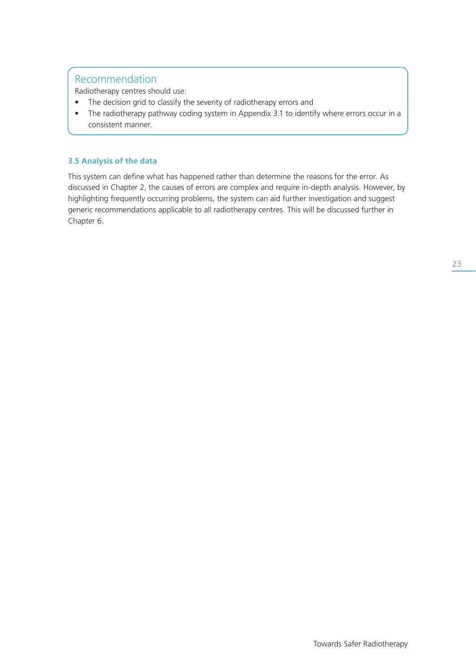Radiotherapy centres should use:

- The decision grid to classify the severity of radiotherapy errors and
- The radiotherapy pathway coding system in Appendix 3.1 to identify where errors occur in a consistent manner.

# **3.5 Analysis of the data**

This system can define what has happened rather than determine the reasons for the error. As discussed in Chapter 2, the causes of errors are complex and require in-depth analysis. However, by highlighting frequently occurring problems, the system can aid further investigation and suggest generic recommendations applicable to all radiotherapy centres. This will be discussed further in Chapter 6.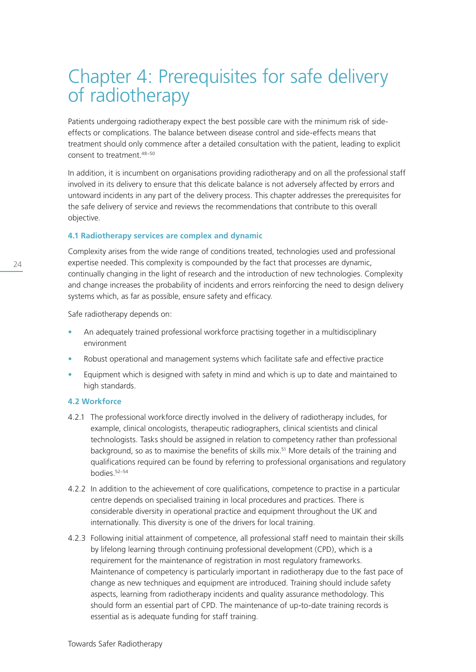# Chapter 4: Prerequisites for safe delivery of radiotherapy

Patients undergoing radiotherapy expect the best possible care with the minimum risk of sideeffects or complications. The balance between disease control and side-effects means that treatment should only commence after a detailed consultation with the patient, leading to explicit consent to treatment.48–50

In addition, it is incumbent on organisations providing radiotherapy and on all the professional staff involved in its delivery to ensure that this delicate balance is not adversely affected by errors and untoward incidents in any part of the delivery process. This chapter addresses the prerequisites for the safe delivery of service and reviews the recommendations that contribute to this overall objective.

### **4.1 Radiotherapy services are complex and dynamic**

Complexity arises from the wide range of conditions treated, technologies used and professional expertise needed. This complexity is compounded by the fact that processes are dynamic, continually changing in the light of research and the introduction of new technologies. Complexity and change increases the probability of incidents and errors reinforcing the need to design delivery systems which, as far as possible, ensure safety and efficacy.

Safe radiotherapy depends on:

- An adequately trained professional workforce practising together in a multidisciplinary environment
- Robust operational and management systems which facilitate safe and effective practice
- Equipment which is designed with safety in mind and which is up to date and maintained to high standards.

### **4.2 Workforce**

- 4.2.1 The professional workforce directly involved in the delivery of radiotherapy includes, for example, clinical oncologists, therapeutic radiographers, clinical scientists and clinical technologists. Tasks should be assigned in relation to competency rather than professional background, so as to maximise the benefits of skills mix.<sup>51</sup> More details of the training and qualifications required can be found by referring to professional organisations and regulatory bodies.52–54
- 4.2.2 In addition to the achievement of core qualifications, competence to practise in a particular centre depends on specialised training in local procedures and practices. There is considerable diversity in operational practice and equipment throughout the UK and internationally. This diversity is one of the drivers for local training.
- 4.2.3 Following initial attainment of competence, all professional staff need to maintain their skills by lifelong learning through continuing professional development (CPD), which is a requirement for the maintenance of registration in most regulatory frameworks. Maintenance of competency is particularly important in radiotherapy due to the fast pace of change as new techniques and equipment are introduced. Training should include safety aspects, learning from radiotherapy incidents and quality assurance methodology. This should form an essential part of CPD. The maintenance of up-to-date training records is essential as is adequate funding for staff training.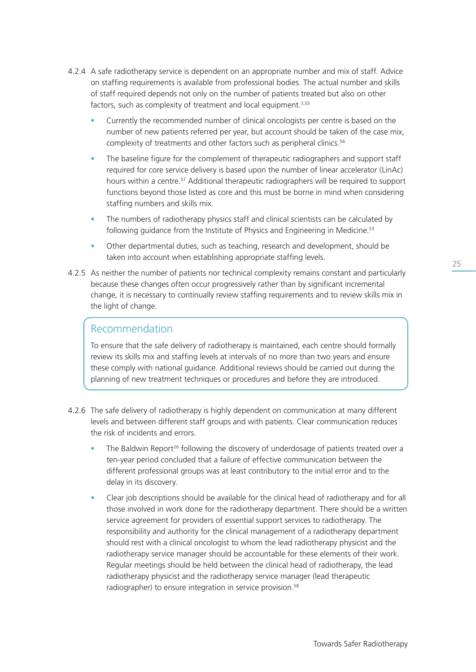- 4.2.4 A safe radiotherapy service is dependent on an appropriate number and mix of staff. Advice on staffing requirements is available from professional bodies. The actual number and skills of staff required depends not only on the number of patients treated but also on other factors, such as complexity of treatment and local equipment.<sup>3,55</sup>
	- Currently the recommended number of clinical oncologists per centre is based on the number of new patients referred per year, but account should be taken of the case mix, complexity of treatments and other factors such as peripheral clinics.<sup>56</sup>
	- The baseline figure for the complement of therapeutic radiographers and support staff required for core service delivery is based upon the number of linear accelerator (LinAc) hours within a centre.<sup>57</sup> Additional therapeutic radiographers will be required to support functions beyond those listed as core and this must be borne in mind when considering staffing numbers and skills mix.
	- The numbers of radiotherapy physics staff and clinical scientists can be calculated by following guidance from the Institute of Physics and Engineering in Medicine.<sup>53</sup>
	- Other departmental duties, such as teaching, research and development, should be taken into account when establishing appropriate staffing levels.
- 4.2.5 As neither the number of patients nor technical complexity remains constant and particularly because these changes often occur progressively rather than by significant incremental change, it is necessary to continually review staffing requirements and to review skills mix in the light of change.

 To ensure that the safe delivery of radiotherapy is maintained, each centre should formally review its skills mix and staffing levels at intervals of no more than two years and ensure these comply with national guidance. Additional reviews should be carried out during the planning of new treatment techniques or procedures and before they are introduced.

- 4.2.6 The safe delivery of radiotherapy is highly dependent on communication at many different levels and between different staff groups and with patients. Clear communication reduces the risk of incidents and errors.
	- The Baldwin Report<sup>26</sup> following the discovery of underdosage of patients treated over a ten-year period concluded that a failure of effective communication between the different professional groups was at least contributory to the initial error and to the delay in its discovery.
	- Clear job descriptions should be available for the clinical head of radiotherapy and for all those involved in work done for the radiotherapy department. There should be a written service agreement for providers of essential support services to radiotherapy. The responsibility and authority for the clinical management of a radiotherapy department should rest with a clinical oncologist to whom the lead radiotherapy physicist and the radiotherapy service manager should be accountable for these elements of their work. Regular meetings should be held between the clinical head of radiotherapy, the lead radiotherapy physicist and the radiotherapy service manager (lead therapeutic radiographer) to ensure integration in service provision.<sup>58</sup>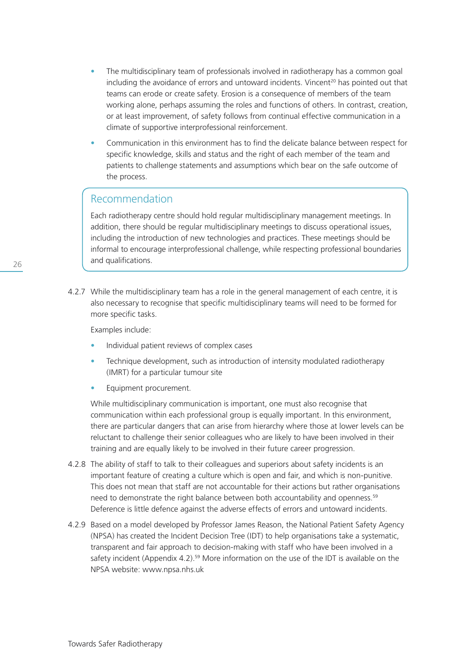- The multidisciplinary team of professionals involved in radiotherapy has a common goal including the avoidance of errors and untoward incidents. Vincent<sup>20</sup> has pointed out that teams can erode or create safety. Erosion is a consequence of members of the team working alone, perhaps assuming the roles and functions of others. In contrast, creation, or at least improvement, of safety follows from continual effective communication in a climate of supportive interprofessional reinforcement.
- Communication in this environment has to find the delicate balance between respect for specific knowledge, skills and status and the right of each member of the team and patients to challenge statements and assumptions which bear on the safe outcome of the process.

 Each radiotherapy centre should hold regular multidisciplinary management meetings. In addition, there should be regular multidisciplinary meetings to discuss operational issues, including the introduction of new technologies and practices. These meetings should be informal to encourage interprofessional challenge, while respecting professional boundaries and qualifications.

4.2.7 While the multidisciplinary team has a role in the general management of each centre, it is also necessary to recognise that specific multidisciplinary teams will need to be formed for more specific tasks.

Examples include:

- Individual patient reviews of complex cases
- Technique development, such as introduction of intensity modulated radiotherapy (IMRT) for a particular tumour site
- Equipment procurement.

 While multidisciplinary communication is important, one must also recognise that communication within each professional group is equally important. In this environment, there are particular dangers that can arise from hierarchy where those at lower levels can be reluctant to challenge their senior colleagues who are likely to have been involved in their training and are equally likely to be involved in their future career progression.

- 4.2.8 The ability of staff to talk to their colleagues and superiors about safety incidents is an important feature of creating a culture which is open and fair, and which is non-punitive. This does not mean that staff are not accountable for their actions but rather organisations need to demonstrate the right balance between both accountability and openness.<sup>59</sup> Deference is little defence against the adverse effects of errors and untoward incidents.
- 4.2.9 Based on a model developed by Professor James Reason, the National Patient Safety Agency (NPSA) has created the Incident Decision Tree (IDT) to help organisations take a systematic, transparent and fair approach to decision-making with staff who have been involved in a safety incident (Appendix 4.2).<sup>59</sup> More information on the use of the IDT is available on the NPSA website: www.npsa.nhs.uk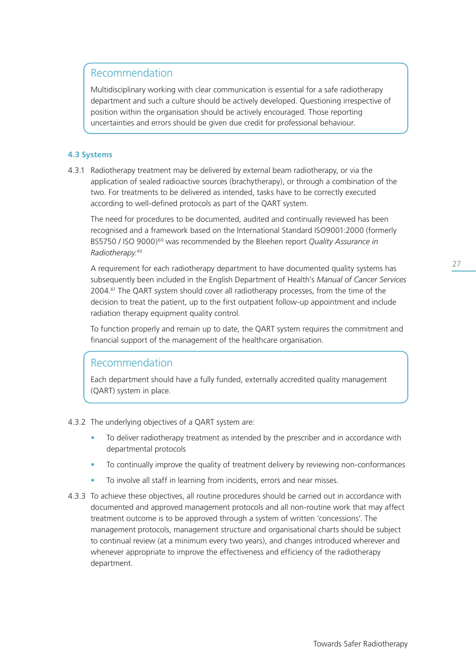Multidisciplinary working with clear communication is essential for a safe radiotherapy department and such a culture should be actively developed. Questioning irrespective of position within the organisation should be actively encouraged. Those reporting uncertainties and errors should be given due credit for professional behaviour.

# **4.3 Systems**

4.3.1 Radiotherapy treatment may be delivered by external beam radiotherapy, or via the application of sealed radioactive sources (brachytherapy), or through a combination of the two. For treatments to be delivered as intended, tasks have to be correctly executed according to well-defined protocols as part of the QART system.

 The need for procedures to be documented, audited and continually reviewed has been recognised and a framework based on the International Standard ISO9001:2000 (formerly BS5750 / ISO 9000)60 was recommended by the Bleehen report *Quality Assurance in Radiotherapy*. 40

 A requirement for each radiotherapy department to have documented quality systems has subsequently been included in the English Department of Health's *Manual of Cancer Services* 2004.<sup>61</sup> The QART system should cover all radiotherapy processes, from the time of the decision to treat the patient, up to the first outpatient follow-up appointment and include radiation therapy equipment quality control.

 To function properly and remain up to date, the QART system requires the commitment and financial support of the management of the healthcare organisation.

# Recommendation

 Each department should have a fully funded, externally accredited quality management (QART) system in place.

- 4.3.2 The underlying objectives of a QART system are:
	- To deliver radiotherapy treatment as intended by the prescriber and in accordance with departmental protocols
	- To continually improve the quality of treatment delivery by reviewing non-conformances
	- To involve all staff in learning from incidents, errors and near misses.
- 4.3.3 To achieve these objectives, all routine procedures should be carried out in accordance with documented and approved management protocols and all non-routine work that may affect treatment outcome is to be approved through a system of written 'concessions'. The management protocols, management structure and organisational charts should be subject to continual review (at a minimum every two years), and changes introduced wherever and whenever appropriate to improve the effectiveness and efficiency of the radiotherapy department.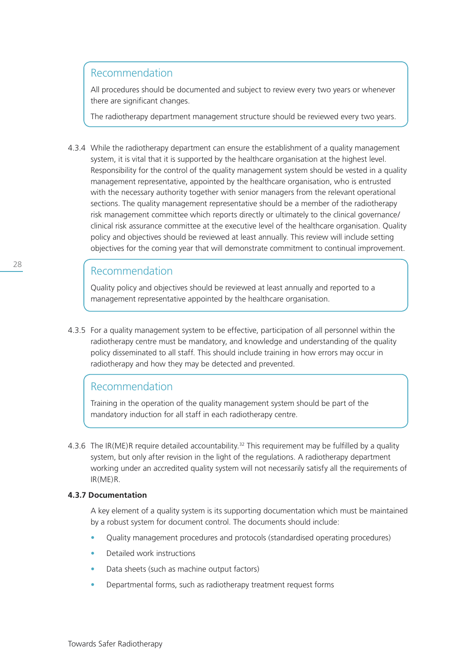All procedures should be documented and subject to review every two years or whenever there are significant changes.

The radiotherapy department management structure should be reviewed every two years.

4.3.4 While the radiotherapy department can ensure the establishment of a quality management system, it is vital that it is supported by the healthcare organisation at the highest level. Responsibility for the control of the quality management system should be vested in a quality management representative, appointed by the healthcare organisation, who is entrusted with the necessary authority together with senior managers from the relevant operational sections. The quality management representative should be a member of the radiotherapy risk management committee which reports directly or ultimately to the clinical governance/ clinical risk assurance committee at the executive level of the healthcare organisation. Quality policy and objectives should be reviewed at least annually. This review will include setting objectives for the coming year that will demonstrate commitment to continual improvement.

# Recommendation

 Quality policy and objectives should be reviewed at least annually and reported to a management representative appointed by the healthcare organisation.

4.3.5 For a quality management system to be effective, participation of all personnel within the radiotherapy centre must be mandatory, and knowledge and understanding of the quality policy disseminated to all staff. This should include training in how errors may occur in radiotherapy and how they may be detected and prevented.

# Recommendation

 Training in the operation of the quality management system should be part of the mandatory induction for all staff in each radiotherapy centre.

4.3.6 The IR(ME)R require detailed accountability.<sup>32</sup> This requirement may be fulfilled by a quality system, but only after revision in the light of the regulations. A radiotherapy department working under an accredited quality system will not necessarily satisfy all the requirements of IR(ME)R.

### **4.3.7 Documentation**

 A key element of a quality system is its supporting documentation which must be maintained by a robust system for document control. The documents should include:

- Quality management procedures and protocols (standardised operating procedures)
- Detailed work instructions
- Data sheets (such as machine output factors)
- Departmental forms, such as radiotherapy treatment request forms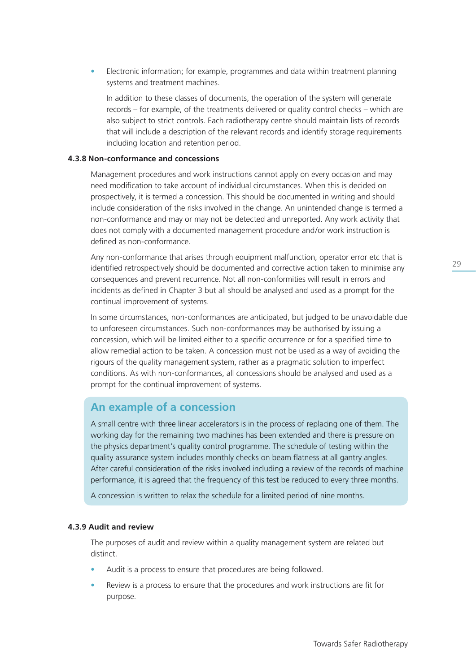• Electronic information; for example, programmes and data within treatment planning systems and treatment machines.

 In addition to these classes of documents, the operation of the system will generate records – for example, of the treatments delivered or quality control checks – which are also subject to strict controls. Each radiotherapy centre should maintain lists of records that will include a description of the relevant records and identify storage requirements including location and retention period.

#### **4.3.8 Non-conformance and concessions**

 Management procedures and work instructions cannot apply on every occasion and may need modification to take account of individual circumstances. When this is decided on prospectively, it is termed a concession. This should be documented in writing and should include consideration of the risks involved in the change. An unintended change is termed a non-conformance and may or may not be detected and unreported. Any work activity that does not comply with a documented management procedure and/or work instruction is defined as non-conformance.

 Any non-conformance that arises through equipment malfunction, operator error etc that is identified retrospectively should be documented and corrective action taken to minimise any consequences and prevent recurrence. Not all non-conformities will result in errors and incidents as defined in Chapter 3 but all should be analysed and used as a prompt for the continual improvement of systems.

 In some circumstances, non-conformances are anticipated, but judged to be unavoidable due to unforeseen circumstances. Such non-conformances may be authorised by issuing a concession, which will be limited either to a specific occurrence or for a specified time to allow remedial action to be taken. A concession must not be used as a way of avoiding the rigours of the quality management system, rather as a pragmatic solution to imperfect conditions. As with non-conformances, all concessions should be analysed and used as a prompt for the continual improvement of systems.

# **An example of a concession**

 A small centre with three linear accelerators is in the process of replacing one of them. The working day for the remaining two machines has been extended and there is pressure on the physics department's quality control programme. The schedule of testing within the quality assurance system includes monthly checks on beam flatness at all gantry angles. After careful consideration of the risks involved including a review of the records of machine performance, it is agreed that the frequency of this test be reduced to every three months.

A concession is written to relax the schedule for a limited period of nine months.

#### **4.3.9 Audit and review**

 The purposes of audit and review within a quality management system are related but distinct.

- Audit is a process to ensure that procedures are being followed.
- Review is a process to ensure that the procedures and work instructions are fit for purpose.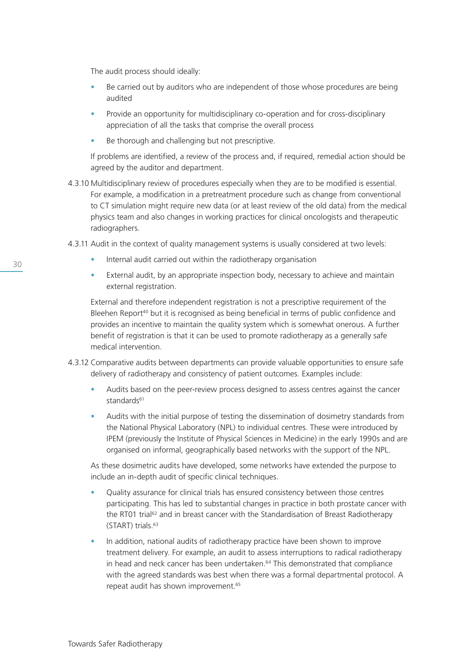The audit process should ideally:

- Be carried out by auditors who are independent of those whose procedures are being audited
- Provide an opportunity for multidisciplinary co-operation and for cross-disciplinary appreciation of all the tasks that comprise the overall process
- Be thorough and challenging but not prescriptive.

 If problems are identified, a review of the process and, if required, remedial action should be agreed by the auditor and department.

- 4.3.10 Multidisciplinary review of procedures especially when they are to be modified is essential. For example, a modification in a pretreatment procedure such as change from conventional to CT simulation might require new data (or at least review of the old data) from the medical physics team and also changes in working practices for clinical oncologists and therapeutic radiographers.
- 4.3.11 Audit in the context of quality management systems is usually considered at two levels:
	- Internal audit carried out within the radiotherapy organisation
	- External audit, by an appropriate inspection body, necessary to achieve and maintain external registration.

 External and therefore independent registration is not a prescriptive requirement of the Bleehen Report<sup>40</sup> but it is recognised as being beneficial in terms of public confidence and provides an incentive to maintain the quality system which is somewhat onerous. A further benefit of registration is that it can be used to promote radiotherapy as a generally safe medical intervention.

- 4.3.12 Comparative audits between departments can provide valuable opportunities to ensure safe delivery of radiotherapy and consistency of patient outcomes. Examples include:
	- Audits based on the peer-review process designed to assess centres against the cancer standards<sup>61</sup>
	- Audits with the initial purpose of testing the dissemination of dosimetry standards from the National Physical Laboratory (NPL) to individual centres. These were introduced by IPEM (previously the Institute of Physical Sciences in Medicine) in the early 1990s and are organised on informal, geographically based networks with the support of the NPL.

 As these dosimetric audits have developed, some networks have extended the purpose to include an in-depth audit of specific clinical techniques.

- Quality assurance for clinical trials has ensured consistency between those centres participating. This has led to substantial changes in practice in both prostate cancer with the RT01 trial<sup>62</sup> and in breast cancer with the Standardisation of Breast Radiotherapy (START) trials.63
- In addition, national audits of radiotherapy practice have been shown to improve treatment delivery. For example, an audit to assess interruptions to radical radiotherapy in head and neck cancer has been undertaken.<sup>64</sup> This demonstrated that compliance with the agreed standards was best when there was a formal departmental protocol. A repeat audit has shown improvement.<sup>65</sup>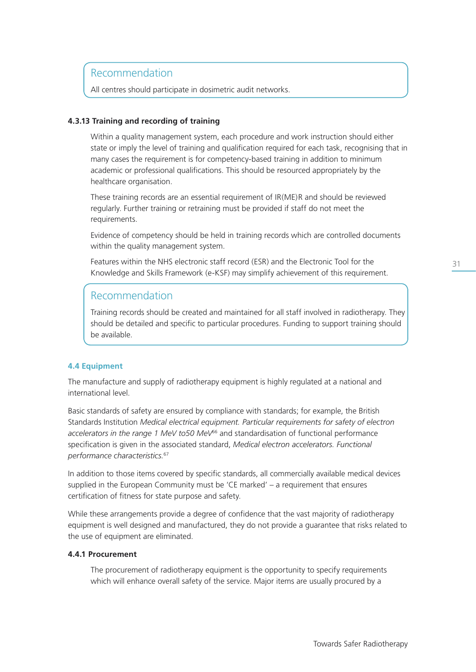All centres should participate in dosimetric audit networks.

# **4.3.13 Training and recording of training**

 Within a quality management system, each procedure and work instruction should either state or imply the level of training and qualification required for each task, recognising that in many cases the requirement is for competency-based training in addition to minimum academic or professional qualifications. This should be resourced appropriately by the healthcare organisation.

 These training records are an essential requirement of IR(ME)R and should be reviewed regularly. Further training or retraining must be provided if staff do not meet the requirements.

 Evidence of competency should be held in training records which are controlled documents within the quality management system.

 Features within the NHS electronic staff record (ESR) and the Electronic Tool for the Knowledge and Skills Framework (e-KSF) may simplify achievement of this requirement.

# Recommendation

 Training records should be created and maintained for all staff involved in radiotherapy. They should be detailed and specific to particular procedures. Funding to support training should be available.

# **4.4 Equipment**

The manufacture and supply of radiotherapy equipment is highly regulated at a national and international level.

Basic standards of safety are ensured by compliance with standards; for example, the British Standards Institution *Medical electrical equipment. Particular requirements for safety of electron accelerators in the range 1 MeV to50 MeV*66 and standardisation of functional performance specification is given in the associated standard, *Medical electron accelerators. Functional performance characteristics.*<sup>67</sup>

In addition to those items covered by specific standards, all commercially available medical devices supplied in the European Community must be 'CE marked' – a requirement that ensures certification of fitness for state purpose and safety.

While these arrangements provide a degree of confidence that the vast majority of radiotherapy equipment is well designed and manufactured, they do not provide a guarantee that risks related to the use of equipment are eliminated.

### **4.4.1 Procurement**

 The procurement of radiotherapy equipment is the opportunity to specify requirements which will enhance overall safety of the service. Major items are usually procured by a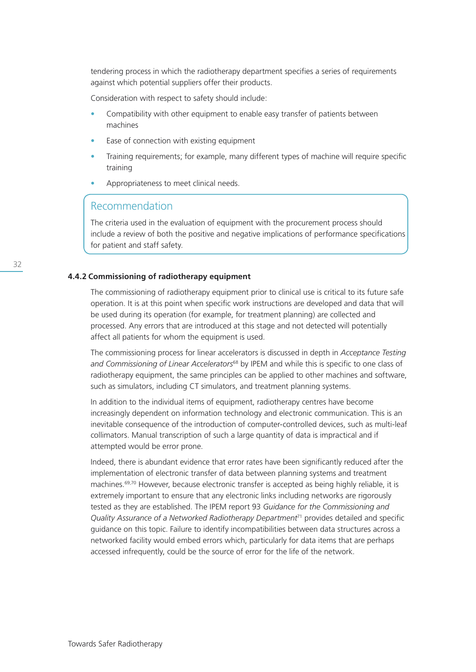tendering process in which the radiotherapy department specifies a series of requirements against which potential suppliers offer their products.

Consideration with respect to safety should include:

- Compatibility with other equipment to enable easy transfer of patients between machines
- Ease of connection with existing equipment
- Training requirements; for example, many different types of machine will require specific training
- Appropriateness to meet clinical needs.

# Recommendation

 The criteria used in the evaluation of equipment with the procurement process should include a review of both the positive and negative implications of performance specifications for patient and staff safety.

# **4.4.2 Commissioning of radiotherapy equipment**

 The commissioning of radiotherapy equipment prior to clinical use is critical to its future safe operation. It is at this point when specific work instructions are developed and data that will be used during its operation (for example, for treatment planning) are collected and processed. Any errors that are introduced at this stage and not detected will potentially affect all patients for whom the equipment is used.

 The commissioning process for linear accelerators is discussed in depth in *Acceptance Testing and Commissioning of Linear Accelerators*68 by IPEM and while this is specific to one class of radiotherapy equipment, the same principles can be applied to other machines and software, such as simulators, including CT simulators, and treatment planning systems.

 In addition to the individual items of equipment, radiotherapy centres have become increasingly dependent on information technology and electronic communication. This is an inevitable consequence of the introduction of computer-controlled devices, such as multi-leaf collimators. Manual transcription of such a large quantity of data is impractical and if attempted would be error prone.

 Indeed, there is abundant evidence that error rates have been significantly reduced after the implementation of electronic transfer of data between planning systems and treatment machines.69,70 However, because electronic transfer is accepted as being highly reliable, it is extremely important to ensure that any electronic links including networks are rigorously tested as they are established. The IPEM report 93 *Guidance for the Commissioning and Quality Assurance of a Networked Radiotherapy Department*71 provides detailed and specific guidance on this topic. Failure to identify incompatibilities between data structures across a networked facility would embed errors which, particularly for data items that are perhaps accessed infrequently, could be the source of error for the life of the network.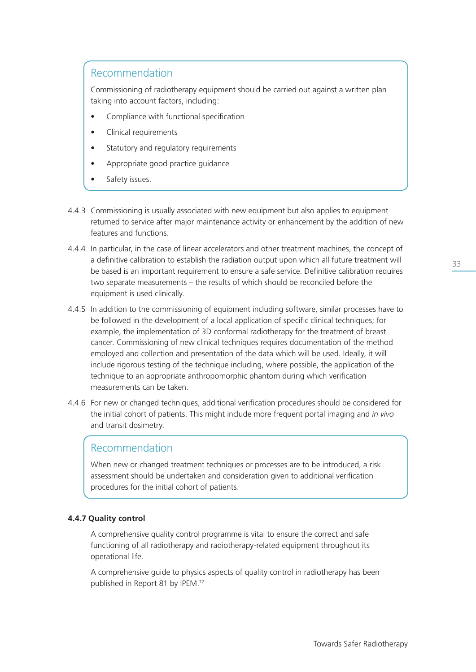Commissioning of radiotherapy equipment should be carried out against a written plan taking into account factors, including:

- Compliance with functional specification
- Clinical requirements
- Statutory and regulatory requirements
- Appropriate good practice guidance
- Safety issues.
- 4.4.3 Commissioning is usually associated with new equipment but also applies to equipment returned to service after major maintenance activity or enhancement by the addition of new features and functions.
- 4.4.4 In particular, in the case of linear accelerators and other treatment machines, the concept of a definitive calibration to establish the radiation output upon which all future treatment will be based is an important requirement to ensure a safe service. Definitive calibration requires two separate measurements – the results of which should be reconciled before the equipment is used clinically.
- 4.4.5 In addition to the commissioning of equipment including software, similar processes have to be followed in the development of a local application of specific clinical techniques; for example, the implementation of 3D conformal radiotherapy for the treatment of breast cancer. Commissioning of new clinical techniques requires documentation of the method employed and collection and presentation of the data which will be used. Ideally, it will include rigorous testing of the technique including, where possible, the application of the technique to an appropriate anthropomorphic phantom during which verification measurements can be taken.
- 4.4.6 For new or changed techniques, additional verification procedures should be considered for the initial cohort of patients. This might include more frequent portal imaging and *in vivo* and transit dosimetry.

# Recommendation

 When new or changed treatment techniques or processes are to be introduced, a risk assessment should be undertaken and consideration given to additional verification procedures for the initial cohort of patients.

# **4.4.7 Quality control**

 A comprehensive quality control programme is vital to ensure the correct and safe functioning of all radiotherapy and radiotherapy-related equipment throughout its operational life.

 A comprehensive guide to physics aspects of quality control in radiotherapy has been published in Report 81 by IPEM.72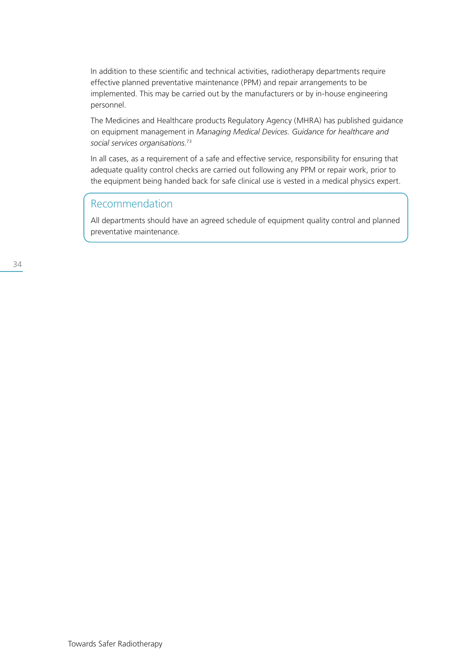In addition to these scientific and technical activities, radiotherapy departments require effective planned preventative maintenance (PPM) and repair arrangements to be implemented. This may be carried out by the manufacturers or by in-house engineering personnel.

 The Medicines and Healthcare products Regulatory Agency (MHRA) has published guidance on equipment management in *Managing Medical Devices. Guidance for healthcare and social services organisations.*<sup>73</sup>

 In all cases, as a requirement of a safe and effective service, responsibility for ensuring that adequate quality control checks are carried out following any PPM or repair work, prior to the equipment being handed back for safe clinical use is vested in a medical physics expert.

# Recommendation

 All departments should have an agreed schedule of equipment quality control and planned preventative maintenance.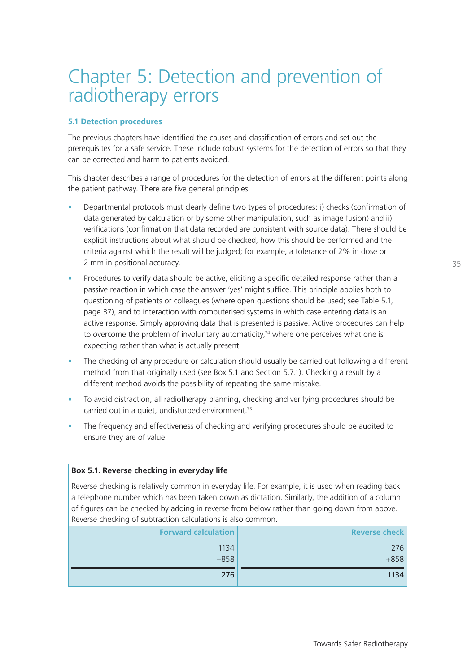# Chapter 5: Detection and prevention of radiotherapy errors

# **5.1 Detection procedures**

The previous chapters have identified the causes and classification of errors and set out the prerequisites for a safe service. These include robust systems for the detection of errors so that they can be corrected and harm to patients avoided.

This chapter describes a range of procedures for the detection of errors at the different points along the patient pathway. There are five general principles.

- Departmental protocols must clearly define two types of procedures: i) checks (confirmation of data generated by calculation or by some other manipulation, such as image fusion) and ii) verifications (confirmation that data recorded are consistent with source data). There should be explicit instructions about what should be checked, how this should be performed and the criteria against which the result will be judged; for example, a tolerance of 2% in dose or 2 mm in positional accuracy.
- Procedures to verify data should be active, eliciting a specific detailed response rather than a passive reaction in which case the answer 'yes' might suffice. This principle applies both to questioning of patients or colleagues (where open questions should be used; see Table 5.1, page 37), and to interaction with computerised systems in which case entering data is an active response. Simply approving data that is presented is passive. Active procedures can help to overcome the problem of involuntary automaticity, $74$  where one perceives what one is expecting rather than what is actually present.
- The checking of any procedure or calculation should usually be carried out following a different method from that originally used (see Box 5.1 and Section 5.7.1). Checking a result by a different method avoids the possibility of repeating the same mistake.
- To avoid distraction, all radiotherapy planning, checking and verifying procedures should be carried out in a quiet, undisturbed environment.<sup>75</sup>
- The frequency and effectiveness of checking and verifying procedures should be audited to ensure they are of value.

# **Box 5.1. Reverse checking in everyday life** Reverse checking is relatively common in everyday life. For example, it is used when reading back a telephone number which has been taken down as dictation. Similarly, the addition of a column of figures can be checked by adding in reverse from below rather than going down from above. Reverse checking of subtraction calculations is also common.

| <b>Forward calculation</b> | <b>Reverse check</b> |
|----------------------------|----------------------|
| 1134                       | 276                  |
| $-858$                     | $+858$               |
| 276                        | 1134                 |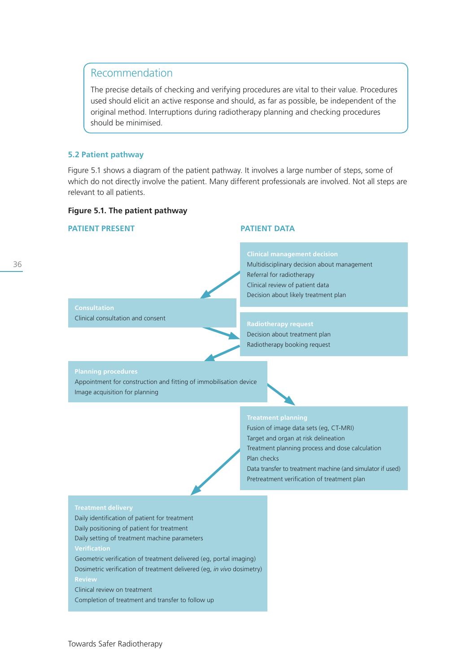The precise details of checking and verifying procedures are vital to their value. Procedures used should elicit an active response and should, as far as possible, be independent of the original method. Interruptions during radiotherapy planning and checking procedures should be minimised.

### **5.2 Patient pathway**

Figure 5.1 shows a diagram of the patient pathway. It involves a large number of steps, some of which do not directly involve the patient. Many different professionals are involved. Not all steps are relevant to all patients.

### **Figure 5.1. The patient pathway**

#### **PATIENT PRESENT PATIENT DATA**

# 36

**Consultation** Clinical consultation and consent

**Clinical management decision** Multidisciplinary decision about management Referral for radiotherapy Clinical review of patient data Decision about likely treatment plan

#### **Radiotherapy request**

Decision about treatment plan Radiotherapy booking request

#### **Planning procedures**

Appointment for construction and fitting of immobilisation device Image acquisition for planning

Fusion of image data sets (eg, CT-MRI) Target and organ at risk delineation Treatment planning process and dose calculation Plan checks Data transfer to treatment machine (and simulator if used) Pretreatment verification of treatment plan

Daily identification of patient for treatment

Daily positioning of patient for treatment

Daily setting of treatment machine parameters

Geometric verification of treatment delivered (eg, portal imaging) Dosimetric verification of treatment delivered (eg, *in vivo* dosimetry)

Clinical review on treatment

Completion of treatment and transfer to follow up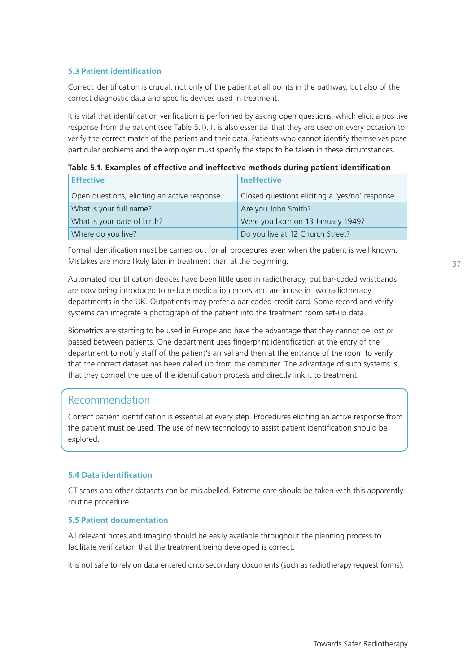# **5.3 Patient identification**

Correct identification is crucial, not only of the patient at all points in the pathway, but also of the correct diagnostic data and specific devices used in treatment.

It is vital that identification verification is performed by asking open questions, which elicit a positive response from the patient (see Table 5.1). It is also essential that they are used on every occasion to verify the correct match of the patient and their data. Patients who cannot identify themselves pose particular problems and the employer must specify the steps to be taken in these circumstances.

|  | <b>Effective</b>                             | Ineffective                                    |  |  |
|--|----------------------------------------------|------------------------------------------------|--|--|
|  | Open questions, eliciting an active response | Closed questions eliciting a 'yes/no' response |  |  |
|  | What is your full name?                      | Are you John Smith?                            |  |  |
|  | What is your date of birth?                  | Were you born on 13 January 1949?              |  |  |
|  | Where do you live?                           | Do you live at 12 Church Street?               |  |  |

|  |  |  |  |  | Table 5.1. Examples of effective and ineffective methods during patient identification |
|--|--|--|--|--|----------------------------------------------------------------------------------------|
|--|--|--|--|--|----------------------------------------------------------------------------------------|

Formal identification must be carried out for all procedures even when the patient is well known. Mistakes are more likely later in treatment than at the beginning.

Automated identification devices have been little used in radiotherapy, but bar-coded wristbands are now being introduced to reduce medication errors and are in use in two radiotherapy departments in the UK. Outpatients may prefer a bar-coded credit card. Some record and verify systems can integrate a photograph of the patient into the treatment room set-up data.

Biometrics are starting to be used in Europe and have the advantage that they cannot be lost or passed between patients. One department uses fingerprint identification at the entry of the department to notify staff of the patient's arrival and then at the entrance of the room to verify that the correct dataset has been called up from the computer. The advantage of such systems is that they compel the use of the identification process and directly link it to treatment.

# Recommendation

Correct patient identification is essential at every step. Procedures eliciting an active response from the patient must be used. The use of new technology to assist patient identification should be explored.

# **5.4 Data identification**

CT scans and other datasets can be mislabelled. Extreme care should be taken with this apparently routine procedure.

# **5.5 Patient documentation**

All relevant notes and imaging should be easily available throughout the planning process to facilitate verification that the treatment being developed is correct.

It is not safe to rely on data entered onto secondary documents (such as radiotherapy request forms).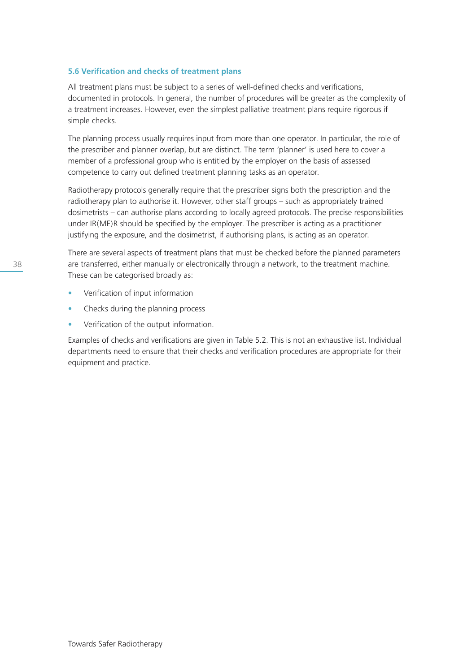## **5.6 Verification and checks of treatment plans**

All treatment plans must be subject to a series of well-defined checks and verifications, documented in protocols. In general, the number of procedures will be greater as the complexity of a treatment increases. However, even the simplest palliative treatment plans require rigorous if simple checks.

The planning process usually requires input from more than one operator. In particular, the role of the prescriber and planner overlap, but are distinct. The term 'planner' is used here to cover a member of a professional group who is entitled by the employer on the basis of assessed competence to carry out defined treatment planning tasks as an operator.

Radiotherapy protocols generally require that the prescriber signs both the prescription and the radiotherapy plan to authorise it. However, other staff groups – such as appropriately trained dosimetrists – can authorise plans according to locally agreed protocols. The precise responsibilities under IR(ME)R should be specified by the employer. The prescriber is acting as a practitioner justifying the exposure, and the dosimetrist, if authorising plans, is acting as an operator.

There are several aspects of treatment plans that must be checked before the planned parameters are transferred, either manually or electronically through a network, to the treatment machine. These can be categorised broadly as:

- Verification of input information
- Checks during the planning process
- Verification of the output information.

Examples of checks and verifications are given in Table 5.2. This is not an exhaustive list. Individual departments need to ensure that their checks and verification procedures are appropriate for their equipment and practice.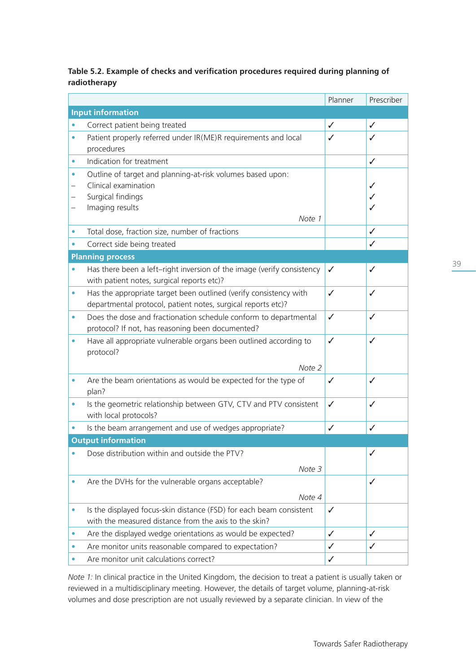## **Table 5.2. Example of checks and verification procedures required during planning of radiotherapy**

|           |                                                                                                                                   | Planner      | Prescriber   |
|-----------|-----------------------------------------------------------------------------------------------------------------------------------|--------------|--------------|
|           | <b>Input information</b>                                                                                                          |              |              |
|           | Correct patient being treated                                                                                                     | $\checkmark$ | $\checkmark$ |
| ٠         | Patient properly referred under IR(ME)R requirements and local<br>procedures                                                      | ✓            | ✓            |
| ۰         | Indication for treatment                                                                                                          |              | $\checkmark$ |
| ۰         | Outline of target and planning-at-risk volumes based upon:<br>Clinical examination<br>Surgical findings                           |              | ✓<br>✓       |
| -         | Imaging results                                                                                                                   |              | ✓            |
|           | Note 1                                                                                                                            |              |              |
| ۰         | Total dose, fraction size, number of fractions                                                                                    |              | $\checkmark$ |
| ۰         | Correct side being treated                                                                                                        |              | ✓            |
|           | <b>Planning process</b>                                                                                                           |              |              |
| $\bullet$ | Has there been a left-right inversion of the image (verify consistency<br>with patient notes, surgical reports etc)?              | ✓            | $\checkmark$ |
| $\bullet$ | Has the appropriate target been outlined (verify consistency with<br>departmental protocol, patient notes, surgical reports etc)? | $\checkmark$ | ✓            |
| $\bullet$ | Does the dose and fractionation schedule conform to departmental<br>protocol? If not, has reasoning been documented?              | $\checkmark$ | ✓            |
| ۰         | Have all appropriate vulnerable organs been outlined according to<br>protocol?                                                    | $\checkmark$ | ✓            |
|           | Note 2                                                                                                                            |              |              |
| ۰         | Are the beam orientations as would be expected for the type of<br>plan?                                                           | $\checkmark$ | ✓            |
|           | Is the geometric relationship between GTV, CTV and PTV consistent<br>with local protocols?                                        | ✓            | ✓            |
|           | Is the beam arrangement and use of wedges appropriate?                                                                            | $\checkmark$ | ✓            |
|           | <b>Output information</b>                                                                                                         |              |              |
|           | Dose distribution within and outside the PTV?<br>Note 3                                                                           |              |              |
|           | Are the DVHs for the vulnerable organs acceptable?<br>Note 4                                                                      |              | ✓            |
|           | Is the displayed focus-skin distance (FSD) for each beam consistent<br>with the measured distance from the axis to the skin?      | ✓            |              |
|           | Are the displayed wedge orientations as would be expected?                                                                        | $\checkmark$ | ✓            |
|           | Are monitor units reasonable compared to expectation?                                                                             | ✓            | ✓            |
|           | Are monitor unit calculations correct?                                                                                            | ✓            |              |

*Note 1:* In clinical practice in the United Kingdom, the decision to treat a patient is usually taken or reviewed in a multidisciplinary meeting. However, the details of target volume, planning-at-risk volumes and dose prescription are not usually reviewed by a separate clinician. In view of the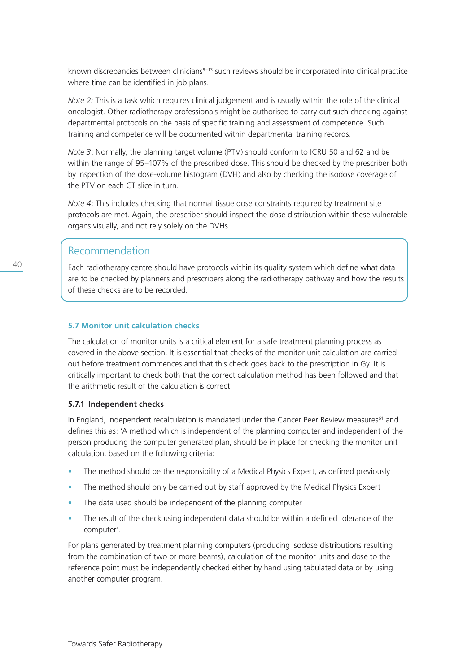known discrepancies between clinicians<sup>9–13</sup> such reviews should be incorporated into clinical practice where time can be identified in job plans.

*Note 2:* This is a task which requires clinical judgement and is usually within the role of the clinical oncologist. Other radiotherapy professionals might be authorised to carry out such checking against departmental protocols on the basis of specific training and assessment of competence. Such training and competence will be documented within departmental training records.

*Note 3*: Normally, the planning target volume (PTV) should conform to ICRU 50 and 62 and be within the range of 95–107% of the prescribed dose. This should be checked by the prescriber both by inspection of the dose-volume histogram (DVH) and also by checking the isodose coverage of the PTV on each CT slice in turn.

*Note 4*: This includes checking that normal tissue dose constraints required by treatment site protocols are met. Again, the prescriber should inspect the dose distribution within these vulnerable organs visually, and not rely solely on the DVHs.

# Recommendation

Each radiotherapy centre should have protocols within its quality system which define what data are to be checked by planners and prescribers along the radiotherapy pathway and how the results of these checks are to be recorded.

## **5.7 Monitor unit calculation checks**

The calculation of monitor units is a critical element for a safe treatment planning process as covered in the above section. It is essential that checks of the monitor unit calculation are carried out before treatment commences and that this check goes back to the prescription in Gy. It is critically important to check both that the correct calculation method has been followed and that the arithmetic result of the calculation is correct.

## **5.7.1 Independent checks**

In England, independent recalculation is mandated under the Cancer Peer Review measures<sup>61</sup> and defines this as: 'A method which is independent of the planning computer and independent of the person producing the computer generated plan, should be in place for checking the monitor unit calculation, based on the following criteria:

- The method should be the responsibility of a Medical Physics Expert, as defined previously
- The method should only be carried out by staff approved by the Medical Physics Expert
- The data used should be independent of the planning computer
- The result of the check using independent data should be within a defined tolerance of the computer'.

For plans generated by treatment planning computers (producing isodose distributions resulting from the combination of two or more beams), calculation of the monitor units and dose to the reference point must be independently checked either by hand using tabulated data or by using another computer program.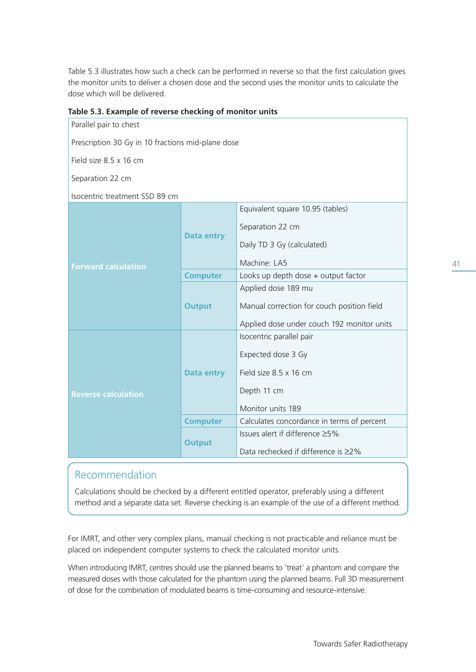Table 5.3 illustrates how such a check can be performed in reverse so that the first calculation gives the monitor units to deliver a chosen dose and the second uses the monitor units to calculate the dose which will be delivered.

## **Table 5.3. Example of reverse checking of monitor units**

| Parallel pair to chest                            |                   |                                            |
|---------------------------------------------------|-------------------|--------------------------------------------|
| Prescription 30 Gy in 10 fractions mid-plane dose |                   |                                            |
| Field size 8.5 x 16 cm                            |                   |                                            |
| Separation 22 cm                                  |                   |                                            |
| Isocentric treatment SSD 89 cm                    |                   |                                            |
|                                                   |                   | Equivalent square 10.95 (tables)           |
|                                                   | <b>Data entry</b> | Separation 22 cm                           |
|                                                   |                   |                                            |
|                                                   |                   | Daily TD 3 Gy (calculated)                 |
| <b>Forward calculation</b>                        |                   | Machine: LA5                               |
|                                                   | <b>Computer</b>   | Looks up depth dose + output factor        |
|                                                   | <b>Output</b>     | Applied dose 189 mu                        |
|                                                   |                   | Manual correction for couch position field |
|                                                   |                   | Applied dose under couch 192 monitor units |
|                                                   |                   | Isocentric parallel pair                   |
|                                                   | <b>Data entry</b> | Expected dose 3 Gy                         |
|                                                   |                   | Field size 8.5 x 16 cm                     |
|                                                   |                   |                                            |
| <b>Reverse calculation</b>                        |                   | Depth 11 cm                                |
|                                                   |                   | Monitor units 189                          |
|                                                   | <b>Computer</b>   | Calculates concordance in terms of percent |
|                                                   | <b>Output</b>     | Issues alert if difference ≥5%             |
|                                                   |                   | Data rechecked if difference is ≥2%        |

# Recommendation

Calculations should be checked by a different entitled operator, preferably using a different method and a separate data set. Reverse checking is an example of the use of a different method.

For IMRT, and other very complex plans, manual checking is not practicable and reliance must be placed on independent computer systems to check the calculated monitor units.

When introducing IMRT, centres should use the planned beams to 'treat' a phantom and compare the measured doses with those calculated for the phantom using the planned beams. Full 3D measurement of dose for the combination of modulated beams is time-consuming and resource-intensive.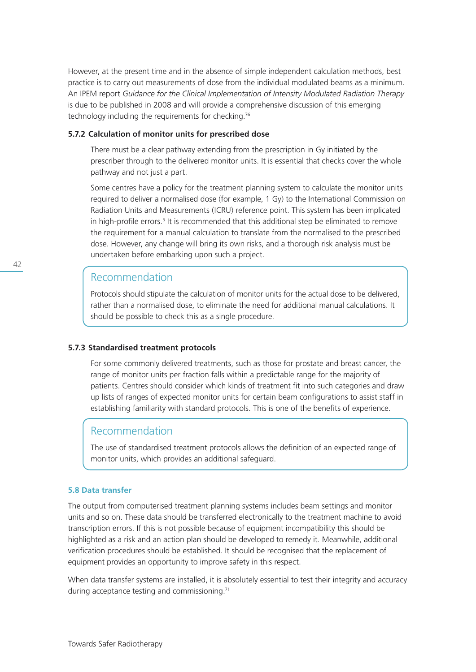However, at the present time and in the absence of simple independent calculation methods, best practice is to carry out measurements of dose from the individual modulated beams as a minimum. An IPEM report *Guidance for the Clinical Implementation of Intensity Modulated Radiation Therapy* is due to be published in 2008 and will provide a comprehensive discussion of this emerging technology including the requirements for checking.76

## **5.7.2 Calculation of monitor units for prescribed dose**

 There must be a clear pathway extending from the prescription in Gy initiated by the prescriber through to the delivered monitor units. It is essential that checks cover the whole pathway and not just a part.

 Some centres have a policy for the treatment planning system to calculate the monitor units required to deliver a normalised dose (for example, 1 Gy) to the International Commission on Radiation Units and Measurements (ICRU) reference point. This system has been implicated in high-profile errors.<sup>5</sup> It is recommended that this additional step be eliminated to remove the requirement for a manual calculation to translate from the normalised to the prescribed dose. However, any change will bring its own risks, and a thorough risk analysis must be undertaken before embarking upon such a project.

# Recommendation

 Protocols should stipulate the calculation of monitor units for the actual dose to be delivered, rather than a normalised dose, to eliminate the need for additional manual calculations. It should be possible to check this as a single procedure.

## **5.7.3 Standardised treatment protocols**

 For some commonly delivered treatments, such as those for prostate and breast cancer, the range of monitor units per fraction falls within a predictable range for the majority of patients. Centres should consider which kinds of treatment fit into such categories and draw up lists of ranges of expected monitor units for certain beam configurations to assist staff in establishing familiarity with standard protocols. This is one of the benefits of experience.

## Recommendation

 The use of standardised treatment protocols allows the definition of an expected range of monitor units, which provides an additional safeguard.

## **5.8 Data transfer**

The output from computerised treatment planning systems includes beam settings and monitor units and so on. These data should be transferred electronically to the treatment machine to avoid transcription errors. If this is not possible because of equipment incompatibility this should be highlighted as a risk and an action plan should be developed to remedy it. Meanwhile, additional verification procedures should be established. It should be recognised that the replacement of equipment provides an opportunity to improve safety in this respect.

When data transfer systems are installed, it is absolutely essential to test their integrity and accuracy during acceptance testing and commissioning.<sup>71</sup>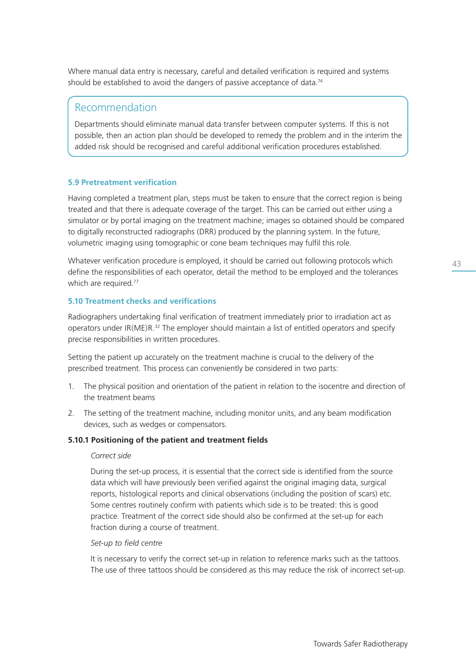Where manual data entry is necessary, careful and detailed verification is required and systems should be established to avoid the dangers of passive acceptance of data.<sup>74</sup>

# Recommendation

Departments should eliminate manual data transfer between computer systems. If this is not possible, then an action plan should be developed to remedy the problem and in the interim the added risk should be recognised and careful additional verification procedures established.

## **5.9 Pretreatment verification**

Having completed a treatment plan, steps must be taken to ensure that the correct region is being treated and that there is adequate coverage of the target. This can be carried out either using a simulator or by portal imaging on the treatment machine; images so obtained should be compared to digitally reconstructed radiographs (DRR) produced by the planning system. In the future, volumetric imaging using tomographic or cone beam techniques may fulfil this role.

Whatever verification procedure is employed, it should be carried out following protocols which define the responsibilities of each operator, detail the method to be employed and the tolerances which are required.<sup>77</sup>

## **5.10 Treatment checks and verifications**

Radiographers undertaking final verification of treatment immediately prior to irradiation act as operators under IR(ME)R.<sup>32</sup> The employer should maintain a list of entitled operators and specify precise responsibilities in written procedures.

Setting the patient up accurately on the treatment machine is crucial to the delivery of the prescribed treatment. This process can conveniently be considered in two parts:

- 1. The physical position and orientation of the patient in relation to the isocentre and direction of the treatment beams
- 2. The setting of the treatment machine, including monitor units, and any beam modification devices, such as wedges or compensators.

## **5.10.1 Positioning of the patient and treatment fields**

### *Correct side*

 During the set-up process, it is essential that the correct side is identified from the source data which will have previously been verified against the original imaging data, surgical reports, histological reports and clinical observations (including the position of scars) etc. Some centres routinely confirm with patients which side is to be treated: this is good practice. Treatment of the correct side should also be confirmed at the set-up for each fraction during a course of treatment.

## *Set-up to field centre*

It is necessary to verify the correct set-up in relation to reference marks such as the tattoos. The use of three tattoos should be considered as this may reduce the risk of incorrect set-up.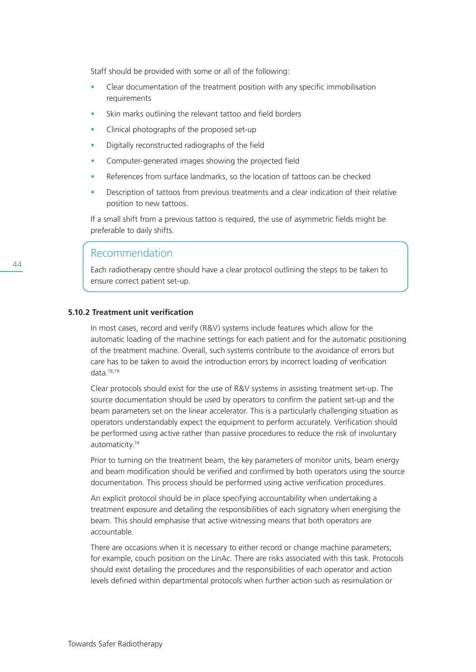Staff should be provided with some or all of the following:

- Clear documentation of the treatment position with any specific immobilisation requirements
- Skin marks outlining the relevant tattoo and field borders
- Clinical photographs of the proposed set-up
- Digitally reconstructed radiographs of the field
- Computer-generated images showing the projected field
- References from surface landmarks, so the location of tattoos can be checked
- Description of tattoos from previous treatments and a clear indication of their relative position to new tattoos.

 If a small shift from a previous tattoo is required, the use of asymmetric fields might be preferable to daily shifts.

# Recommendation

 Each radiotherapy centre should have a clear protocol outlining the steps to be taken to ensure correct patient set-up.

## **5.10.2 Treatment unit verification**

 In most cases, record and verify (R&V) systems include features which allow for the automatic loading of the machine settings for each patient and for the automatic positioning of the treatment machine. Overall, such systems contribute to the avoidance of errors but care has to be taken to avoid the introduction errors by incorrect loading of verification data.78,79

 Clear protocols should exist for the use of R&V systems in assisting treatment set-up. The source documentation should be used by operators to confirm the patient set-up and the beam parameters set on the linear accelerator. This is a particularly challenging situation as operators understandably expect the equipment to perform accurately. Verification should be performed using active rather than passive procedures to reduce the risk of involuntary automaticity.74

 Prior to turning on the treatment beam, the key parameters of monitor units, beam energy and beam modification should be verified and confirmed by both operators using the source documentation. This process should be performed using active verification procedures.

 An explicit protocol should be in place specifying accountability when undertaking a treatment exposure and detailing the responsibilities of each signatory when energising the beam. This should emphasise that active witnessing means that both operators are accountable.

 There are occasions when it is necessary to either record or change machine parameters; for example, couch position on the LinAc. There are risks associated with this task. Protocols should exist detailing the procedures and the responsibilities of each operator and action levels defined within departmental protocols when further action such as resimulation or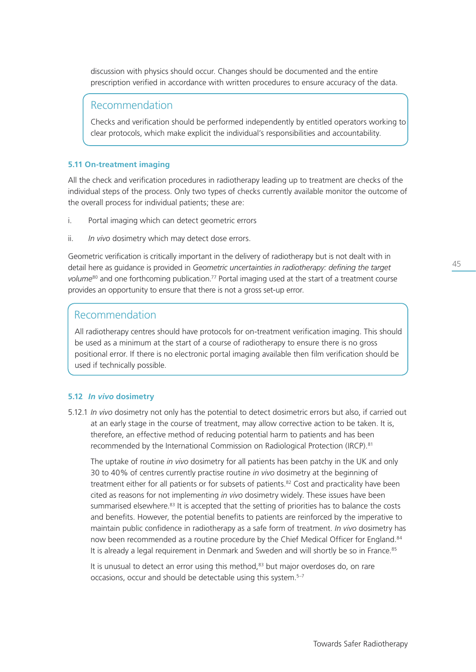discussion with physics should occur. Changes should be documented and the entire prescription verified in accordance with written procedures to ensure accuracy of the data.

## Recommendation

 Checks and verification should be performed independently by entitled operators working to clear protocols, which make explicit the individual's responsibilities and accountability.

## **5.11 On-treatment imaging**

All the check and verification procedures in radiotherapy leading up to treatment are checks of the individual steps of the process. Only two types of checks currently available monitor the outcome of the overall process for individual patients; these are:

- i. Portal imaging which can detect geometric errors
- ii. *In vivo* dosimetry which may detect dose errors.

Geometric verification is critically important in the delivery of radiotherapy but is not dealt with in detail here as guidance is provided in *Geometric uncertainties in radiotherapy: defining the target*  volume<sup>80</sup> and one forthcoming publication.<sup>77</sup> Portal imaging used at the start of a treatment course provides an opportunity to ensure that there is not a gross set-up error.

# Recommendation

All radiotherapy centres should have protocols for on-treatment verification imaging. This should be used as a minimum at the start of a course of radiotherapy to ensure there is no gross positional error. If there is no electronic portal imaging available then film verification should be used if technically possible.

## **5.12** *In vivo* **dosimetry**

5.12.1 *In vivo* dosimetry not only has the potential to detect dosimetric errors but also, if carried out at an early stage in the course of treatment, may allow corrective action to be taken. It is, therefore, an effective method of reducing potential harm to patients and has been recommended by the International Commission on Radiological Protection (IRCP).81

 The uptake of routine *in vivo* dosimetry for all patients has been patchy in the UK and only 30 to 40% of centres currently practise routine *in vivo* dosimetry at the beginning of treatment either for all patients or for subsets of patients.<sup>82</sup> Cost and practicality have been cited as reasons for not implementing *in vivo* dosimetry widely. These issues have been summarised elsewhere.<sup>83</sup> It is accepted that the setting of priorities has to balance the costs and benefits. However, the potential benefits to patients are reinforced by the imperative to maintain public confidence in radiotherapy as a safe form of treatment. *In vivo* dosimetry has now been recommended as a routine procedure by the Chief Medical Officer for England.<sup>84</sup> It is already a legal requirement in Denmark and Sweden and will shortly be so in France.<sup>85</sup>

It is unusual to detect an error using this method.<sup>83</sup> but major overdoses do, on rare occasions, occur and should be detectable using this system.<sup>5-7</sup>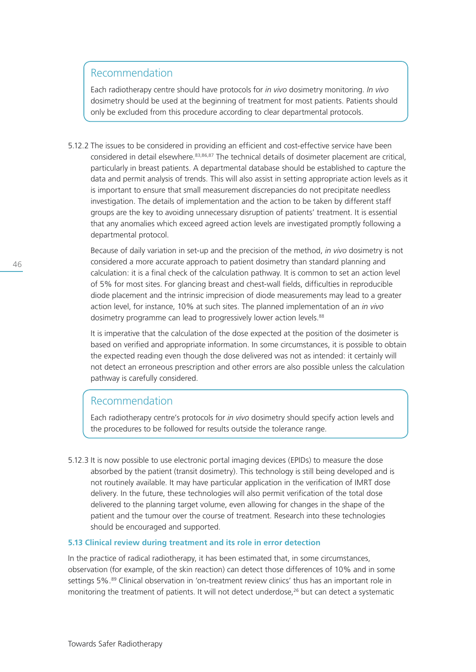# Recommendation

 Each radiotherapy centre should have protocols for *in vivo* dosimetry monitoring. *In vivo* dosimetry should be used at the beginning of treatment for most patients. Patients should only be excluded from this procedure according to clear departmental protocols.

5.12.2 The issues to be considered in providing an efficient and cost-effective service have been considered in detail elsewhere.<sup>83,86,87</sup> The technical details of dosimeter placement are critical, particularly in breast patients. A departmental database should be established to capture the data and permit analysis of trends. This will also assist in setting appropriate action levels as it is important to ensure that small measurement discrepancies do not precipitate needless investigation. The details of implementation and the action to be taken by different staff groups are the key to avoiding unnecessary disruption of patients' treatment. It is essential that any anomalies which exceed agreed action levels are investigated promptly following a departmental protocol.

 Because of daily variation in set-up and the precision of the method, *in vivo* dosimetry is not considered a more accurate approach to patient dosimetry than standard planning and calculation: it is a final check of the calculation pathway. It is common to set an action level of 5% for most sites. For glancing breast and chest-wall fields, difficulties in reproducible diode placement and the intrinsic imprecision of diode measurements may lead to a greater action level, for instance, 10% at such sites. The planned implementation of an *in vivo* dosimetry programme can lead to progressively lower action levels.<sup>88</sup>

 It is imperative that the calculation of the dose expected at the position of the dosimeter is based on verified and appropriate information. In some circumstances, it is possible to obtain the expected reading even though the dose delivered was not as intended: it certainly will not detect an erroneous prescription and other errors are also possible unless the calculation pathway is carefully considered.

# Recommendation

 Each radiotherapy centre's protocols for *in vivo* dosimetry should specify action levels and the procedures to be followed for results outside the tolerance range.

5.12.3 It is now possible to use electronic portal imaging devices (EPIDs) to measure the dose absorbed by the patient (transit dosimetry). This technology is still being developed and is not routinely available. It may have particular application in the verification of IMRT dose delivery. In the future, these technologies will also permit verification of the total dose delivered to the planning target volume, even allowing for changes in the shape of the patient and the tumour over the course of treatment. Research into these technologies should be encouraged and supported.

## **5.13 Clinical review during treatment and its role in error detection**

In the practice of radical radiotherapy, it has been estimated that, in some circumstances, observation (for example, of the skin reaction) can detect those differences of 10% and in some settings 5%.<sup>89</sup> Clinical observation in 'on-treatment review clinics' thus has an important role in monitoring the treatment of patients. It will not detect underdose,<sup>26</sup> but can detect a systematic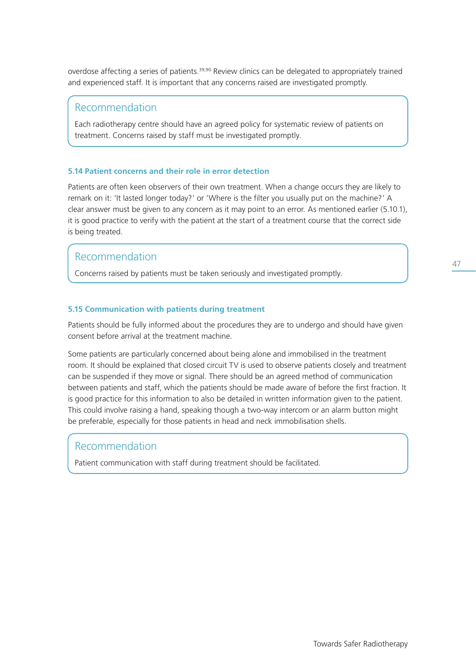overdose affecting a series of patients.<sup>39,90</sup> Review clinics can be delegated to appropriately trained and experienced staff. It is important that any concerns raised are investigated promptly.

## Recommendation

Each radiotherapy centre should have an agreed policy for systematic review of patients on treatment. Concerns raised by staff must be investigated promptly.

## **5.14 Patient concerns and their role in error detection**

Patients are often keen observers of their own treatment. When a change occurs they are likely to remark on it: 'It lasted longer today?' or 'Where is the filter you usually put on the machine?' A clear answer must be given to any concern as it may point to an error. As mentioned earlier (5.10.1), it is good practice to verify with the patient at the start of a treatment course that the correct side is being treated.

# Recommendation

Concerns raised by patients must be taken seriously and investigated promptly.

## **5.15 Communication with patients during treatment**

Patients should be fully informed about the procedures they are to undergo and should have given consent before arrival at the treatment machine.

Some patients are particularly concerned about being alone and immobilised in the treatment room. It should be explained that closed circuit TV is used to observe patients closely and treatment can be suspended if they move or signal. There should be an agreed method of communication between patients and staff, which the patients should be made aware of before the first fraction. It is good practice for this information to also be detailed in written information given to the patient. This could involve raising a hand, speaking though a two-way intercom or an alarm button might be preferable, especially for those patients in head and neck immobilisation shells.

## Recommendation

Patient communication with staff during treatment should be facilitated.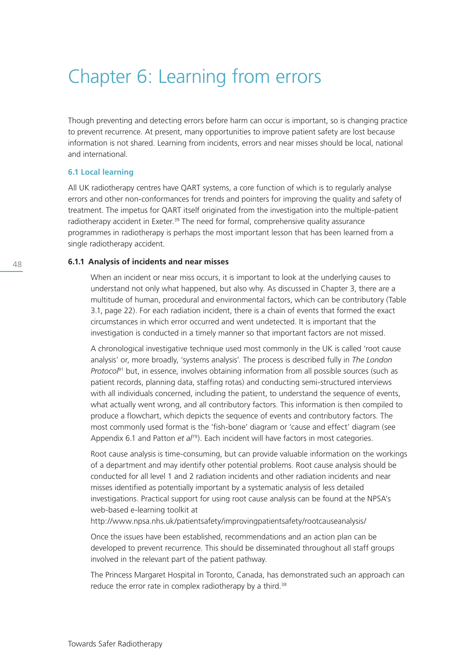# Chapter 6: Learning from errors

Though preventing and detecting errors before harm can occur is important, so is changing practice to prevent recurrence. At present, many opportunities to improve patient safety are lost because information is not shared. Learning from incidents, errors and near misses should be local, national and international.

## **6.1 Local learning**

All UK radiotherapy centres have QART systems, a core function of which is to regularly analyse errors and other non-conformances for trends and pointers for improving the quality and safety of treatment. The impetus for QART itself originated from the investigation into the multiple-patient radiotherapy accident in Exeter.<sup>39</sup> The need for formal, comprehensive quality assurance programmes in radiotherapy is perhaps the most important lesson that has been learned from a single radiotherapy accident.

## **6.1.1 Analysis of incidents and near misses**

 When an incident or near miss occurs, it is important to look at the underlying causes to understand not only what happened, but also why. As discussed in Chapter 3, there are a multitude of human, procedural and environmental factors, which can be contributory (Table 3.1, page 22). For each radiation incident, there is a chain of events that formed the exact circumstances in which error occurred and went undetected. It is important that the investigation is conducted in a timely manner so that important factors are not missed.

 A chronological investigative technique used most commonly in the UK is called 'root cause analysis' or, more broadly, 'systems analysis'. The process is described fully in *The London Protocol*91 but, in essence, involves obtaining information from all possible sources (such as patient records, planning data, staffing rotas) and conducting semi-structured interviews with all individuals concerned, including the patient, to understand the sequence of events, what actually went wrong, and all contributory factors. This information is then compiled to produce a flowchart, which depicts the sequence of events and contributory factors. The most commonly used format is the 'fish-bone' diagram or 'cause and effect' diagram (see Appendix 6.1 and Patton et al<sup>79</sup>). Each incident will have factors in most categories.

 Root cause analysis is time-consuming, but can provide valuable information on the workings of a department and may identify other potential problems. Root cause analysis should be conducted for all level 1 and 2 radiation incidents and other radiation incidents and near misses identified as potentially important by a systematic analysis of less detailed investigations. Practical support for using root cause analysis can be found at the NPSA's web-based e-learning toolkit at

http://www.npsa.nhs.uk/patientsafety/improvingpatientsafety/rootcauseanalysis/

 Once the issues have been established, recommendations and an action plan can be developed to prevent recurrence. This should be disseminated throughout all staff groups involved in the relevant part of the patient pathway.

 The Princess Margaret Hospital in Toronto, Canada, has demonstrated such an approach can reduce the error rate in complex radiotherapy by a third.<sup>38</sup>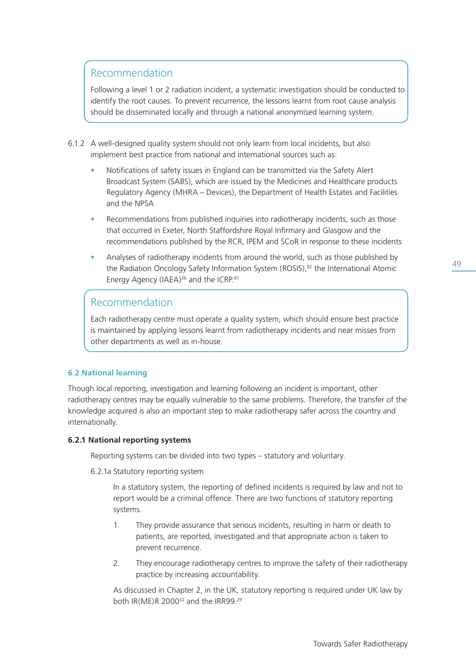# Recommendation

 Following a level 1 or 2 radiation incident, a systematic investigation should be conducted to identify the root causes. To prevent recurrence, the lessons learnt from root cause analysis should be disseminated locally and through a national anonymised learning system.

- 6.1.2 A well-designed quality system should not only learn from local incidents, but also implement best practice from national and international sources such as:
	- Notifications of safety issues in England can be transmitted via the Safety Alert Broadcast System (SABS), which are issued by the Medicines and Healthcare products Regulatory Agency (MHRA – Devices), the Department of Health Estates and Facilities and the NPSA
	- Recommendations from published inquiries into radiotherapy incidents, such as those that occurred in Exeter, North Staffordshire Royal Infirmary and Glasgow and the recommendations published by the RCR, IPEM and SCoR in response to these incidents
	- Analyses of radiotherapy incidents from around the world, such as those published by the Radiation Oncology Safety Information System (ROSIS),<sup>92</sup> the International Atomic Energy Agency (IAEA)<sup>36</sup> and the ICRP.<sup>81</sup>

# Recommendation

 Each radiotherapy centre must operate a quality system, which should ensure best practice is maintained by applying lessons learnt from radiotherapy incidents and near misses from other departments as well as in-house.

## **6.2 National learning**

Though local reporting, investigation and learning following an incident is important, other radiotherapy centres may be equally vulnerable to the same problems. Therefore, the transfer of the knowledge acquired is also an important step to make radiotherapy safer across the country and internationally.

## **6.2.1 National reporting systems**

Reporting systems can be divided into two types – statutory and voluntary.

6.2.1a Statutory reporting system

In a statutory system, the reporting of defined incidents is required by law and not to report would be a criminal offence. There are two functions of statutory reporting systems.

- 1. They provide assurance that serious incidents, resulting in harm or death to patients, are reported, investigated and that appropriate action is taken to prevent recurrence.
- 2. They encourage radiotherapy centres to improve the safety of their radiotherapy practice by increasing accountability.

As discussed in Chapter 2, in the UK, statutory reporting is required under UK law by both IR(ME)R 2000<sup>32</sup> and the IRR99.<sup>29</sup>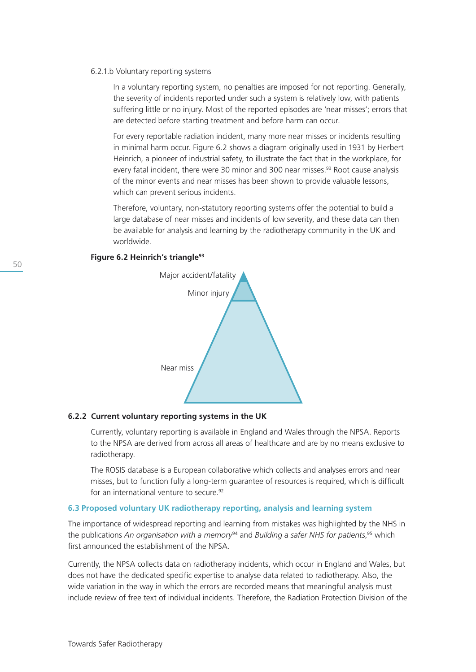#### 6.2.1.b Voluntary reporting systems

In a voluntary reporting system, no penalties are imposed for not reporting. Generally, the severity of incidents reported under such a system is relatively low, with patients suffering little or no injury. Most of the reported episodes are 'near misses'; errors that are detected before starting treatment and before harm can occur.

For every reportable radiation incident, many more near misses or incidents resulting in minimal harm occur. Figure 6.2 shows a diagram originally used in 1931 by Herbert Heinrich, a pioneer of industrial safety, to illustrate the fact that in the workplace, for every fatal incident, there were 30 minor and 300 near misses.<sup>93</sup> Root cause analysis of the minor events and near misses has been shown to provide valuable lessons, which can prevent serious incidents.

Therefore, voluntary, non-statutory reporting systems offer the potential to build a large database of near misses and incidents of low severity, and these data can then be available for analysis and learning by the radiotherapy community in the UK and worldwide.





### **6.2.2 Current voluntary reporting systems in the UK**

 Currently, voluntary reporting is available in England and Wales through the NPSA. Reports to the NPSA are derived from across all areas of healthcare and are by no means exclusive to radiotherapy.

 The ROSIS database is a European collaborative which collects and analyses errors and near misses, but to function fully a long-term guarantee of resources is required, which is difficult for an international venture to secure.<sup>92</sup>

### **6.3 Proposed voluntary UK radiotherapy reporting, analysis and learning system**

The importance of widespread reporting and learning from mistakes was highlighted by the NHS in the publications *An organisation with a memory*94 and *Building a safer NHS for patients*, 95 which first announced the establishment of the NPSA.

Currently, the NPSA collects data on radiotherapy incidents, which occur in England and Wales, but does not have the dedicated specific expertise to analyse data related to radiotherapy. Also, the wide variation in the way in which the errors are recorded means that meaningful analysis must include review of free text of individual incidents. Therefore, the Radiation Protection Division of the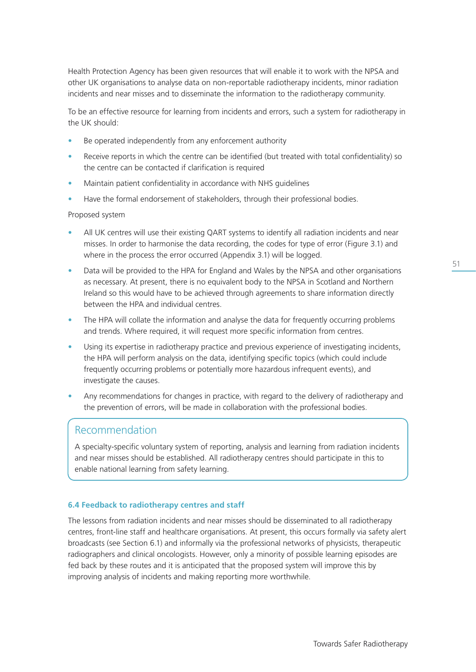Health Protection Agency has been given resources that will enable it to work with the NPSA and other UK organisations to analyse data on non-reportable radiotherapy incidents, minor radiation incidents and near misses and to disseminate the information to the radiotherapy community.

To be an effective resource for learning from incidents and errors, such a system for radiotherapy in the UK should:

- Be operated independently from any enforcement authority
- Receive reports in which the centre can be identified (but treated with total confidentiality) so the centre can be contacted if clarification is required
- Maintain patient confidentiality in accordance with NHS guidelines
- Have the formal endorsement of stakeholders, through their professional bodies.

## Proposed system

- All UK centres will use their existing QART systems to identify all radiation incidents and near misses. In order to harmonise the data recording, the codes for type of error (Figure 3.1) and where in the process the error occurred (Appendix 3.1) will be logged.
- Data will be provided to the HPA for England and Wales by the NPSA and other organisations as necessary. At present, there is no equivalent body to the NPSA in Scotland and Northern Ireland so this would have to be achieved through agreements to share information directly between the HPA and individual centres.
- The HPA will collate the information and analyse the data for frequently occurring problems and trends. Where required, it will request more specific information from centres.
- Using its expertise in radiotherapy practice and previous experience of investigating incidents, the HPA will perform analysis on the data, identifying specific topics (which could include frequently occurring problems or potentially more hazardous infrequent events), and investigate the causes.
- Any recommendations for changes in practice, with regard to the delivery of radiotherapy and the prevention of errors, will be made in collaboration with the professional bodies.

## Recommendation

A specialty-specific voluntary system of reporting, analysis and learning from radiation incidents and near misses should be established. All radiotherapy centres should participate in this to enable national learning from safety learning.

## **6.4 Feedback to radiotherapy centres and staff**

The lessons from radiation incidents and near misses should be disseminated to all radiotherapy centres, front-line staff and healthcare organisations. At present, this occurs formally via safety alert broadcasts (see Section 6.1) and informally via the professional networks of physicists, therapeutic radiographers and clinical oncologists. However, only a minority of possible learning episodes are fed back by these routes and it is anticipated that the proposed system will improve this by improving analysis of incidents and making reporting more worthwhile.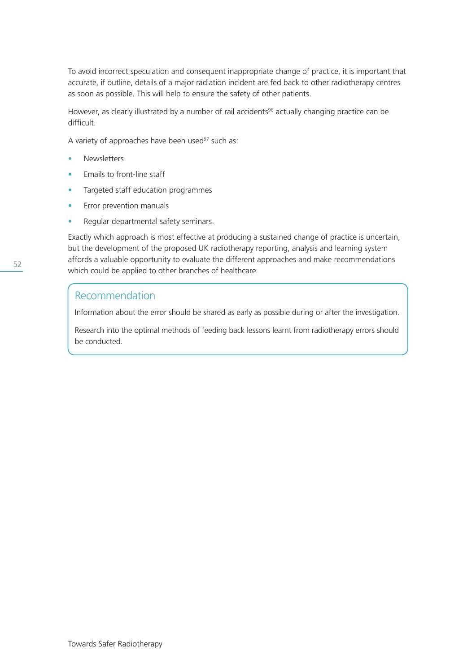To avoid incorrect speculation and consequent inappropriate change of practice, it is important that accurate, if outline, details of a major radiation incident are fed back to other radiotherapy centres as soon as possible. This will help to ensure the safety of other patients.

However, as clearly illustrated by a number of rail accidents<sup>96</sup> actually changing practice can be difficult.

A variety of approaches have been used $97$  such as:

- **Newsletters**
- Emails to front-line staff
- Targeted staff education programmes
- Error prevention manuals
- Regular departmental safety seminars.

Exactly which approach is most effective at producing a sustained change of practice is uncertain, but the development of the proposed UK radiotherapy reporting, analysis and learning system affords a valuable opportunity to evaluate the different approaches and make recommendations which could be applied to other branches of healthcare.

## Recommendation

Information about the error should be shared as early as possible during or after the investigation.

Research into the optimal methods of feeding back lessons learnt from radiotherapy errors should be conducted.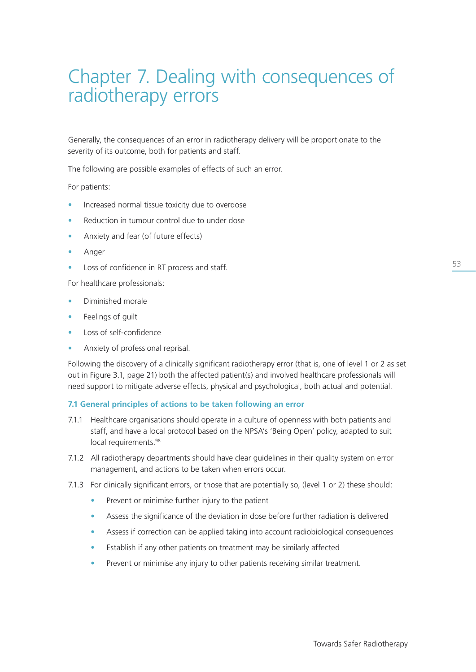# Chapter 7. Dealing with consequences of radiotherapy errors

Generally, the consequences of an error in radiotherapy delivery will be proportionate to the severity of its outcome, both for patients and staff.

The following are possible examples of effects of such an error.

For patients:

- Increased normal tissue toxicity due to overdose
- Reduction in tumour control due to under dose
- Anxiety and fear (of future effects)
- Anger
- Loss of confidence in RT process and staff.

For healthcare professionals:

- Diminished morale
- Feelings of guilt
- Loss of self-confidence
- Anxiety of professional reprisal.

Following the discovery of a clinically significant radiotherapy error (that is, one of level 1 or 2 as set out in Figure 3.1, page 21) both the affected patient(s) and involved healthcare professionals will need support to mitigate adverse effects, physical and psychological, both actual and potential.

## **7.1 General principles of actions to be taken following an error**

- 7.1.1 Healthcare organisations should operate in a culture of openness with both patients and staff, and have a local protocol based on the NPSA's 'Being Open' policy, adapted to suit local requirements.<sup>98</sup>
- 7.1.2 All radiotherapy departments should have clear guidelines in their quality system on error management, and actions to be taken when errors occur.
- 7.1.3 For clinically significant errors, or those that are potentially so, (level 1 or 2) these should:
	- Prevent or minimise further injury to the patient
	- Assess the significance of the deviation in dose before further radiation is delivered
	- Assess if correction can be applied taking into account radiobiological consequences
	- Establish if any other patients on treatment may be similarly affected
	- Prevent or minimise any injury to other patients receiving similar treatment.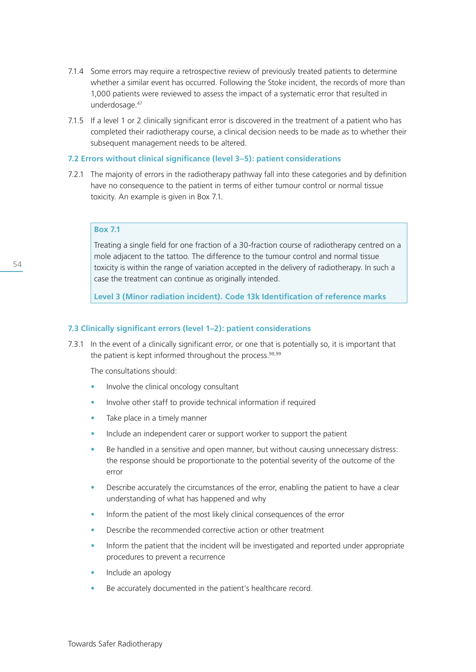- 7.1.4 Some errors may require a retrospective review of previously treated patients to determine whether a similar event has occurred. Following the Stoke incident, the records of more than 1,000 patients were reviewed to assess the impact of a systematic error that resulted in underdosage.<sup>47</sup>
- 7.1.5 If a level 1 or 2 clinically significant error is discovered in the treatment of a patient who has completed their radiotherapy course, a clinical decision needs to be made as to whether their subsequent management needs to be altered.

## **7.2 Errors without clinical significance (level 3–5): patient considerations**

7.2.1 The majority of errors in the radiotherapy pathway fall into these categories and by definition have no consequence to the patient in terms of either tumour control or normal tissue toxicity. An example is given in Box 7.1.

## **Box 7.1**

Treating a single field for one fraction of a 30-fraction course of radiotherapy centred on a mole adjacent to the tattoo. The difference to the tumour control and normal tissue toxicity is within the range of variation accepted in the delivery of radiotherapy. In such a case the treatment can continue as originally intended.

**Level 3 (Minor radiation incident). Code 13k Identification of reference marks**

## **7.3 Clinically significant errors (level 1–2): patient considerations**

7.3.1 In the event of a clinically significant error, or one that is potentially so, it is important that the patient is kept informed throughout the process.<sup>98,99</sup>

The consultations should:

- Involve the clinical oncology consultant
- Involve other staff to provide technical information if required
- Take place in a timely manner
- Include an independent carer or support worker to support the patient
- Be handled in a sensitive and open manner, but without causing unnecessary distress: the response should be proportionate to the potential severity of the outcome of the error
- Describe accurately the circumstances of the error, enabling the patient to have a clear understanding of what has happened and why
- Inform the patient of the most likely clinical consequences of the error
- Describe the recommended corrective action or other treatment
- Inform the patient that the incident will be investigated and reported under appropriate procedures to prevent a recurrence
- Include an apology
- Be accurately documented in the patient's healthcare record.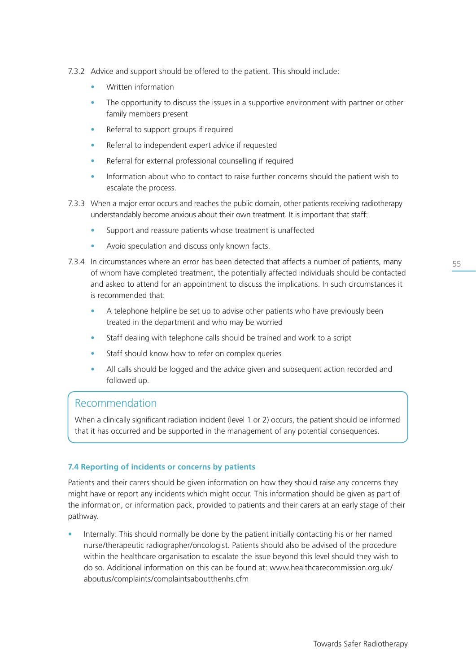- 7.3.2 Advice and support should be offered to the patient. This should include:
	- Written information
	- The opportunity to discuss the issues in a supportive environment with partner or other family members present
	- Referral to support groups if required
	- Referral to independent expert advice if requested
	- Referral for external professional counselling if required
	- Information about who to contact to raise further concerns should the patient wish to escalate the process.
- 7.3.3 When a major error occurs and reaches the public domain, other patients receiving radiotherapy understandably become anxious about their own treatment. It is important that staff:
	- Support and reassure patients whose treatment is unaffected
	- Avoid speculation and discuss only known facts.
- 7.3.4 In circumstances where an error has been detected that affects a number of patients, many of whom have completed treatment, the potentially affected individuals should be contacted and asked to attend for an appointment to discuss the implications. In such circumstances it is recommended that:
	- A telephone helpline be set up to advise other patients who have previously been treated in the department and who may be worried
	- Staff dealing with telephone calls should be trained and work to a script
	- Staff should know how to refer on complex queries
	- All calls should be logged and the advice given and subsequent action recorded and followed up.

# Recommendation

When a clinically significant radiation incident (level 1 or 2) occurs, the patient should be informed that it has occurred and be supported in the management of any potential consequences.

## **7.4 Reporting of incidents or concerns by patients**

Patients and their carers should be given information on how they should raise any concerns they might have or report any incidents which might occur. This information should be given as part of the information, or information pack, provided to patients and their carers at an early stage of their pathway.

• Internally: This should normally be done by the patient initially contacting his or her named nurse/therapeutic radiographer/oncologist. Patients should also be advised of the procedure within the healthcare organisation to escalate the issue beyond this level should they wish to do so. Additional information on this can be found at: www.healthcarecommission.org.uk/ aboutus/complaints/complaintsaboutthenhs.cfm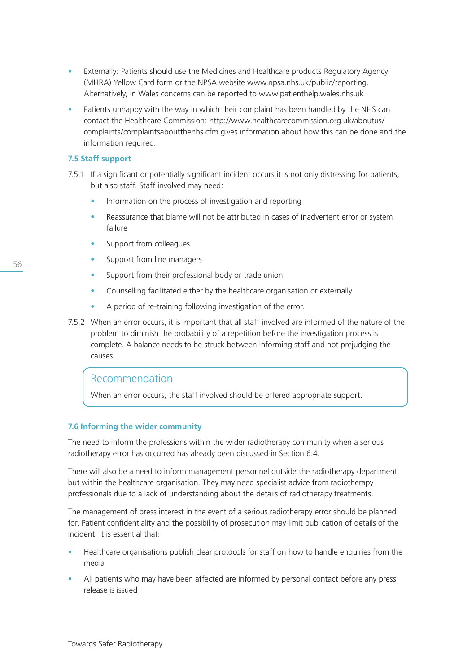- Externally: Patients should use the Medicines and Healthcare products Regulatory Agency (MHRA) Yellow Card form or the NPSA website www.npsa.nhs.uk/public/reporting. Alternatively, in Wales concerns can be reported to www.patienthelp.wales.nhs.uk
- Patients unhappy with the way in which their complaint has been handled by the NHS can contact the Healthcare Commission: http://www.healthcarecommission.org.uk/aboutus/ complaints/complaintsaboutthenhs.cfm gives information about how this can be done and the information required.

## **7.5 Staff support**

- 7.5.1 If a significant or potentially significant incident occurs it is not only distressing for patients, but also staff. Staff involved may need:
	- Information on the process of investigation and reporting
	- Reassurance that blame will not be attributed in cases of inadvertent error or system failure
	- Support from colleagues
	- Support from line managers
	- Support from their professional body or trade union
	- Counselling facilitated either by the healthcare organisation or externally
	- A period of re-training following investigation of the error.
- 7.5.2 When an error occurs, it is important that all staff involved are informed of the nature of the problem to diminish the probability of a repetition before the investigation process is complete. A balance needs to be struck between informing staff and not prejudging the causes.

# Recommendation

When an error occurs, the staff involved should be offered appropriate support.

## **7.6 Informing the wider community**

The need to inform the professions within the wider radiotherapy community when a serious radiotherapy error has occurred has already been discussed in Section 6.4.

There will also be a need to inform management personnel outside the radiotherapy department but within the healthcare organisation. They may need specialist advice from radiotherapy professionals due to a lack of understanding about the details of radiotherapy treatments.

The management of press interest in the event of a serious radiotherapy error should be planned for. Patient confidentiality and the possibility of prosecution may limit publication of details of the incident. It is essential that:

- Healthcare organisations publish clear protocols for staff on how to handle enquiries from the media
- All patients who may have been affected are informed by personal contact before any press release is issued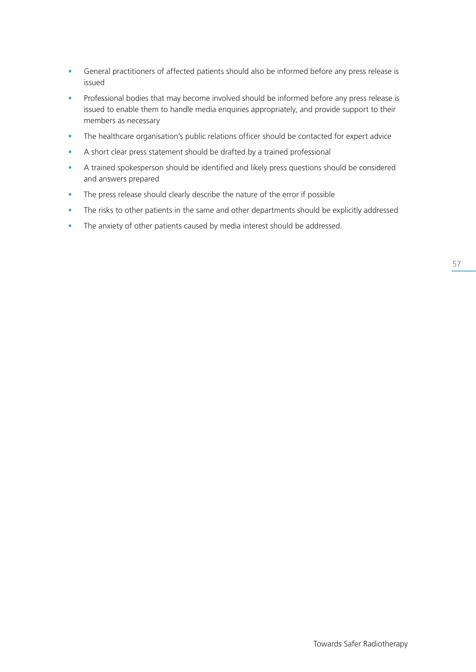- General practitioners of affected patients should also be informed before any press release is issued
- Professional bodies that may become involved should be informed before any press release is issued to enable them to handle media enquiries appropriately, and provide support to their members as necessary
- The healthcare organisation's public relations officer should be contacted for expert advice
- A short clear press statement should be drafted by a trained professional
- A trained spokesperson should be identified and likely press questions should be considered and answers prepared
- The press release should clearly describe the nature of the error if possible
- The risks to other patients in the same and other departments should be explicitly addressed
- The anxiety of other patients caused by media interest should be addressed.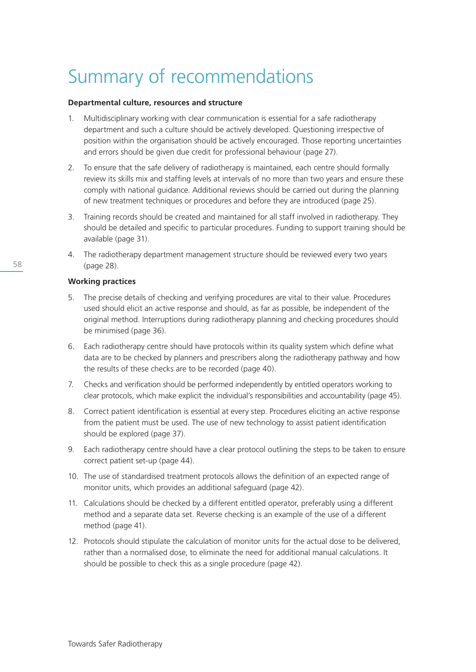# Summary of recommendations

## **Departmental culture, resources and structure**

- 1. Multidisciplinary working with clear communication is essential for a safe radiotherapy department and such a culture should be actively developed. Questioning irrespective of position within the organisation should be actively encouraged. Those reporting uncertainties and errors should be given due credit for professional behaviour (page 27).
- 2. To ensure that the safe delivery of radiotherapy is maintained, each centre should formally review its skills mix and staffing levels at intervals of no more than two years and ensure these comply with national guidance. Additional reviews should be carried out during the planning of new treatment techniques or procedures and before they are introduced (page 25).
- 3. Training records should be created and maintained for all staff involved in radiotherapy. They should be detailed and specific to particular procedures. Funding to support training should be available (page 31).
- 4. The radiotherapy department management structure should be reviewed every two years (page 28).

## **Working practices**

- 5. The precise details of checking and verifying procedures are vital to their value. Procedures used should elicit an active response and should, as far as possible, be independent of the original method. Interruptions during radiotherapy planning and checking procedures should be minimised (page 36).
- 6. Each radiotherapy centre should have protocols within its quality system which define what data are to be checked by planners and prescribers along the radiotherapy pathway and how the results of these checks are to be recorded (page 40).
- 7. Checks and verification should be performed independently by entitled operators working to clear protocols, which make explicit the individual's responsibilities and accountability (page 45).
- 8. Correct patient identification is essential at every step. Procedures eliciting an active response from the patient must be used. The use of new technology to assist patient identification should be explored (page 37).
- 9. Each radiotherapy centre should have a clear protocol outlining the steps to be taken to ensure correct patient set-up (page 44).
- 10. The use of standardised treatment protocols allows the definition of an expected range of monitor units, which provides an additional safeguard (page 42).
- 11. Calculations should be checked by a different entitled operator, preferably using a different method and a separate data set. Reverse checking is an example of the use of a different method (page 41).
- 12. Protocols should stipulate the calculation of monitor units for the actual dose to be delivered, rather than a normalised dose, to eliminate the need for additional manual calculations. It should be possible to check this as a single procedure (page 42).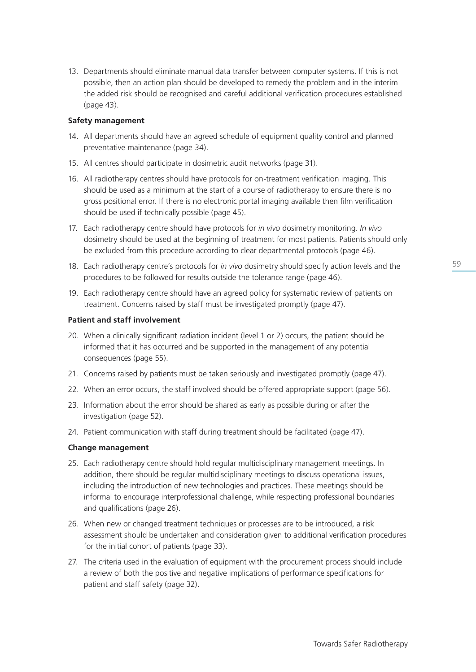13. Departments should eliminate manual data transfer between computer systems. If this is not possible, then an action plan should be developed to remedy the problem and in the interim the added risk should be recognised and careful additional verification procedures established (page 43).

## **Safety management**

- 14. All departments should have an agreed schedule of equipment quality control and planned preventative maintenance (page 34).
- 15. All centres should participate in dosimetric audit networks (page 31).
- 16. All radiotherapy centres should have protocols for on-treatment verification imaging. This should be used as a minimum at the start of a course of radiotherapy to ensure there is no gross positional error. If there is no electronic portal imaging available then film verification should be used if technically possible (page 45).
- 17. Each radiotherapy centre should have protocols for *in vivo* dosimetry monitoring. *In vivo* dosimetry should be used at the beginning of treatment for most patients. Patients should only be excluded from this procedure according to clear departmental protocols (page 46).
- 18. Each radiotherapy centre's protocols for *in vivo* dosimetry should specify action levels and the procedures to be followed for results outside the tolerance range (page 46).
- 19. Each radiotherapy centre should have an agreed policy for systematic review of patients on treatment. Concerns raised by staff must be investigated promptly (page 47).

## **Patient and staff involvement**

- 20. When a clinically significant radiation incident (level 1 or 2) occurs, the patient should be informed that it has occurred and be supported in the management of any potential consequences (page 55).
- 21. Concerns raised by patients must be taken seriously and investigated promptly (page 47).
- 22. When an error occurs, the staff involved should be offered appropriate support (page 56).
- 23. Information about the error should be shared as early as possible during or after the investigation (page 52).
- 24. Patient communication with staff during treatment should be facilitated (page 47).

## **Change management**

- 25. Each radiotherapy centre should hold regular multidisciplinary management meetings. In addition, there should be regular multidisciplinary meetings to discuss operational issues, including the introduction of new technologies and practices. These meetings should be informal to encourage interprofessional challenge, while respecting professional boundaries and qualifications (page 26).
- 26. When new or changed treatment techniques or processes are to be introduced, a risk assessment should be undertaken and consideration given to additional verification procedures for the initial cohort of patients (page 33).
- 27. The criteria used in the evaluation of equipment with the procurement process should include a review of both the positive and negative implications of performance specifications for patient and staff safety (page 32).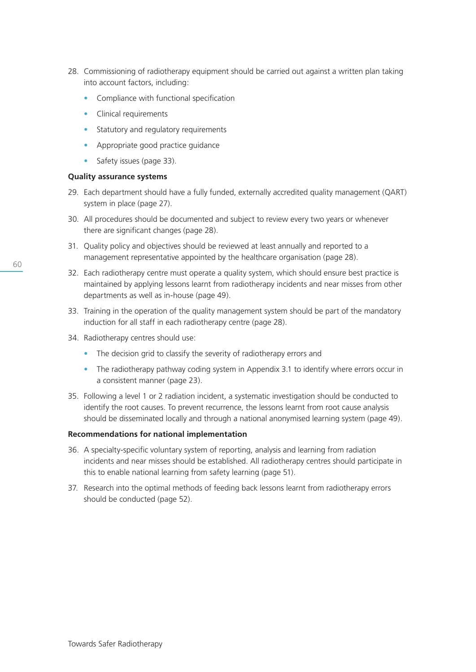- 28. Commissioning of radiotherapy equipment should be carried out against a written plan taking into account factors, including:
	- Compliance with functional specification
	- Clinical requirements
	- Statutory and regulatory requirements
	- Appropriate good practice guidance
	- Safety issues (page 33).

## **Quality assurance systems**

- 29. Each department should have a fully funded, externally accredited quality management (QART) system in place (page 27).
- 30. All procedures should be documented and subject to review every two years or whenever there are significant changes (page 28).
- 31. Quality policy and objectives should be reviewed at least annually and reported to a management representative appointed by the healthcare organisation (page 28).
- 32. Each radiotherapy centre must operate a quality system, which should ensure best practice is maintained by applying lessons learnt from radiotherapy incidents and near misses from other departments as well as in-house (page 49).
- 33. Training in the operation of the quality management system should be part of the mandatory induction for all staff in each radiotherapy centre (page 28).
- 34. Radiotherapy centres should use:
	- The decision grid to classify the severity of radiotherapy errors and
	- The radiotherapy pathway coding system in Appendix 3.1 to identify where errors occur in a consistent manner (page 23).
- 35. Following a level 1 or 2 radiation incident, a systematic investigation should be conducted to identify the root causes. To prevent recurrence, the lessons learnt from root cause analysis should be disseminated locally and through a national anonymised learning system (page 49).

## **Recommendations for national implementation**

- 36. A specialty-specific voluntary system of reporting, analysis and learning from radiation incidents and near misses should be established. All radiotherapy centres should participate in this to enable national learning from safety learning (page 51).
- 37. Research into the optimal methods of feeding back lessons learnt from radiotherapy errors should be conducted (page 52).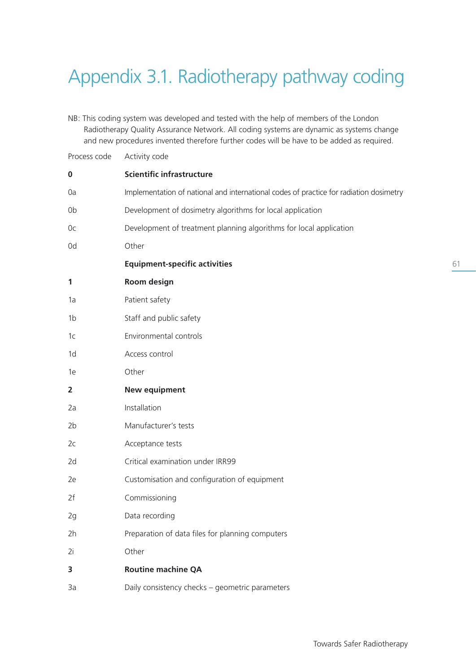# Appendix 3.1. Radiotherapy pathway coding

NB: This coding system was developed and tested with the help of members of the London Radiotherapy Quality Assurance Network. All coding systems are dynamic as systems change and new procedures invented therefore further codes will be have to be added as required.

| Process code   | Activity code                                                                          |
|----------------|----------------------------------------------------------------------------------------|
| $\bf{0}$       | <b>Scientific infrastructure</b>                                                       |
| 0a             | Implementation of national and international codes of practice for radiation dosimetry |
| 0b             | Development of dosimetry algorithms for local application                              |
| Оc             | Development of treatment planning algorithms for local application                     |
| 0d             | Other                                                                                  |
|                | <b>Equipment-specific activities</b>                                                   |
| 1              | Room design                                                                            |
| 1a             | Patient safety                                                                         |
| 1b             | Staff and public safety                                                                |
| 1 <sub>C</sub> | Environmental controls                                                                 |
| 1 <sub>d</sub> | Access control                                                                         |
| 1e             | Other                                                                                  |
| $\overline{2}$ | <b>New equipment</b>                                                                   |
| 2a             | Installation                                                                           |
| 2 <sub>b</sub> | Manufacturer's tests                                                                   |
| 2c             | Acceptance tests                                                                       |
| 2d             | Critical examination under IRR99                                                       |
| 2e             | Customisation and configuration of equipment                                           |
| 2f             | Commissioning                                                                          |
| 2g             | Data recording                                                                         |
| 2h             | Preparation of data files for planning computers                                       |
| 2i             | Other                                                                                  |
| 3              | <b>Routine machine QA</b>                                                              |
| 3a             | Daily consistency checks - geometric parameters                                        |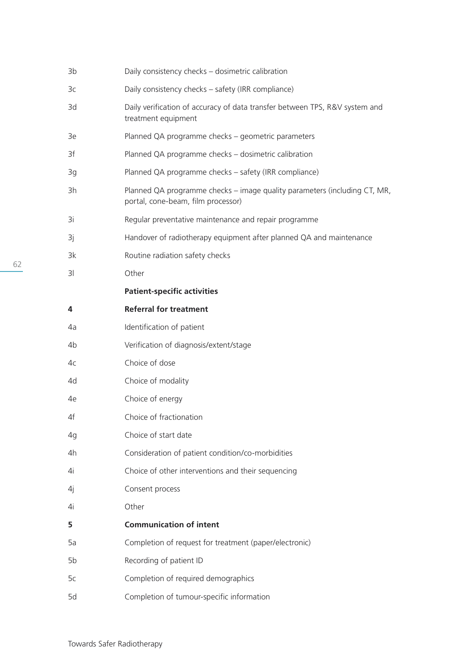| 3b             | Daily consistency checks - dosimetric calibration                                                               |
|----------------|-----------------------------------------------------------------------------------------------------------------|
| Зc             | Daily consistency checks - safety (IRR compliance)                                                              |
| 3d             | Daily verification of accuracy of data transfer between TPS, R&V system and<br>treatment equipment              |
| 3e             | Planned QA programme checks - geometric parameters                                                              |
| 3f             | Planned QA programme checks - dosimetric calibration                                                            |
| 3g             | Planned QA programme checks - safety (IRR compliance)                                                           |
| 3h             | Planned QA programme checks - image quality parameters (including CT, MR,<br>portal, cone-beam, film processor) |
| 3i             | Regular preventative maintenance and repair programme                                                           |
| 3j             | Handover of radiotherapy equipment after planned QA and maintenance                                             |
| 3k             | Routine radiation safety checks                                                                                 |
| 3 <sup>1</sup> | Other                                                                                                           |
|                | <b>Patient-specific activities</b>                                                                              |
| 4              | <b>Referral for treatment</b>                                                                                   |
| 4a             | Identification of patient                                                                                       |
| 4b             | Verification of diagnosis/extent/stage                                                                          |
| 4c             | Choice of dose                                                                                                  |
| 4d             | Choice of modality                                                                                              |
| 4e             | Choice of energy                                                                                                |
| 4f             | Choice of fractionation                                                                                         |
| 4g             | Choice of start date                                                                                            |
| 4h             | Consideration of patient condition/co-morbidities                                                               |
| 4i             | Choice of other interventions and their sequencing                                                              |
| 4j             | Consent process                                                                                                 |
| 4i             | Other                                                                                                           |
| 5              | <b>Communication of intent</b>                                                                                  |
| 5a             | Completion of request for treatment (paper/electronic)                                                          |
| 5b             | Recording of patient ID                                                                                         |
| 5c             |                                                                                                                 |
|                | Completion of required demographics                                                                             |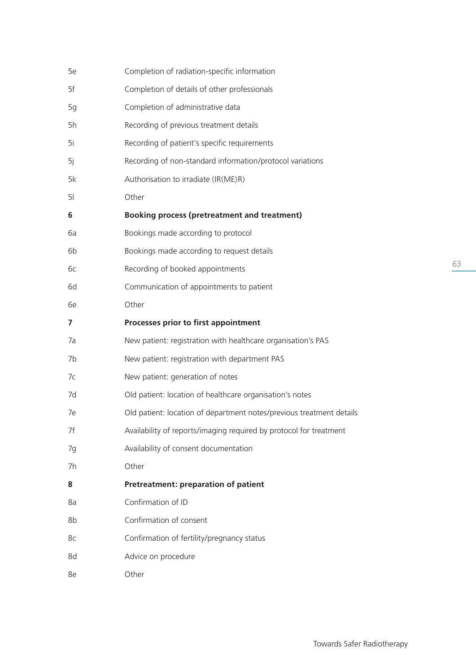| 5e             | Completion of radiation-specific information                         |
|----------------|----------------------------------------------------------------------|
| 5f             | Completion of details of other professionals                         |
| 5g             | Completion of administrative data                                    |
| 5h             | Recording of previous treatment details                              |
| 5i             | Recording of patient's specific requirements                         |
| 5j             | Recording of non-standard information/protocol variations            |
| 5k             | Authorisation to irradiate (IR(ME)R)                                 |
| 5 <sup>1</sup> | Other                                                                |
| 6              | <b>Booking process (pretreatment and treatment)</b>                  |
| 6a             | Bookings made according to protocol                                  |
| 6b             | Bookings made according to request details                           |
| бc             | Recording of booked appointments                                     |
| 6d             | Communication of appointments to patient                             |
| 6e             | Other                                                                |
| 7              | Processes prior to first appointment                                 |
| 7a             | New patient: registration with healthcare organisation's PAS         |
| 7b             | New patient: registration with department PAS                        |
| 7c             | New patient: generation of notes                                     |
| 7d             | Old patient: location of healthcare organisation's notes             |
| 7e             | Old patient: location of department notes/previous treatment details |
| 7f             | Availability of reports/imaging required by protocol for treatment   |
| 7g             | Availability of consent documentation                                |
| 7h             | Other                                                                |
| 8              | Pretreatment: preparation of patient                                 |
| 8a             | Confirmation of ID                                                   |
| 8b             | Confirmation of consent                                              |
| 8c             | Confirmation of fertility/pregnancy status                           |
| 8d             | Advice on procedure                                                  |
| 8e             | Other                                                                |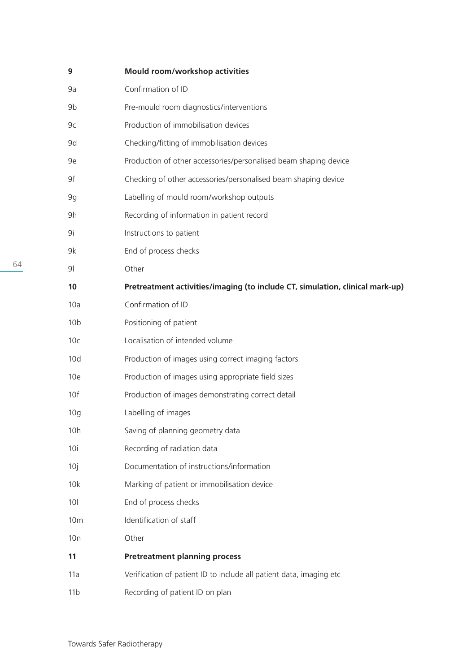| 9               | Mould room/workshop activities                                                |
|-----------------|-------------------------------------------------------------------------------|
| 9a              | Confirmation of ID                                                            |
| 9b              | Pre-mould room diagnostics/interventions                                      |
| 9c              | Production of immobilisation devices                                          |
| 9d              | Checking/fitting of immobilisation devices                                    |
| 9e              | Production of other accessories/personalised beam shaping device              |
| 9f              | Checking of other accessories/personalised beam shaping device                |
| 9g              | Labelling of mould room/workshop outputs                                      |
| 9h              | Recording of information in patient record                                    |
| 9i              | Instructions to patient                                                       |
| 9k              | End of process checks                                                         |
| 9               | Other                                                                         |
| 10              | Pretreatment activities/imaging (to include CT, simulation, clinical mark-up) |
| 10a             | Confirmation of ID                                                            |
| 10 <sub>b</sub> | Positioning of patient                                                        |
| 10 <sub>c</sub> | Localisation of intended volume                                               |
| 10d             | Production of images using correct imaging factors                            |
| 10e             | Production of images using appropriate field sizes                            |
| 10f             | Production of images demonstrating correct detail                             |
| 10 <sub>g</sub> | Labelling of images                                                           |
| 10h             | Saving of planning geometry data                                              |
| 10i             | Recording of radiation data                                                   |
| 10j             | Documentation of instructions/information                                     |
| 10k             | Marking of patient or immobilisation device                                   |
| 10 <sup>1</sup> | End of process checks                                                         |
| 10 <sub>m</sub> | Identification of staff                                                       |
| 10n             | Other                                                                         |
| 11              | <b>Pretreatment planning process</b>                                          |
| 11a             | Verification of patient ID to include all patient data, imaging etc           |
| 11 <sub>b</sub> | Recording of patient ID on plan                                               |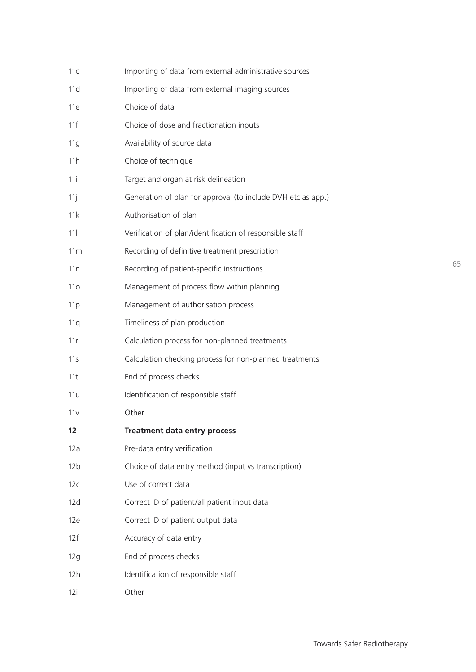| 11c             | Importing of data from external administrative sources       |
|-----------------|--------------------------------------------------------------|
| 11d             | Importing of data from external imaging sources              |
| 11e             | Choice of data                                               |
| 11f             | Choice of dose and fractionation inputs                      |
| 11g             | Availability of source data                                  |
| 11h             | Choice of technique                                          |
| 11i             | Target and organ at risk delineation                         |
| 11j             | Generation of plan for approval (to include DVH etc as app.) |
| 11k             | Authorisation of plan                                        |
| 11 <sup>1</sup> | Verification of plan/identification of responsible staff     |
| 11m             | Recording of definitive treatment prescription               |
| 11n             | Recording of patient-specific instructions                   |
| 11 <sub>O</sub> | Management of process flow within planning                   |
| 11p             | Management of authorisation process                          |
| 11q             | Timeliness of plan production                                |
| 11r             | Calculation process for non-planned treatments               |
| 11s             | Calculation checking process for non-planned treatments      |
| 11t             | End of process checks                                        |
| 11u             | Identification of responsible staff                          |
| 11v             | Other                                                        |
| 12              | <b>Treatment data entry process</b>                          |
| 12a             | Pre-data entry verification                                  |
| 12 <sub>b</sub> | Choice of data entry method (input vs transcription)         |
| 12c             | Use of correct data                                          |
| 12d             | Correct ID of patient/all patient input data                 |
| 12e             | Correct ID of patient output data                            |
| 12f             | Accuracy of data entry                                       |
| 12g             | End of process checks                                        |
| 12h             | Identification of responsible staff                          |
| 12i             | Other                                                        |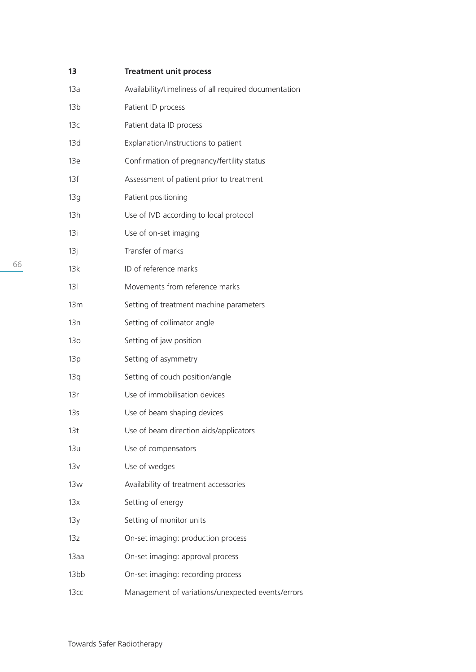| 13              | <b>Treatment unit process</b>                         |
|-----------------|-------------------------------------------------------|
| 13a             | Availability/timeliness of all required documentation |
| 13 <sub>b</sub> | Patient ID process                                    |
| 13c             | Patient data ID process                               |
| 13d             | Explanation/instructions to patient                   |
| 13e             | Confirmation of pregnancy/fertility status            |
| 13f             | Assessment of patient prior to treatment              |
| 13g             | Patient positioning                                   |
| 13h             | Use of IVD according to local protocol                |
| 13i             | Use of on-set imaging                                 |
| 13j             | Transfer of marks                                     |
| 13k             | ID of reference marks                                 |
| 131             | Movements from reference marks                        |
| 13 <sub>m</sub> | Setting of treatment machine parameters               |
| 13n             | Setting of collimator angle                           |
| 13 <sub>o</sub> | Setting of jaw position                               |
| 13p             | Setting of asymmetry                                  |
| 13q             | Setting of couch position/angle                       |
| 13r             | Use of immobilisation devices                         |
| 13 <sub>S</sub> | Use of beam shaping devices                           |
| 13t             | Use of beam direction aids/applicators                |
| 13u             | Use of compensators                                   |
| 13v             | Use of wedges                                         |
| 13w             | Availability of treatment accessories                 |
| 13x             | Setting of energy                                     |
| 13y             | Setting of monitor units                              |
| 13z             | On-set imaging: production process                    |
| 13aa            | On-set imaging: approval process                      |
| 13bb            | On-set imaging: recording process                     |
| 13cc            | Management of variations/unexpected events/errors     |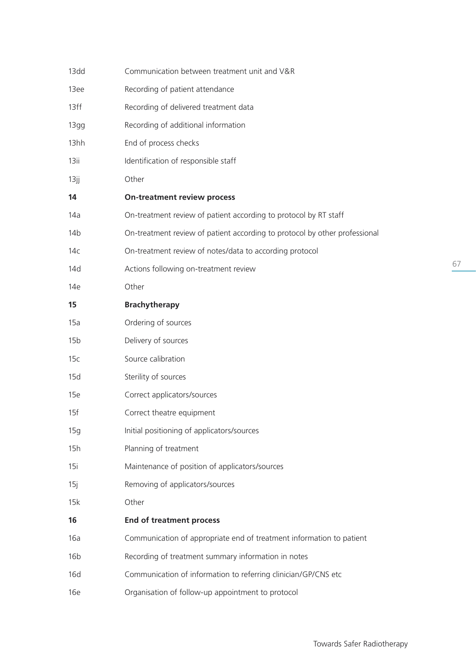| 13dd            | Communication between treatment unit and V&R                               |   |
|-----------------|----------------------------------------------------------------------------|---|
| 13ee            | Recording of patient attendance                                            |   |
| 13ff            | Recording of delivered treatment data                                      |   |
| 13gg            | Recording of additional information                                        |   |
| 13hh            | End of process checks                                                      |   |
| 13ii            | Identification of responsible staff                                        |   |
| 13jj            | Other                                                                      |   |
| 14              | <b>On-treatment review process</b>                                         |   |
| 14a             | On-treatment review of patient according to protocol by RT staff           |   |
| 14b             | On-treatment review of patient according to protocol by other professional |   |
| 14c             | On-treatment review of notes/data to according protocol                    |   |
| 14d             | Actions following on-treatment review                                      | 6 |
| 14e             | Other                                                                      |   |
| 15              | <b>Brachytherapy</b>                                                       |   |
| 15a             | Ordering of sources                                                        |   |
| 15 <sub>b</sub> | Delivery of sources                                                        |   |
| 15c             | Source calibration                                                         |   |
| 15d             | Sterility of sources                                                       |   |
| 15e             | Correct applicators/sources                                                |   |
| 15f             | Correct theatre equipment                                                  |   |
| 15g             | Initial positioning of applicators/sources                                 |   |
| 15h             | Planning of treatment                                                      |   |
| 15i             | Maintenance of position of applicators/sources                             |   |
| 15j             | Removing of applicators/sources                                            |   |
| 15k             | Other                                                                      |   |
| 16              | <b>End of treatment process</b>                                            |   |
| 16a             | Communication of appropriate end of treatment information to patient       |   |
| 16 <sub>b</sub> | Recording of treatment summary information in notes                        |   |
| 16d             | Communication of information to referring clinician/GP/CNS etc             |   |
| 16e             | Organisation of follow-up appointment to protocol                          |   |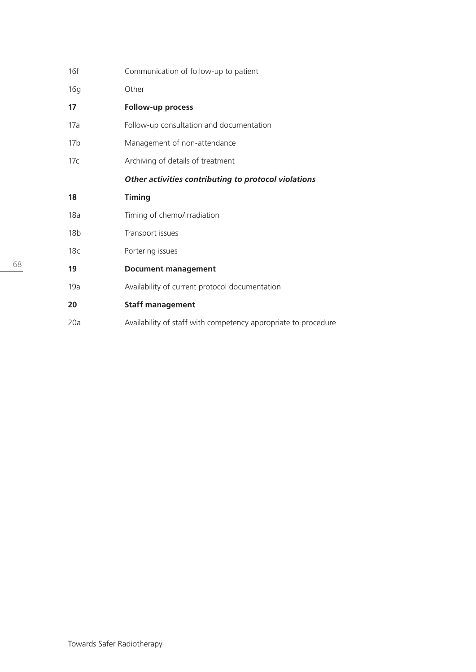| 16f             | Communication of follow-up to patient                          |
|-----------------|----------------------------------------------------------------|
| 16g             | Other                                                          |
| 17              | Follow-up process                                              |
| 17a             | Follow-up consultation and documentation                       |
| 17 <sub>b</sub> | Management of non-attendance                                   |
| 17c             | Archiving of details of treatment                              |
|                 | Other activities contributing to protocol violations           |
| 18              | <b>Timing</b>                                                  |
| 18a             | Timing of chemo/irradiation                                    |
| 18 <sub>b</sub> | Transport issues                                               |
| 18 <sub>c</sub> | Portering issues                                               |
| 19              | <b>Document management</b>                                     |
| 19a             | Availability of current protocol documentation                 |
| 20              | <b>Staff management</b>                                        |
| 20a             | Availability of staff with competency appropriate to procedure |
|                 |                                                                |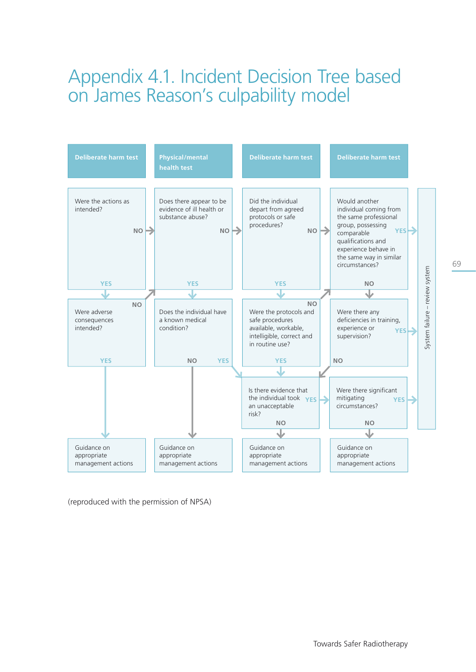# Appendix 4.1. Incident Decision Tree based on James Reason's culpability model



(reproduced with the permission of NPSA)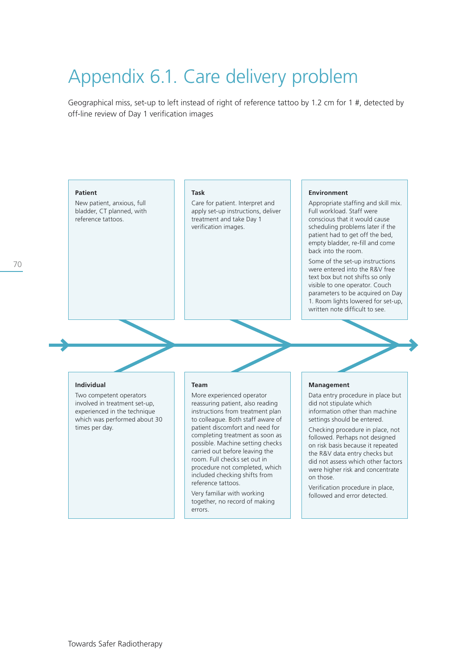# Appendix 6.1. Care delivery problem

Geographical miss, set-up to left instead of right of reference tattoo by 1.2 cm for 1 #, detected by off-line review of Day 1 verification images

#### **Patient**

New patient, anxious, full bladder, CT planned, with reference tattoos.

#### **Task**

Care for patient. Interpret and apply set-up instructions, deliver treatment and take Day 1 verification images.

#### **Environment**

Appropriate staffing and skill mix. Full workload. Staff were conscious that it would cause scheduling problems later if the patient had to get off the bed, empty bladder, re-fill and come back into the room.

Some of the set-up instructions were entered into the R&V free text box but not shifts so only visible to one operator. Couch parameters to be acquired on Day 1. Room lights lowered for set-up, written note difficult to see.

#### **Individual**

Two competent operators involved in treatment set-up, experienced in the technique which was performed about 30 times per day.

#### **Team**

More experienced operator reassuring patient, also reading instructions from treatment plan to colleague. Both staff aware of patient discomfort and need for completing treatment as soon as possible. Machine setting checks carried out before leaving the room. Full checks set out in procedure not completed, which included checking shifts from reference tattoos.

Very familiar with working together, no record of making errors.

#### **Management**

Data entry procedure in place but did not stipulate which information other than machine settings should be entered.

Checking procedure in place, not followed. Perhaps not designed on risk basis because it repeated the R&V data entry checks but did not assess which other factors were higher risk and concentrate on those.

Verification procedure in place, followed and error detected.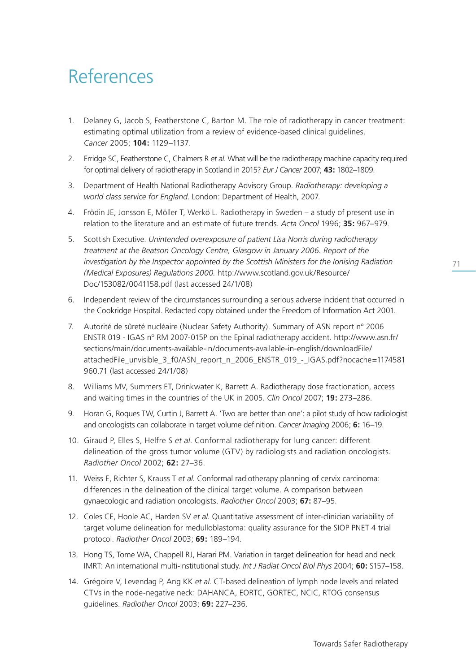# References

- 1. Delaney G, Jacob S, Featherstone C, Barton M. The role of radiotherapy in cancer treatment: estimating optimal utilization from a review of evidence-based clinical guidelines. *Cancer* 2005; **104:** 1129–1137.
- 2. Erridge SC, Featherstone C, Chalmers R *et al*. What will be the radiotherapy machine capacity required for optimal delivery of radiotherapy in Scotland in 2015? *Eur J Cancer* 2007; **43:** 1802–1809.
- 3. Department of Health National Radiotherapy Advisory Group. *Radiotherapy: developing a world class service for England*. London: Department of Health, 2007.
- 4. Frödin JE, Jonsson E, Möller T, Werkö L. Radiotherapy in Sweden a study of present use in relation to the literature and an estimate of future trends. *Acta Oncol* 1996; **35:** 967–979.
- 5. Scottish Executive. *Unintended overexposure of patient Lisa Norris during radiotherapy treatment at the Beatson Oncology Centre, Glasgow in January 2006. Report of the investigation by the Inspector appointed by the Scottish Ministers for the Ionising Radiation (Medical Exposures) Regulations 2000.* http://www.scotland.gov.uk/Resource/ Doc/153082/0041158.pdf (last accessed 24/1/08)
- 6. Independent review of the circumstances surrounding a serious adverse incident that occurred in the Cookridge Hospital. Redacted copy obtained under the Freedom of Information Act 2001.
- 7. Autorité de sûreté nucléaire (Nuclear Safety Authority). Summary of ASN report n° 2006 ENSTR 019 - IGAS n° RM 2007-015P on the Epinal radiotherapy accident. http://www.asn.fr/ sections/main/documents-available-in/documents-available-in-english/downloadFile/ attachedFile\_unvisible\_3\_f0/ASN\_report\_n\_2006\_ENSTR\_019\_-\_IGAS.pdf?nocache=1174581 960.71 (last accessed 24/1/08)
- 8. Williams MV, Summers ET, Drinkwater K, Barrett A. Radiotherapy dose fractionation, access and waiting times in the countries of the UK in 2005. *Clin Oncol* 2007; **19:** 273–286.
- 9. Horan G, Roques TW, Curtin J, Barrett A. 'Two are better than one': a pilot study of how radiologist and oncologists can collaborate in target volume definition. *Cancer Imaging* 2006; **6:** 16–19.
- 10. Giraud P, Elles S, Helfre S *et al*. Conformal radiotherapy for lung cancer: different delineation of the gross tumor volume (GTV) by radiologists and radiation oncologists. *Radiother Oncol* 2002; **62:** 27–36.
- 11. Weiss E, Richter S, Krauss T *et al*. Conformal radiotherapy planning of cervix carcinoma: differences in the delineation of the clinical target volume. A comparison between gynaecologic and radiation oncologists. *Radiother Oncol* 2003; **67:** 87–95.
- 12. Coles CE, Hoole AC, Harden SV *et al*. Quantitative assessment of inter-clinician variability of target volume delineation for medulloblastoma: quality assurance for the SIOP PNET 4 trial protocol. *Radiother Oncol* 2003; **69:** 189–194.
- 13. Hong TS, Tome WA, Chappell RJ, Harari PM. Variation in target delineation for head and neck IMRT: An international multi-institutional study. *Int J Radiat Oncol Biol Phys* 2004; **60:** S157–158.
- 14. Grégoire V, Levendag P, Ang KK *et al*. CT-based delineation of lymph node levels and related CTVs in the node-negative neck: DAHANCA, EORTC, GORTEC, NCIC, RTOG consensus guidelines. *Radiother Oncol* 2003; **69:** 227–236.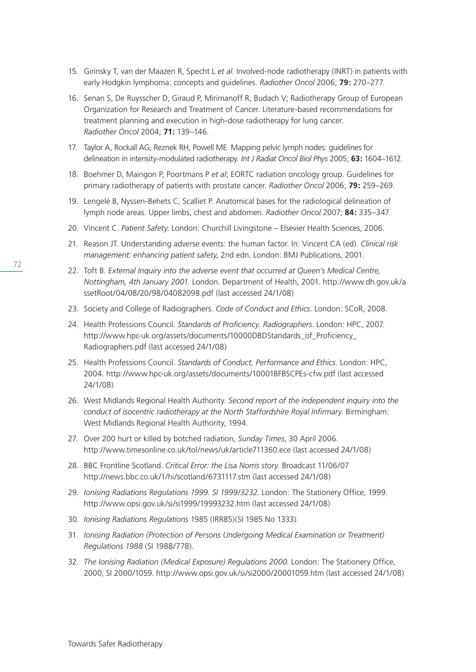- 15. Girinsky T, van der Maazen R, Specht L *et al*. Involved-node radiotherapy (INRT) in patients with early Hodgkin lymphoma: concepts and guidelines. *Radiother Oncol* 2006; **79:** 270–277.
- 16. Senan S, De Ruysscher D, Giraud P, Mirimanoff R, Budach V; Radiotherapy Group of European Organization for Research and Treatment of Cancer. Literature-based recommendations for treatment planning and execution in high-dose radiotherapy for lung cancer. *Radiother Oncol* 2004; **71:** 139–146.
- 17. Taylor A, Rockall AG, Reznek RH, Powell ME. Mapping pelvic lymph nodes: guidelines for delineation in intensity-modulated radiotherapy. *Int J Radiat Oncol Biol Phys* 2005; **63:** 1604–1612.
- 18. Boehmer D, Maingon P, Poortmans P *et al*; EORTC radiation oncology group. Guidelines for primary radiotherapy of patients with prostate cancer. *Radiother Oncol* 2006; **79:** 259–269.
- 19. Lengelé B, Nyssen-Behets C, Scalliet P. Anatomical bases for the radiological delineation of lymph node areas. Upper limbs, chest and abdomen. *Radiother Oncol* 2007; **84:** 335–347.
- 20. Vincent C. *Patient Safety*. London: Churchill Livingstone Elsevier Health Sciences, 2006.
- 21. Reason JT. Understanding adverse events: the human factor. In: Vincent CA (ed). *Clinical risk management: enhancing patient safety*, 2nd edn. London: BMJ Publications, 2001.
- 22. Toft B. *External Inquiry into the adverse event that occurred at Queen's Medical Centre, Nottingham, 4th January 2001.* London. Department of Health, 2001. http://www.dh.gov.uk/a ssetRoot/04/08/20/98/04082098.pdf (last accessed 24/1/08)
- 23. Society and College of Radiographers. *Code of Conduct and Ethics*. London: SCoR, 2008.
- 24. Health Professions Council. *Standards of Proficiency. Radiographers*. London: HPC, 2007. http://www.hpc-uk.org/assets/documents/10000DBDStandards\_of\_Proficiency Radiographers.pdf (last accessed 24/1/08)
- 25. Health Professions Council. *Standards of Conduct, Performance and Ethics.* London: HPC, 2004. http://www.hpc-uk.org/assets/documents/10001BFBSCPEs-cfw.pdf (last accessed 24/1/08)
- 26. West Midlands Regional Health Authority. *Second report of the independent inquiry into the conduct of isocentric radiotherapy at the North Staffordshire Royal Infirmary.* Birmingham: West Midlands Regional Health Authority, 1994.
- 27. Over 200 hurt or killed by botched radiation, *Sunday Times*, 30 April 2006. http://www.timesonline.co.uk/tol/news/uk/article711360.ece (last accessed 24/1/08)
- 28. BBC Frontline Scotland. *Critical Error: the Lisa Norris story*. Broadcast 11/06/07 http://news.bbc.co.uk/1/hi/scotland/6731117.stm (last accessed 24/1/08)
- 29. *Ionising Radiations Regulations 1999. SI 1999/3232*. London: The Stationery Office, 1999. http://www.opsi.gov.uk/si/si1999/19993232.htm (last accessed 24/1/08)
- 30. *Ionising Radiations Regulations* 1985 (IRR85)(SI 1985 No 1333).
- 31. *Ionising Radiation (Protection of Persons Undergoing Medical Examination or Treatment) Regulations 1988* (SI 1988/778).
- 32. *The Ionising Radiation (Medical Exposure) Regulations 2000*. London: The Stationery Office, 2000, SI 2000/1059. http://www.opsi.gov.uk/si/si2000/20001059.htm (last accessed 24/1/08)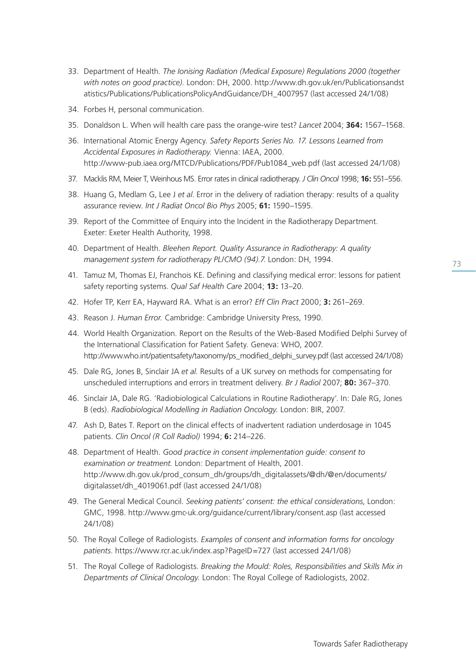- 33. Department of Health. *The Ionising Radiation (Medical Exposure) Regulations 2000 (together with notes on good practice).* London: DH, 2000. http://www.dh.gov.uk/en/Publicationsandst atistics/Publications/PublicationsPolicyAndGuidance/DH\_4007957 (last accessed 24/1/08)
- 34. Forbes H, personal communication.
- 35. Donaldson L. When will health care pass the orange-wire test? *Lancet* 2004; **364:** 1567–1568.
- 36. International Atomic Energy Agency. *Safety Reports Series No. 17. Lessons Learned from Accidental Exposures in Radiotherapy.* Vienna: IAEA, 2000. http://www-pub.iaea.org/MTCD/Publications/PDF/Pub1084\_web.pdf (last accessed 24/1/08)
- 37. Macklis RM, Meier T, Weinhous MS. Error rates in clinical radiotherapy. *J Clin Oncol* 1998; **16:** 551–556.
- 38. Huang G, Medlam G, Lee J *et al*. Error in the delivery of radiation therapy: results of a quality assurance review. *Int J Radiat Oncol Bio Phys* 2005; **61:** 1590–1595.
- 39. Report of the Committee of Enquiry into the Incident in the Radiotherapy Department. Exeter: Exeter Health Authority, 1998.
- 40. Department of Health. *Bleehen Report. Quality Assurance in Radiotherapy: A quality management system for radiotherapy PL/CMO (94).7*. London: DH, 1994.
- 41. Tamuz M, Thomas EJ, Franchois KE. Defining and classifying medical error: lessons for patient safety reporting systems. *Qual Saf Health Care* 2004; **13:** 13–20.
- 42. Hofer TP, Kerr EA, Hayward RA. What is an error? *Eff Clin Pract* 2000; **3:** 261–269.
- 43. Reason J. *Human Error.* Cambridge: Cambridge University Press, 1990.
- 44. World Health Organization. Report on the Results of the Web-Based Modified Delphi Survey of the International Classification for Patient Safety. Geneva: WHO, 2007. http://www.who.int/patientsafety/taxonomy/ps\_modified\_delphi\_survey.pdf (last accessed 24/1/08)
- 45. Dale RG, Jones B, Sinclair JA *et al*. Results of a UK survey on methods for compensating for unscheduled interruptions and errors in treatment delivery. *Br J Radiol* 2007; **80:** 367–370.
- 46. Sinclair JA, Dale RG. 'Radiobiological Calculations in Routine Radiotherapy'. In: Dale RG, Jones B (eds). *Radiobiological Modelling in Radiation Oncology.* London: BIR, 2007.
- 47. Ash D, Bates T. Report on the clinical effects of inadvertent radiation underdosage in 1045 patients. *Clin Oncol (R Coll Radiol)* 1994; **6:** 214–226.
- 48. Department of Health. *Good practice in consent implementation guide: consent to examination or treatment.* London: Department of Health, 2001. http://www.dh.gov.uk/prod\_consum\_dh/groups/dh\_digitalassets/@dh/@en/documents/ digitalasset/dh\_4019061.pdf (last accessed 24/1/08)
- 49. The General Medical Council. *Seeking patients' consent: the ethical considerations*, London: GMC, 1998. http://www.gmc-uk.org/guidance/current/library/consent.asp (last accessed 24/1/08)
- 50. The Royal College of Radiologists. *Examples of consent and information forms for oncology patients*. https://www.rcr.ac.uk/index.asp?PageID=727 (last accessed 24/1/08)
- 51. The Royal College of Radiologists. *Breaking the Mould: Roles, Responsibilities and Skills Mix in Departments of Clinical Oncology.* London: The Royal College of Radiologists, 2002.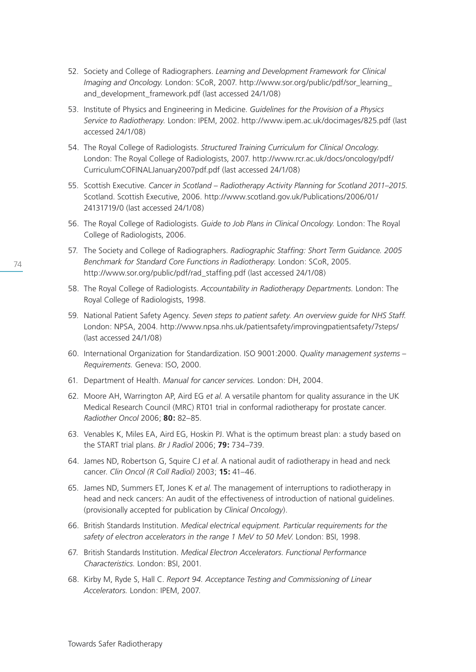- 52. Society and College of Radiographers. *Learning and Development Framework for Clinical Imaging and Oncology.* London: SCoR, 2007. http://www.sor.org/public/pdf/sor\_learning\_ and development framework.pdf (last accessed 24/1/08)
- 53. Institute of Physics and Engineering in Medicine. *Guidelines for the Provision of a Physics Service to Radiotherapy.* London: IPEM, 2002. http://www.ipem.ac.uk/docimages/825.pdf (last accessed 24/1/08)
- 54. The Royal College of Radiologists. *Structured Training Curriculum for Clinical Oncology.*  London: The Royal College of Radiologists, 2007. http://www.rcr.ac.uk/docs/oncology/pdf/ CurriculumCOFINALJanuary2007pdf.pdf (last accessed 24/1/08)
- 55. Scottish Executive. *Cancer in Scotland Radiotherapy Activity Planning for Scotland 2011–2015.* Scotland. Scottish Executive, 2006. http://www.scotland.gov.uk/Publications/2006/01/ 24131719/0 (last accessed 24/1/08)
- 56. The Royal College of Radiologists. *Guide to Job Plans in Clinical Oncology.* London: The Royal College of Radiologists, 2006.
- 57. The Society and College of Radiographers. *Radiographic Staffing: Short Term Guidance. 2005 Benchmark for Standard Core Functions in Radiotherapy.* London: SCoR, 2005. http://www.sor.org/public/pdf/rad\_staffing.pdf (last accessed 24/1/08)
- 58. The Royal College of Radiologists. *Accountability in Radiotherapy Departments.* London: The Royal College of Radiologists, 1998.
- 59. National Patient Safety Agency. *Seven steps to patient safety. An overview guide for NHS Staff.* London: NPSA, 2004. http://www.npsa.nhs.uk/patientsafety/improvingpatientsafety/7steps/ (last accessed 24/1/08)
- 60. International Organization for Standardization. ISO 9001:2000. *Quality management systems Requirements.* Geneva: ISO, 2000.
- 61. Department of Health. *Manual for cancer services.* London: DH, 2004.
- 62. Moore AH, Warrington AP, Aird EG *et al*. A versatile phantom for quality assurance in the UK Medical Research Council (MRC) RT01 trial in conformal radiotherapy for prostate cancer. *Radiother Oncol* 2006; **80:** 82–85.
- 63. Venables K, Miles EA, Aird EG, Hoskin PJ. What is the optimum breast plan: a study based on the START trial plans. *Br J Radiol* 2006; **79:** 734–739.
- 64. James ND, Robertson G, Squire CJ *et al*. A national audit of radiotherapy in head and neck cancer. *Clin Oncol (R Coll Radiol)* 2003; **15:** 41–46.
- 65. James ND, Summers ET, Jones K *et al*. The management of interruptions to radiotherapy in head and neck cancers: An audit of the effectiveness of introduction of national guidelines. (provisionally accepted for publication by *Clinical Oncology*).
- 66. British Standards Institution. *Medical electrical equipment. Particular requirements for the safety of electron accelerators in the range 1 MeV to 50 MeV*. London: BSI, 1998.
- 67. British Standards Institution. *Medical Electron Accelerators. Functional Performance Characteristics.* London: BSI, 2001.
- 68. Kirby M, Ryde S, Hall C. *Report 94. Acceptance Testing and Commissioning of Linear Accelerators.* London: IPEM, 2007.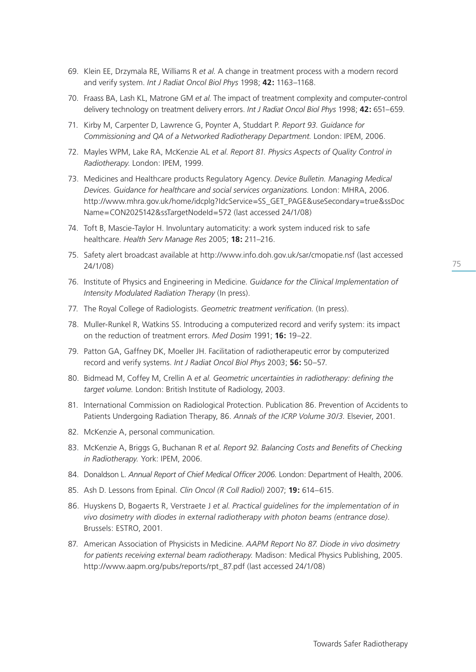- 69. Klein EE, Drzymala RE, Williams R *et al*. A change in treatment process with a modern record and verify system. *Int J Radiat Oncol Biol Phys* 1998; **42:** 1163–1168.
- 70. Fraass BA, Lash KL, Matrone GM *et al*. The impact of treatment complexity and computer-control delivery technology on treatment delivery errors. *Int J Radiat Oncol Biol Phys* 1998; **42:** 651–659.
- 71. Kirby M, Carpenter D, Lawrence G, Poynter A, Studdart P. *Report 93. Guidance for Commissioning and QA of a Networked Radiotherapy Department.* London: IPEM, 2006.
- 72. Mayles WPM, Lake RA, McKenzie AL *et al*. *Report 81. Physics Aspects of Quality Control in Radiotherapy*. London: IPEM, 1999.
- 73. Medicines and Healthcare products Regulatory Agency. *Device Bulletin. Managing Medical Devices. Guidance for healthcare and social services organizations.* London: MHRA, 2006. http://www.mhra.gov.uk/home/idcplg?IdcService=SS\_GET\_PAGE&useSecondary=true&ssDoc Name=CON2025142&ssTargetNodeId=572 (last accessed 24/1/08)
- 74. Toft B, Mascie-Taylor H. Involuntary automaticity: a work system induced risk to safe healthcare. *Health Serv Manage Res* 2005; **18:** 211–216.
- 75. Safety alert broadcast available at http://www.info.doh.gov.uk/sar/cmopatie.nsf (last accessed 24/1/08)
- 76. Institute of Physics and Engineering in Medicine. *Guidance for the Clinical Implementation of Intensity Modulated Radiation Therapy* (In press).
- 77. The Royal College of Radiologists. *Geometric treatment verification.* (In press).
- 78. Muller-Runkel R, Watkins SS. Introducing a computerized record and verify system: its impact on the reduction of treatment errors. *Med Dosim* 1991; **16:** 19–22.
- 79. Patton GA, Gaffney DK, Moeller JH. Facilitation of radiotherapeutic error by computerized record and verify systems. *Int J Radiat Oncol Biol Phys* 2003; **56:** 50–57.
- 80. Bidmead M, Coffey M, Crellin A *et al*. *Geometric uncertainties in radiotherapy: defining the target volume.* London: British Institute of Radiology, 2003.
- 81. International Commission on Radiological Protection. Publication 86. Prevention of Accidents to Patients Undergoing Radiation Therapy, 86. *Annals of the ICRP Volume 30/3.* Elsevier, 2001.
- 82. McKenzie A, personal communication.
- 83. McKenzie A, Briggs G, Buchanan R *et al*. *Report 92. Balancing Costs and Benefits of Checking in Radiotherapy.* York: IPEM, 2006.
- 84. Donaldson L. *Annual Report of Chief Medical Officer 2006.* London: Department of Health, 2006.
- 85. Ash D. Lessons from Epinal. *Clin Oncol (R Coll Radiol)* 2007; **19:** 614–615.
- 86. Huyskens D, Bogaerts R, Verstraete J *et al*. *Practical guidelines for the implementation of in vivo dosimetry with diodes in external radiotherapy with photon beams (entrance dose)*. Brussels: ESTRO, 2001.
- 87. American Association of Physicists in Medicine. *AAPM Report No 87. Diode in vivo dosimetry for patients receiving external beam radiotherapy.* Madison: Medical Physics Publishing, 2005. http://www.aapm.org/pubs/reports/rpt\_87.pdf (last accessed 24/1/08)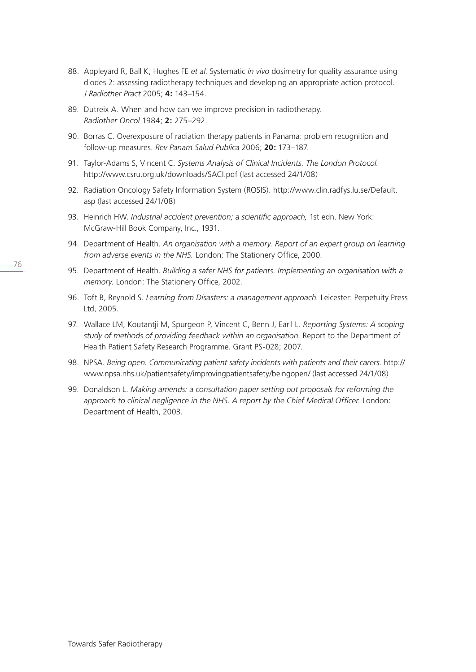- 88. Appleyard R, Ball K, Hughes FE *et al*. Systematic *in vivo* dosimetry for quality assurance using diodes 2: assessing radiotherapy techniques and developing an appropriate action protocol. *J Radiother Pract* 2005; **4:** 143–154.
- 89. Dutreix A. When and how can we improve precision in radiotherapy. *Radiother Oncol* 1984; **2:** 275–292.
- 90. Borras C. Overexposure of radiation therapy patients in Panama: problem recognition and follow-up measures. *Rev Panam Salud Publica* 2006; **20:** 173–187.
- 91. Taylor-Adams S, Vincent C. *Systems Analysis of Clinical Incidents. The London Protocol.* http://www.csru.org.uk/downloads/SACI.pdf (last accessed 24/1/08)
- 92. Radiation Oncology Safety Information System (ROSIS). http://www.clin.radfys.lu.se/Default. asp (last accessed 24/1/08)
- 93. Heinrich HW. *Industrial accident prevention; a scientific approach,* 1st edn. New York: McGraw-Hill Book Company, Inc., 1931.
- 94. Department of Health. *An organisation with a memory. Report of an expert group on learning from adverse events in the NHS.* London: The Stationery Office, 2000.
- 95. Department of Health. *Building a safer NHS for patients. Implementing an organisation with a memory.* London: The Stationery Office, 2002.
- 96. Toft B, Reynold S. *Learning from Disasters: a management approach.* Leicester: Perpetuity Press Ltd, 2005.
- 97. Wallace LM, Koutantji M, Spurgeon P, Vincent C, Benn J, Earll L. *Reporting Systems: A scoping study of methods of providing feedback within an organisation.* Report to the Department of Health Patient Safety Research Programme. Grant PS-028; 2007.
- 98. NPSA. *Being open. Communicating patient safety incidents with patients and their carers.* http:// www.npsa.nhs.uk/patientsafety/improvingpatientsafety/beingopen/ (last accessed 24/1/08)
- 99. Donaldson L. *Making amends: a consultation paper setting out proposals for reforming the approach to clinical negligence in the NHS. A report by the Chief Medical Officer.* London: Department of Health, 2003.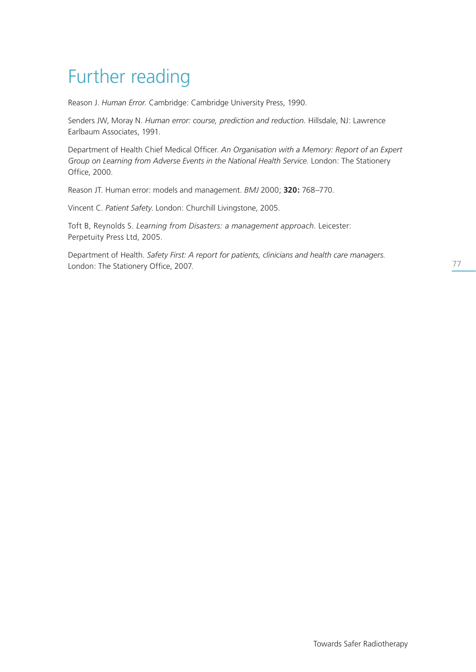# Further reading

Reason J. *Human Error.* Cambridge: Cambridge University Press, 1990.

Senders JW, Moray N. *Human error: course, prediction and reduction.* Hillsdale, NJ: Lawrence Earlbaum Associates, 1991.

Department of Health Chief Medical Officer. *An Organisation with a Memory: Report of an Expert Group on Learning from Adverse Events in the National Health Service.* London: The Stationery Office, 2000.

Reason JT. Human error: models and management. *BMJ* 2000; **320:** 768–770.

Vincent C. *Patient Safety*. London: Churchill Livingstone, 2005.

Toft B, Reynolds S. *Learning from Disasters: a management approach*. Leicester: Perpetuity Press Ltd, 2005.

Department of Health. *Safety First: A report for patients, clinicians and health care managers.* London: The Stationery Office, 2007.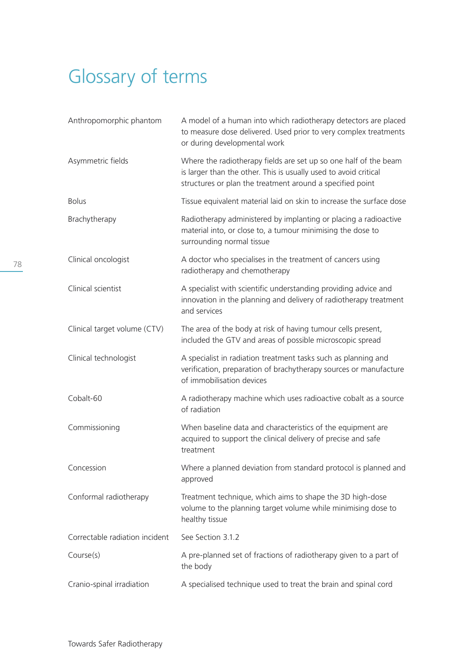# Glossary of terms

| Anthropomorphic phantom        | A model of a human into which radiotherapy detectors are placed<br>to measure dose delivered. Used prior to very complex treatments<br>or during developmental work                               |
|--------------------------------|---------------------------------------------------------------------------------------------------------------------------------------------------------------------------------------------------|
| Asymmetric fields              | Where the radiotherapy fields are set up so one half of the beam<br>is larger than the other. This is usually used to avoid critical<br>structures or plan the treatment around a specified point |
| <b>Bolus</b>                   | Tissue equivalent material laid on skin to increase the surface dose                                                                                                                              |
| Brachytherapy                  | Radiotherapy administered by implanting or placing a radioactive<br>material into, or close to, a tumour minimising the dose to<br>surrounding normal tissue                                      |
| Clinical oncologist            | A doctor who specialises in the treatment of cancers using<br>radiotherapy and chemotherapy                                                                                                       |
| Clinical scientist             | A specialist with scientific understanding providing advice and<br>innovation in the planning and delivery of radiotherapy treatment<br>and services                                              |
| Clinical target volume (CTV)   | The area of the body at risk of having tumour cells present,<br>included the GTV and areas of possible microscopic spread                                                                         |
| Clinical technologist          | A specialist in radiation treatment tasks such as planning and<br>verification, preparation of brachytherapy sources or manufacture<br>of immobilisation devices                                  |
| Cobalt-60                      | A radiotherapy machine which uses radioactive cobalt as a source<br>of radiation                                                                                                                  |
| Commissioning                  | When baseline data and characteristics of the equipment are<br>acquired to support the clinical delivery of precise and safe<br>treatment                                                         |
| Concession                     | Where a planned deviation from standard protocol is planned and<br>approved                                                                                                                       |
| Conformal radiotherapy         | Treatment technique, which aims to shape the 3D high-dose<br>volume to the planning target volume while minimising dose to<br>healthy tissue                                                      |
| Correctable radiation incident | See Section 3.1.2                                                                                                                                                                                 |
| Course(s)                      | A pre-planned set of fractions of radiotherapy given to a part of<br>the body                                                                                                                     |
| Cranio-spinal irradiation      | A specialised technique used to treat the brain and spinal cord                                                                                                                                   |
|                                |                                                                                                                                                                                                   |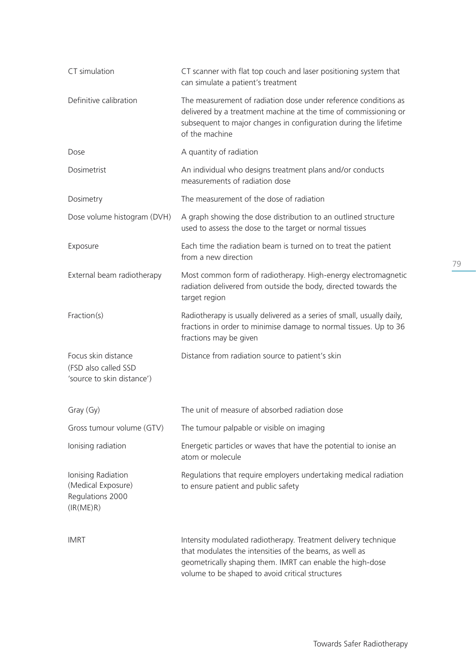| CT simulation                                                             | CT scanner with flat top couch and laser positioning system that<br>can simulate a patient's treatment                                                                                                                                     |
|---------------------------------------------------------------------------|--------------------------------------------------------------------------------------------------------------------------------------------------------------------------------------------------------------------------------------------|
| Definitive calibration                                                    | The measurement of radiation dose under reference conditions as<br>delivered by a treatment machine at the time of commissioning or<br>subsequent to major changes in configuration during the lifetime<br>of the machine                  |
| Dose                                                                      | A quantity of radiation                                                                                                                                                                                                                    |
| Dosimetrist                                                               | An individual who designs treatment plans and/or conducts<br>measurements of radiation dose                                                                                                                                                |
| Dosimetry                                                                 | The measurement of the dose of radiation                                                                                                                                                                                                   |
| Dose volume histogram (DVH)                                               | A graph showing the dose distribution to an outlined structure<br>used to assess the dose to the target or normal tissues                                                                                                                  |
| Exposure                                                                  | Each time the radiation beam is turned on to treat the patient<br>from a new direction                                                                                                                                                     |
| External beam radiotherapy                                                | Most common form of radiotherapy. High-energy electromagnetic<br>radiation delivered from outside the body, directed towards the<br>target region                                                                                          |
| Fraction(s)                                                               | Radiotherapy is usually delivered as a series of small, usually daily,<br>fractions in order to minimise damage to normal tissues. Up to 36<br>fractions may be given                                                                      |
| Focus skin distance<br>(FSD also called SSD<br>'source to skin distance') | Distance from radiation source to patient's skin                                                                                                                                                                                           |
| Gray (Gy)                                                                 | The unit of measure of absorbed radiation dose                                                                                                                                                                                             |
| Gross tumour volume (GTV)                                                 | The tumour palpable or visible on imaging                                                                                                                                                                                                  |
| Ionising radiation                                                        | Energetic particles or waves that have the potential to ionise an<br>atom or molecule                                                                                                                                                      |
| Ionising Radiation<br>(Medical Exposure)<br>Regulations 2000<br>(IR(ME)R) | Regulations that require employers undertaking medical radiation<br>to ensure patient and public safety                                                                                                                                    |
| <b>IMRT</b>                                                               | Intensity modulated radiotherapy. Treatment delivery technique<br>that modulates the intensities of the beams, as well as<br>geometrically shaping them. IMRT can enable the high-dose<br>volume to be shaped to avoid critical structures |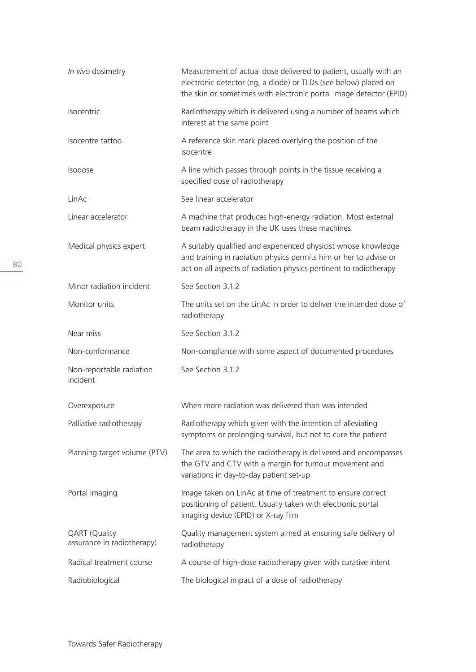| In vivo dosimetry                                  | Measurement of actual dose delivered to patient, usually with an<br>electronic detector (eg, a diode) or TLDs (see below) placed on<br>the skin or sometimes with electronic portal image detector (EPID) |
|----------------------------------------------------|-----------------------------------------------------------------------------------------------------------------------------------------------------------------------------------------------------------|
| Isocentric                                         | Radiotherapy which is delivered using a number of beams which<br>interest at the same point                                                                                                               |
| Isocentre tattoo                                   | A reference skin mark placed overlying the position of the<br>isocentre                                                                                                                                   |
| Isodose                                            | A line which passes through points in the tissue receiving a<br>specified dose of radiotherapy                                                                                                            |
| LinAc                                              | See linear accelerator                                                                                                                                                                                    |
| Linear accelerator                                 | A machine that produces high-energy radiation. Most external<br>beam radiotherapy in the UK uses these machines                                                                                           |
| Medical physics expert                             | A suitably qualified and experienced physicist whose knowledge<br>and training in radiation physics permits him or her to advise or<br>act on all aspects of radiation physics pertinent to radiotherapy  |
| Minor radiation incident                           | See Section 3.1.2                                                                                                                                                                                         |
| Monitor units                                      | The units set on the LinAc in order to deliver the intended dose of<br>radiotherapy                                                                                                                       |
| Near miss                                          | See Section 3.1.2                                                                                                                                                                                         |
| Non-conformance                                    | Non-compliance with some aspect of documented procedures                                                                                                                                                  |
| Non-reportable radiation<br>incident               | See Section 3.1.2                                                                                                                                                                                         |
| Overexposure                                       | When more radiation was delivered than was intended                                                                                                                                                       |
| Palliative radiotherapy                            | Radiotherapy which given with the intention of alleviating<br>symptoms or prolonging survival, but not to cure the patient                                                                                |
| Planning target volume (PTV)                       | The area to which the radiotherapy is delivered and encompasses<br>the GTV and CTV with a margin for tumour movement and<br>variations in day-to-day patient set-up                                       |
| Portal imaging                                     | Image taken on LinAc at time of treatment to ensure correct<br>positioning of patient. Usually taken with electronic portal<br>imaging device (EPID) or X-ray film                                        |
| <b>QART</b> (Quality<br>assurance in radiotherapy) | Quality management system aimed at ensuring safe delivery of<br>radiotherapy                                                                                                                              |
| Radical treatment course                           | A course of high-dose radiotherapy given with curative intent                                                                                                                                             |
| Radiobiological                                    | The biological impact of a dose of radiotherapy                                                                                                                                                           |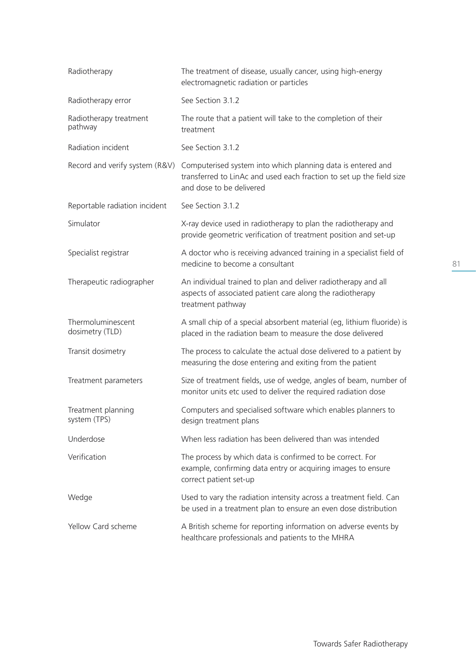| Radiotherapy                         | The treatment of disease, usually cancer, using high-energy<br>electromagnetic radiation or particles                                                           |
|--------------------------------------|-----------------------------------------------------------------------------------------------------------------------------------------------------------------|
| Radiotherapy error                   | See Section 3.1.2                                                                                                                                               |
| Radiotherapy treatment<br>pathway    | The route that a patient will take to the completion of their<br>treatment                                                                                      |
| Radiation incident                   | See Section 3.1.2                                                                                                                                               |
| Record and verify system (R&V)       | Computerised system into which planning data is entered and<br>transferred to LinAc and used each fraction to set up the field size<br>and dose to be delivered |
| Reportable radiation incident        | See Section 3.1.2                                                                                                                                               |
| Simulator                            | X-ray device used in radiotherapy to plan the radiotherapy and<br>provide geometric verification of treatment position and set-up                               |
| Specialist registrar                 | A doctor who is receiving advanced training in a specialist field of<br>medicine to become a consultant                                                         |
| Therapeutic radiographer             | An individual trained to plan and deliver radiotherapy and all<br>aspects of associated patient care along the radiotherapy<br>treatment pathway                |
| Thermoluminescent<br>dosimetry (TLD) | A small chip of a special absorbent material (eg, lithium fluoride) is<br>placed in the radiation beam to measure the dose delivered                            |
| Transit dosimetry                    | The process to calculate the actual dose delivered to a patient by<br>measuring the dose entering and exiting from the patient                                  |
| Treatment parameters                 | Size of treatment fields, use of wedge, angles of beam, number of<br>monitor units etc used to deliver the required radiation dose                              |
| Treatment planning<br>system (TPS)   | Computers and specialised software which enables planners to<br>design treatment plans                                                                          |
| Underdose                            | When less radiation has been delivered than was intended                                                                                                        |
| Verification                         | The process by which data is confirmed to be correct. For<br>example, confirming data entry or acquiring images to ensure<br>correct patient set-up             |
| Wedge                                | Used to vary the radiation intensity across a treatment field. Can<br>be used in a treatment plan to ensure an even dose distribution                           |
| Yellow Card scheme                   | A British scheme for reporting information on adverse events by<br>healthcare professionals and patients to the MHRA                                            |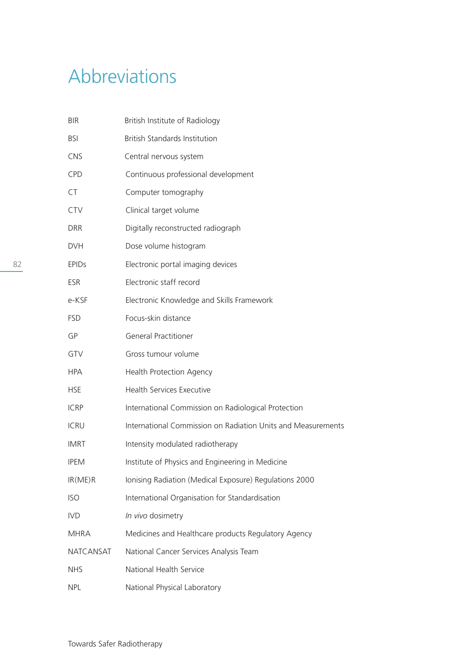# Abbreviations

| <b>BIR</b>       | British Institute of Radiology                               |
|------------------|--------------------------------------------------------------|
| <b>BSI</b>       | <b>British Standards Institution</b>                         |
| <b>CNS</b>       | Central nervous system                                       |
| CPD              | Continuous professional development                          |
| CT               | Computer tomography                                          |
| CTV              | Clinical target volume                                       |
| <b>DRR</b>       | Digitally reconstructed radiograph                           |
| <b>DVH</b>       | Dose volume histogram                                        |
| <b>EPIDS</b>     | Electronic portal imaging devices                            |
| <b>ESR</b>       | Electronic staff record                                      |
| e-KSF            | Electronic Knowledge and Skills Framework                    |
| <b>FSD</b>       | Focus-skin distance                                          |
| GP               | <b>General Practitioner</b>                                  |
| GTV              | Gross tumour volume                                          |
| <b>HPA</b>       | <b>Health Protection Agency</b>                              |
| <b>HSE</b>       | <b>Health Services Executive</b>                             |
| <b>ICRP</b>      | International Commission on Radiological Protection          |
| <b>ICRU</b>      | International Commission on Radiation Units and Measurements |
| <b>IMRT</b>      | Intensity modulated radiotherapy                             |
| <b>IPEM</b>      | Institute of Physics and Engineering in Medicine             |
| IR(ME)R          | Ionising Radiation (Medical Exposure) Regulations 2000       |
| <b>ISO</b>       | International Organisation for Standardisation               |
| <b>IVD</b>       | In vivo dosimetry                                            |
| <b>MHRA</b>      | Medicines and Healthcare products Regulatory Agency          |
| <b>NATCANSAT</b> | National Cancer Services Analysis Team                       |
| <b>NHS</b>       | National Health Service                                      |
| <b>NPL</b>       | National Physical Laboratory                                 |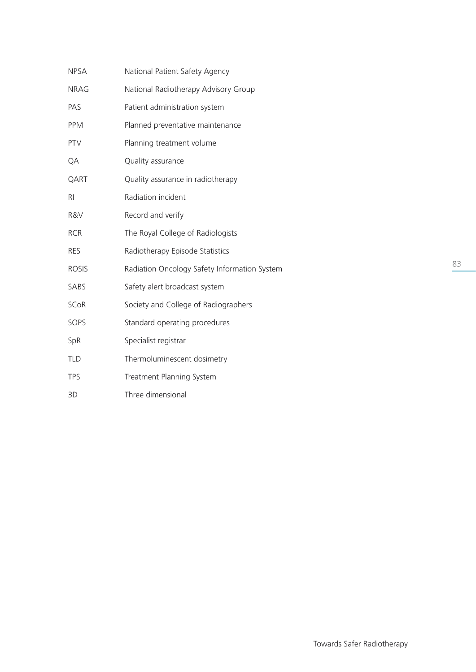| <b>NPSA</b>  | National Patient Safety Agency               |
|--------------|----------------------------------------------|
| <b>NRAG</b>  | National Radiotherapy Advisory Group         |
| PAS          | Patient administration system                |
| <b>PPM</b>   | Planned preventative maintenance             |
| <b>PTV</b>   | Planning treatment volume                    |
| QA           | Quality assurance                            |
| QART         | Quality assurance in radiotherapy            |
| RI           | Radiation incident                           |
| R&V          | Record and verify                            |
| <b>RCR</b>   | The Royal College of Radiologists            |
| <b>RES</b>   | Radiotherapy Episode Statistics              |
| <b>ROSIS</b> | Radiation Oncology Safety Information System |
| SABS         | Safety alert broadcast system                |
| <b>SCoR</b>  | Society and College of Radiographers         |
| SOPS         | Standard operating procedures                |
| SpR          | Specialist registrar                         |
| <b>TLD</b>   | Thermoluminescent dosimetry                  |
| <b>TPS</b>   | Treatment Planning System                    |
| 3D           | Three dimensional                            |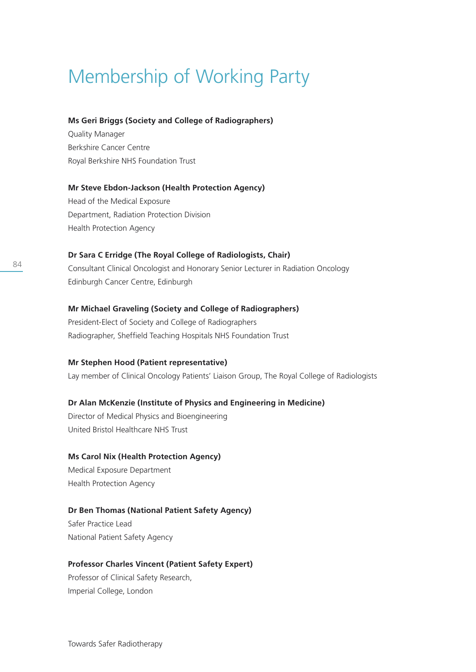# Membership of Working Party

#### **Ms Geri Briggs (Society and College of Radiographers)**

Quality Manager Berkshire Cancer Centre Royal Berkshire NHS Foundation Trust

#### **Mr Steve Ebdon-Jackson (Health Protection Agency)**

Head of the Medical Exposure Department, Radiation Protection Division Health Protection Agency

### **Dr Sara C Erridge (The Royal College of Radiologists, Chair)**

Consultant Clinical Oncologist and Honorary Senior Lecturer in Radiation Oncology Edinburgh Cancer Centre, Edinburgh

#### **Mr Michael Graveling (Society and College of Radiographers)**

President-Elect of Society and College of Radiographers Radiographer, Sheffield Teaching Hospitals NHS Foundation Trust

#### **Mr Stephen Hood (Patient representative)**

Lay member of Clinical Oncology Patients' Liaison Group, The Royal College of Radiologists

#### **Dr Alan McKenzie (Institute of Physics and Engineering in Medicine)**

Director of Medical Physics and Bioengineering United Bristol Healthcare NHS Trust

#### **Ms Carol Nix (Health Protection Agency)**

Medical Exposure Department Health Protection Agency

#### **Dr Ben Thomas (National Patient Safety Agency)**

Safer Practice Lead National Patient Safety Agency

#### **Professor Charles Vincent (Patient Safety Expert)**

Professor of Clinical Safety Research, Imperial College, London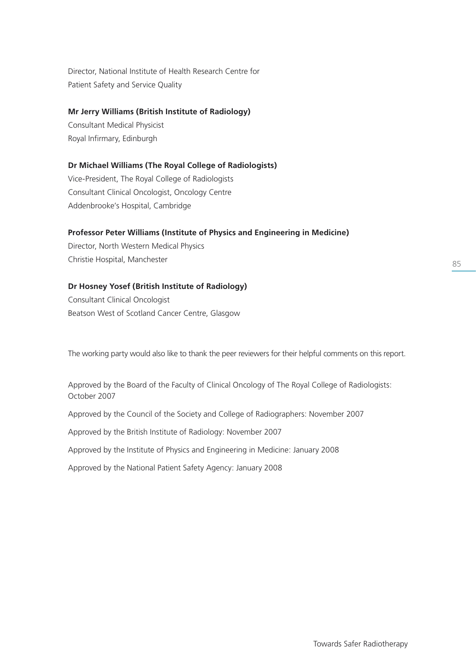Director, National Institute of Health Research Centre for Patient Safety and Service Quality

#### **Mr Jerry Williams (British Institute of Radiology)**

Consultant Medical Physicist Royal Infirmary, Edinburgh

## **Dr Michael Williams (The Royal College of Radiologists)**

Vice-President, The Royal College of Radiologists Consultant Clinical Oncologist, Oncology Centre Addenbrooke's Hospital, Cambridge

## **Professor Peter Williams (Institute of Physics and Engineering in Medicine)**

Director, North Western Medical Physics Christie Hospital, Manchester

## **Dr Hosney Yosef (British Institute of Radiology)**

Consultant Clinical Oncologist Beatson West of Scotland Cancer Centre, Glasgow

The working party would also like to thank the peer reviewers for their helpful comments on this report.

Approved by the Board of the Faculty of Clinical Oncology of The Royal College of Radiologists: October 2007

Approved by the Council of the Society and College of Radiographers: November 2007

Approved by the British Institute of Radiology: November 2007

Approved by the Institute of Physics and Engineering in Medicine: January 2008

Approved by the National Patient Safety Agency: January 2008